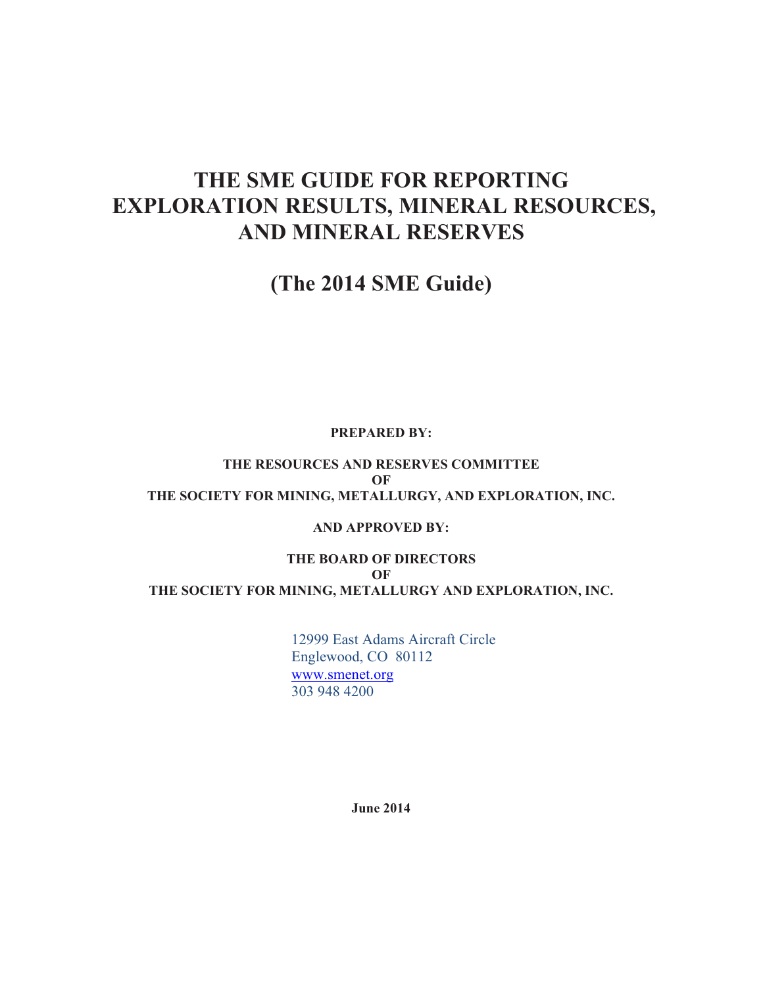# **THE SME GUIDE FOR REPORTING EXPLORATION RESULTS, MINERAL RESOURCES, AND MINERAL RESERVES**

# **(The 2014 SME Guide)**

#### **PREPARED BY:**

**THE RESOURCES AND RESERVES COMMITTEE OF THE SOCIETY FOR MINING, METALLURGY, AND EXPLORATION, INC.** 

#### **AND APPROVED BY:**

**THE BOARD OF DIRECTORS OF THE SOCIETY FOR MINING, METALLURGY AND EXPLORATION, INC.** 

> 12999 East Adams Aircraft Circle Englewood, CO 80112 www.smenet.org 303 948 4200

> > **June 2014**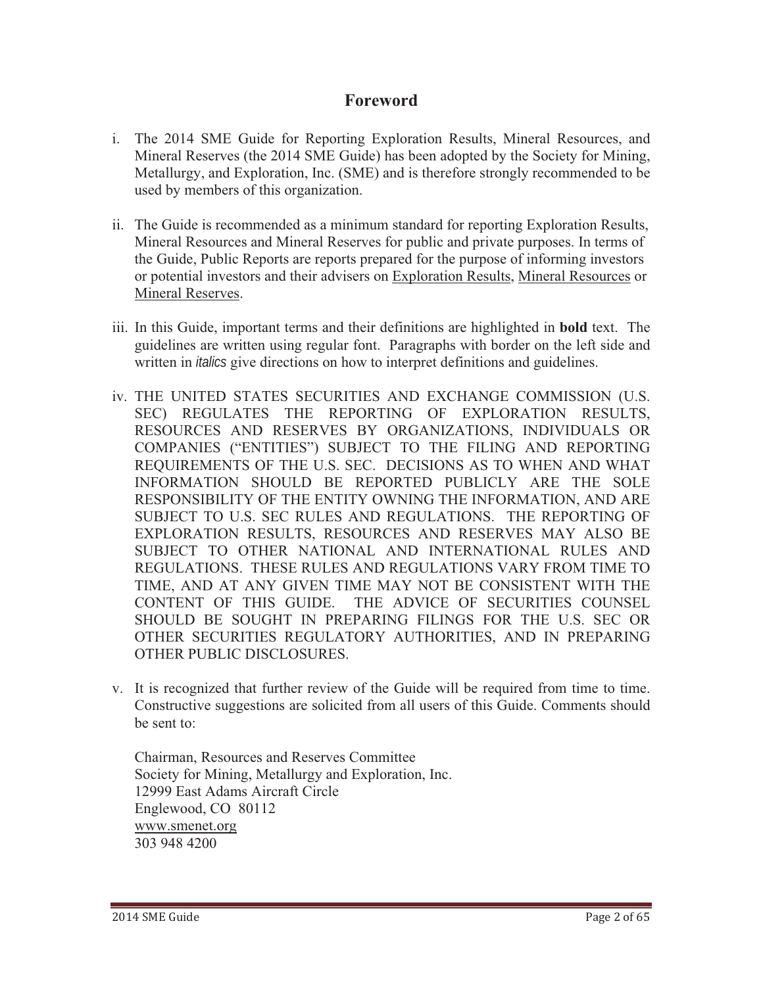### **Foreword**

- i. The 2014 SME Guide for Reporting Exploration Results, Mineral Resources, and Mineral Reserves (the 2014 SME Guide) has been adopted by the Society for Mining, Metallurgy, and Exploration, Inc. (SME) and is therefore strongly recommended to be used by members of this organization.
- ii. The Guide is recommended as a minimum standard for reporting Exploration Results, Mineral Resources and Mineral Reserves for public and private purposes. In terms of the Guide, Public Reports are reports prepared for the purpose of informing investors or potential investors and their advisers on Exploration Results, Mineral Resources or Mineral Reserves.
- iii. In this Guide, important terms and their definitions are highlighted in **bold** text. The guidelines are written using regular font. Paragraphs with border on the left side and written in *italics* give directions on how to interpret definitions and guidelines.
- iv. THE UNITED STATES SECURITIES AND EXCHANGE COMMISSION (U.S. SEC) REGULATES THE REPORTING OF EXPLORATION RESULTS, RESOURCES AND RESERVES BY ORGANIZATIONS, INDIVIDUALS OR COMPANIES ("ENTITIES") SUBJECT TO THE FILING AND REPORTING REQUIREMENTS OF THE U.S. SEC. DECISIONS AS TO WHEN AND WHAT INFORMATION SHOULD BE REPORTED PUBLICLY ARE THE SOLE RESPONSIBILITY OF THE ENTITY OWNING THE INFORMATION, AND ARE SUBJECT TO U.S. SEC RULES AND REGULATIONS. THE REPORTING OF EXPLORATION RESULTS, RESOURCES AND RESERVES MAY ALSO BE SUBJECT TO OTHER NATIONAL AND INTERNATIONAL RULES AND REGULATIONS. THESE RULES AND REGULATIONS VARY FROM TIME TO TIME, AND AT ANY GIVEN TIME MAY NOT BE CONSISTENT WITH THE CONTENT OF THIS GUIDE. THE ADVICE OF SECURITIES COUNSEL SHOULD BE SOUGHT IN PREPARING FILINGS FOR THE U.S. SEC OR OTHER SECURITIES REGULATORY AUTHORITIES, AND IN PREPARING OTHER PUBLIC DISCLOSURES.
- v. It is recognized that further review of the Guide will be required from time to time. Constructive suggestions are solicited from all users of this Guide. Comments should be sent to:

Chairman, Resources and Reserves Committee Society for Mining, Metallurgy and Exploration, Inc. 12999 East Adams Aircraft Circle Englewood, CO 80112 www.smenet.org 303 948 4200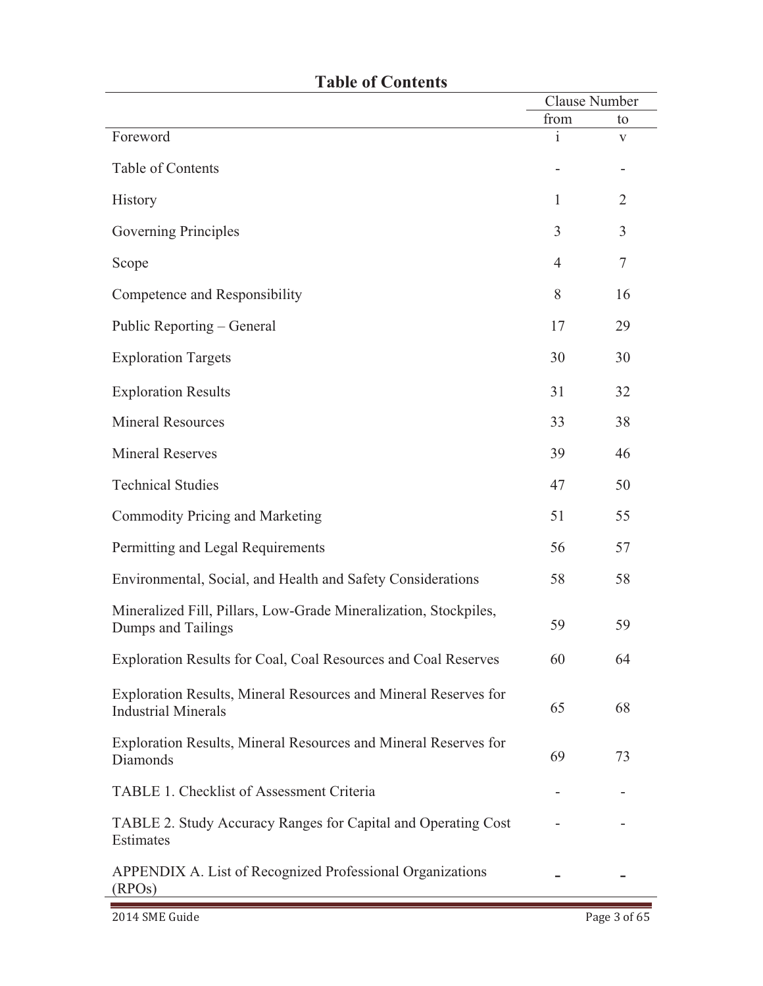| LADIU VI UUHUHU                                                                               | <b>Clause Number</b> |                |
|-----------------------------------------------------------------------------------------------|----------------------|----------------|
|                                                                                               | from                 | to             |
| Foreword                                                                                      | 1                    | V              |
| Table of Contents                                                                             |                      |                |
| History                                                                                       | 1                    | 2              |
| Governing Principles                                                                          | 3                    | $\overline{3}$ |
| Scope                                                                                         | $\overline{4}$       | $\tau$         |
| Competence and Responsibility                                                                 | 8                    | 16             |
| Public Reporting – General                                                                    | 17                   | 29             |
| <b>Exploration Targets</b>                                                                    | 30                   | 30             |
| <b>Exploration Results</b>                                                                    | 31                   | 32             |
| <b>Mineral Resources</b>                                                                      | 33                   | 38             |
| <b>Mineral Reserves</b>                                                                       | 39                   | 46             |
| <b>Technical Studies</b>                                                                      | 47                   | 50             |
| Commodity Pricing and Marketing                                                               | 51                   | 55             |
| Permitting and Legal Requirements                                                             | 56                   | 57             |
| Environmental, Social, and Health and Safety Considerations                                   | 58                   | 58             |
| Mineralized Fill, Pillars, Low-Grade Mineralization, Stockpiles,<br>Dumps and Tailings        | 59                   | 59             |
| Exploration Results for Coal, Coal Resources and Coal Reserves                                | 60                   | 64             |
| Exploration Results, Mineral Resources and Mineral Reserves for<br><b>Industrial Minerals</b> | 65                   | 68             |
| Exploration Results, Mineral Resources and Mineral Reserves for<br>Diamonds                   | 69                   | 73             |
| TABLE 1. Checklist of Assessment Criteria                                                     |                      |                |
| TABLE 2. Study Accuracy Ranges for Capital and Operating Cost<br>Estimates                    |                      |                |
| APPENDIX A. List of Recognized Professional Organizations<br>(RPOS)                           |                      |                |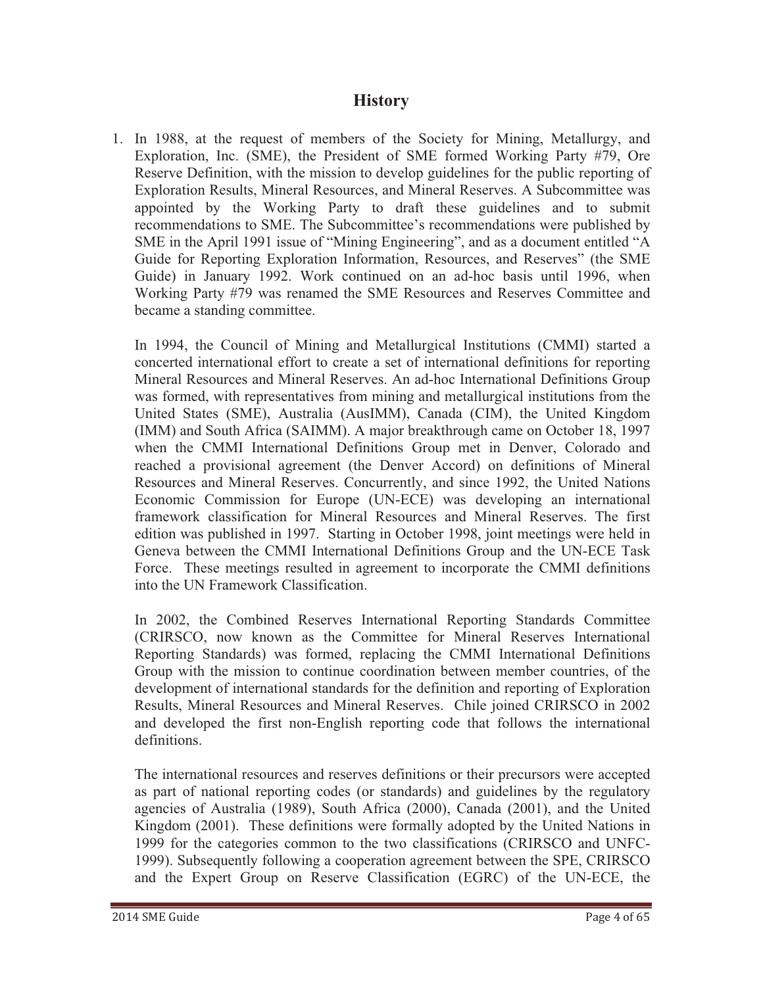### **History**

1. In 1988, at the request of members of the Society for Mining, Metallurgy, and Exploration, Inc. (SME), the President of SME formed Working Party #79, Ore Reserve Definition, with the mission to develop guidelines for the public reporting of Exploration Results, Mineral Resources, and Mineral Reserves. A Subcommittee was appointed by the Working Party to draft these guidelines and to submit recommendations to SME. The Subcommittee's recommendations were published by SME in the April 1991 issue of "Mining Engineering", and as a document entitled "A Guide for Reporting Exploration Information, Resources, and Reserves" (the SME Guide) in January 1992. Work continued on an ad-hoc basis until 1996, when Working Party #79 was renamed the SME Resources and Reserves Committee and became a standing committee.

In 1994, the Council of Mining and Metallurgical Institutions (CMMI) started a concerted international effort to create a set of international definitions for reporting Mineral Resources and Mineral Reserves. An ad-hoc International Definitions Group was formed, with representatives from mining and metallurgical institutions from the United States (SME), Australia (AusIMM), Canada (CIM), the United Kingdom (IMM) and South Africa (SAIMM). A major breakthrough came on October 18, 1997 when the CMMI International Definitions Group met in Denver, Colorado and reached a provisional agreement (the Denver Accord) on definitions of Mineral Resources and Mineral Reserves. Concurrently, and since 1992, the United Nations Economic Commission for Europe (UN-ECE) was developing an international framework classification for Mineral Resources and Mineral Reserves. The first edition was published in 1997. Starting in October 1998, joint meetings were held in Geneva between the CMMI International Definitions Group and the UN-ECE Task Force. These meetings resulted in agreement to incorporate the CMMI definitions into the UN Framework Classification.

In 2002, the Combined Reserves International Reporting Standards Committee (CRIRSCO, now known as the Committee for Mineral Reserves International Reporting Standards) was formed, replacing the CMMI International Definitions Group with the mission to continue coordination between member countries, of the development of international standards for the definition and reporting of Exploration Results, Mineral Resources and Mineral Reserves. Chile joined CRIRSCO in 2002 and developed the first non-English reporting code that follows the international definitions.

The international resources and reserves definitions or their precursors were accepted as part of national reporting codes (or standards) and guidelines by the regulatory agencies of Australia (1989), South Africa (2000), Canada (2001), and the United Kingdom (2001). These definitions were formally adopted by the United Nations in 1999 for the categories common to the two classifications (CRIRSCO and UNFC-1999). Subsequently following a cooperation agreement between the SPE, CRIRSCO and the Expert Group on Reserve Classification (EGRC) of the UN-ECE, the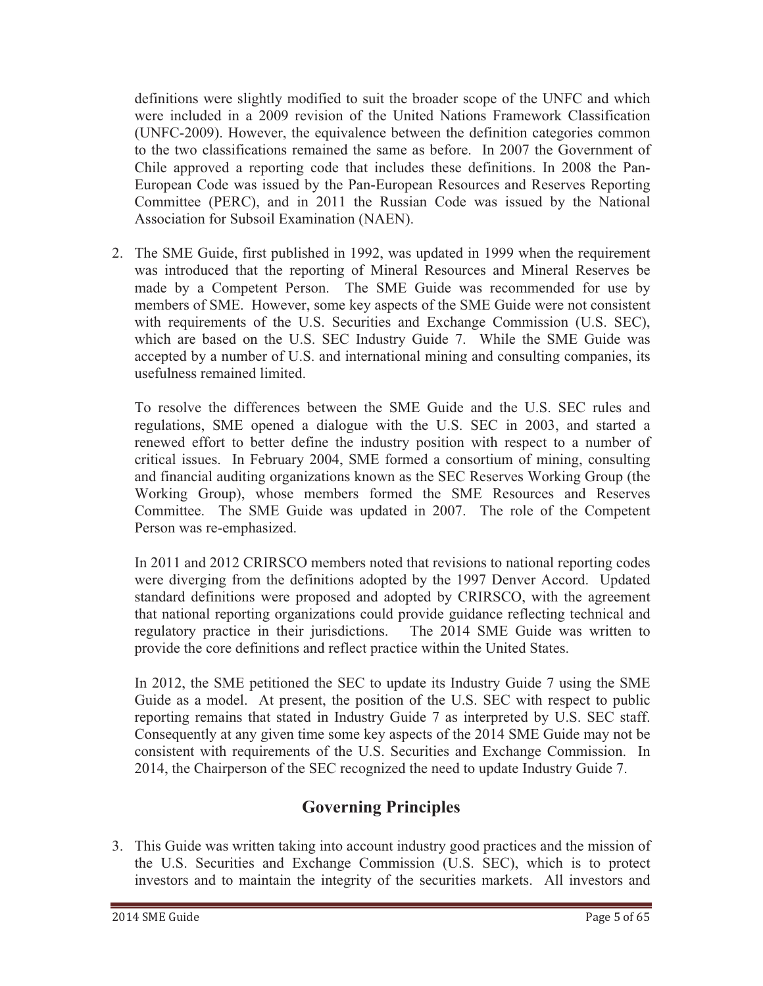definitions were slightly modified to suit the broader scope of the UNFC and which were included in a 2009 revision of the United Nations Framework Classification (UNFC-2009). However, the equivalence between the definition categories common to the two classifications remained the same as before. In 2007 the Government of Chile approved a reporting code that includes these definitions. In 2008 the Pan-European Code was issued by the Pan-European Resources and Reserves Reporting Committee (PERC), and in 2011 the Russian Code was issued by the National Association for Subsoil Examination (NAEN).

2. The SME Guide, first published in 1992, was updated in 1999 when the requirement was introduced that the reporting of Mineral Resources and Mineral Reserves be made by a Competent Person. The SME Guide was recommended for use by members of SME. However, some key aspects of the SME Guide were not consistent with requirements of the U.S. Securities and Exchange Commission (U.S. SEC), which are based on the U.S. SEC Industry Guide 7. While the SME Guide was accepted by a number of U.S. and international mining and consulting companies, its usefulness remained limited.

To resolve the differences between the SME Guide and the U.S. SEC rules and regulations, SME opened a dialogue with the U.S. SEC in 2003, and started a renewed effort to better define the industry position with respect to a number of critical issues. In February 2004, SME formed a consortium of mining, consulting and financial auditing organizations known as the SEC Reserves Working Group (the Working Group), whose members formed the SME Resources and Reserves Committee. The SME Guide was updated in 2007. The role of the Competent Person was re-emphasized.

In 2011 and 2012 CRIRSCO members noted that revisions to national reporting codes were diverging from the definitions adopted by the 1997 Denver Accord. Updated standard definitions were proposed and adopted by CRIRSCO, with the agreement that national reporting organizations could provide guidance reflecting technical and regulatory practice in their jurisdictions. The 2014 SME Guide was written to provide the core definitions and reflect practice within the United States.

In 2012, the SME petitioned the SEC to update its Industry Guide 7 using the SME Guide as a model. At present, the position of the U.S. SEC with respect to public reporting remains that stated in Industry Guide 7 as interpreted by U.S. SEC staff. Consequently at any given time some key aspects of the 2014 SME Guide may not be consistent with requirements of the U.S. Securities and Exchange Commission. In 2014, the Chairperson of the SEC recognized the need to update Industry Guide 7.

# **Governing Principles**

3. This Guide was written taking into account industry good practices and the mission of the U.S. Securities and Exchange Commission (U.S. SEC), which is to protect investors and to maintain the integrity of the securities markets. All investors and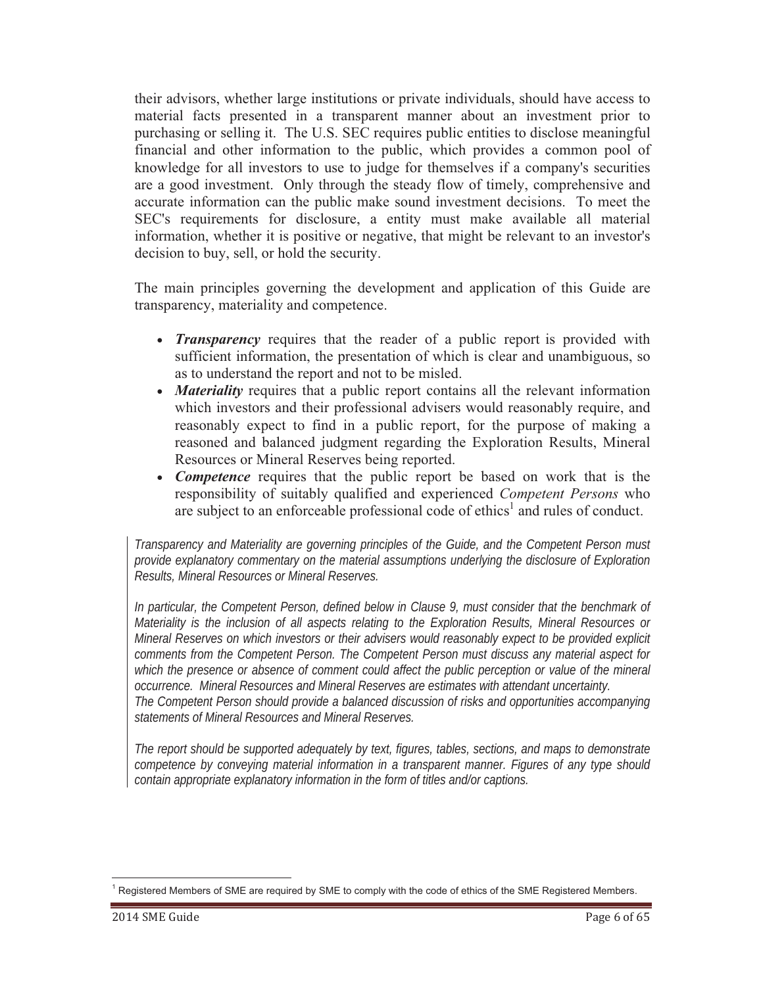their advisors, whether large institutions or private individuals, should have access to material facts presented in a transparent manner about an investment prior to purchasing or selling it. The U.S. SEC requires public entities to disclose meaningful financial and other information to the public, which provides a common pool of knowledge for all investors to use to judge for themselves if a company's securities are a good investment. Only through the steady flow of timely, comprehensive and accurate information can the public make sound investment decisions. To meet the SEC's requirements for disclosure, a entity must make available all material information, whether it is positive or negative, that might be relevant to an investor's decision to buy, sell, or hold the security.

The main principles governing the development and application of this Guide are transparency, materiality and competence.

- *Transparency* requires that the reader of a public report is provided with sufficient information, the presentation of which is clear and unambiguous, so as to understand the report and not to be misled.
- *Materiality* requires that a public report contains all the relevant information which investors and their professional advisers would reasonably require, and reasonably expect to find in a public report, for the purpose of making a reasoned and balanced judgment regarding the Exploration Results, Mineral Resources or Mineral Reserves being reported.
- *Competence* requires that the public report be based on work that is the responsibility of suitably qualified and experienced *Competent Persons* who are subject to an enforceable professional code of ethics<sup>1</sup> and rules of conduct.

*Transparency and Materiality are governing principles of the Guide, and the Competent Person must provide explanatory commentary on the material assumptions underlying the disclosure of Exploration Results, Mineral Resources or Mineral Reserves.* 

*In particular, the Competent Person, defined below in Clause 9, must consider that the benchmark of Materiality is the inclusion of all aspects relating to the Exploration Results, Mineral Resources or Mineral Reserves on which investors or their advisers would reasonably expect to be provided explicit comments from the Competent Person. The Competent Person must discuss any material aspect for*  which the presence or absence of comment could affect the public perception or value of the mineral *occurrence. Mineral Resources and Mineral Reserves are estimates with attendant uncertainty. The Competent Person should provide a balanced discussion of risks and opportunities accompanying statements of Mineral Resources and Mineral Reserves.* 

*The report should be supported adequately by text, figures, tables, sections, and maps to demonstrate competence by conveying material information in a transparent manner. Figures of any type should contain appropriate explanatory information in the form of titles and/or captions.* 

<sup>&</sup>lt;sup>1</sup> Registered Members of SME are required by SME to comply with the code of ethics of the SME Registered Members.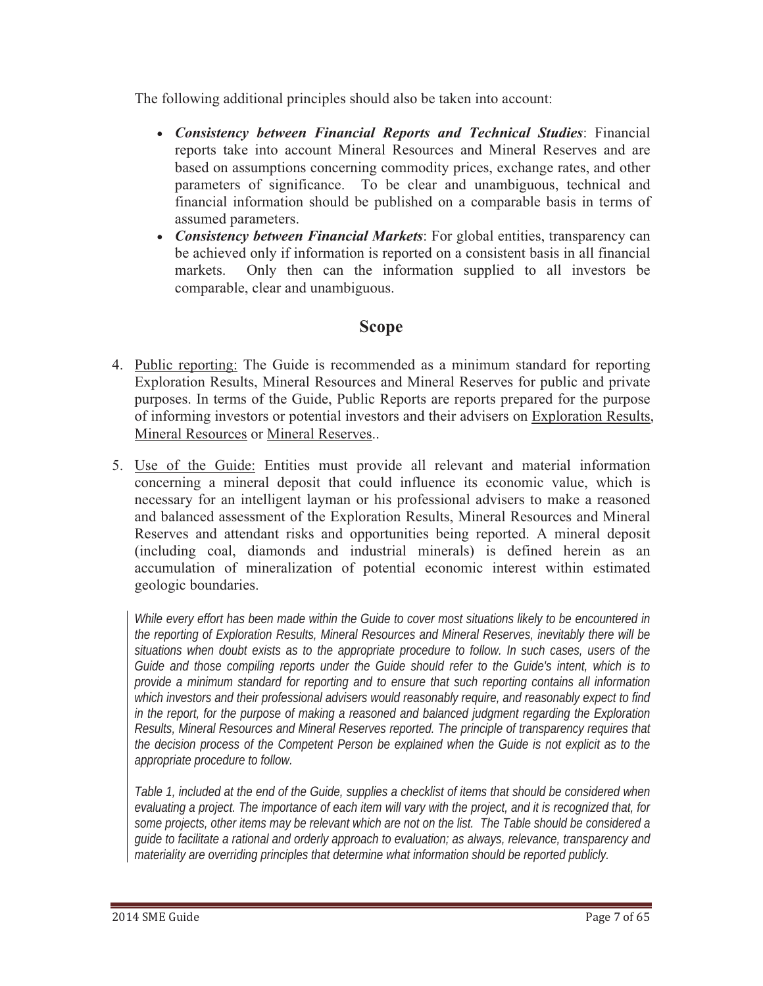The following additional principles should also be taken into account:

- *Consistency between Financial Reports and Technical Studies*: Financial reports take into account Mineral Resources and Mineral Reserves and are based on assumptions concerning commodity prices, exchange rates, and other parameters of significance. To be clear and unambiguous, technical and financial information should be published on a comparable basis in terms of assumed parameters.
- *Consistency between Financial Markets*: For global entities, transparency can be achieved only if information is reported on a consistent basis in all financial markets. Only then can the information supplied to all investors be comparable, clear and unambiguous.

# **Scope**

- 4. Public reporting: The Guide is recommended as a minimum standard for reporting Exploration Results, Mineral Resources and Mineral Reserves for public and private purposes. In terms of the Guide, Public Reports are reports prepared for the purpose of informing investors or potential investors and their advisers on Exploration Results, Mineral Resources or Mineral Reserves..
- 5. Use of the Guide: Entities must provide all relevant and material information concerning a mineral deposit that could influence its economic value, which is necessary for an intelligent layman or his professional advisers to make a reasoned and balanced assessment of the Exploration Results, Mineral Resources and Mineral Reserves and attendant risks and opportunities being reported. A mineral deposit (including coal, diamonds and industrial minerals) is defined herein as an accumulation of mineralization of potential economic interest within estimated geologic boundaries.

*While every effort has been made within the Guide to cover most situations likely to be encountered in the reporting of Exploration Results, Mineral Resources and Mineral Reserves, inevitably there will be situations when doubt exists as to the appropriate procedure to follow. In such cases, users of the Guide and those compiling reports under the Guide should refer to the Guide's intent, which is to provide a minimum standard for reporting and to ensure that such reporting contains all information which investors and their professional advisers would reasonably require, and reasonably expect to find in the report, for the purpose of making a reasoned and balanced judgment regarding the Exploration Results, Mineral Resources and Mineral Reserves reported. The principle of transparency requires that the decision process of the Competent Person be explained when the Guide is not explicit as to the appropriate procedure to follow.* 

*Table 1, included at the end of the Guide, supplies a checklist of items that should be considered when evaluating a project. The importance of each item will vary with the project, and it is recognized that, for some projects, other items may be relevant which are not on the list. The Table should be considered a guide to facilitate a rational and orderly approach to evaluation; as always, relevance, transparency and materiality are overriding principles that determine what information should be reported publicly.*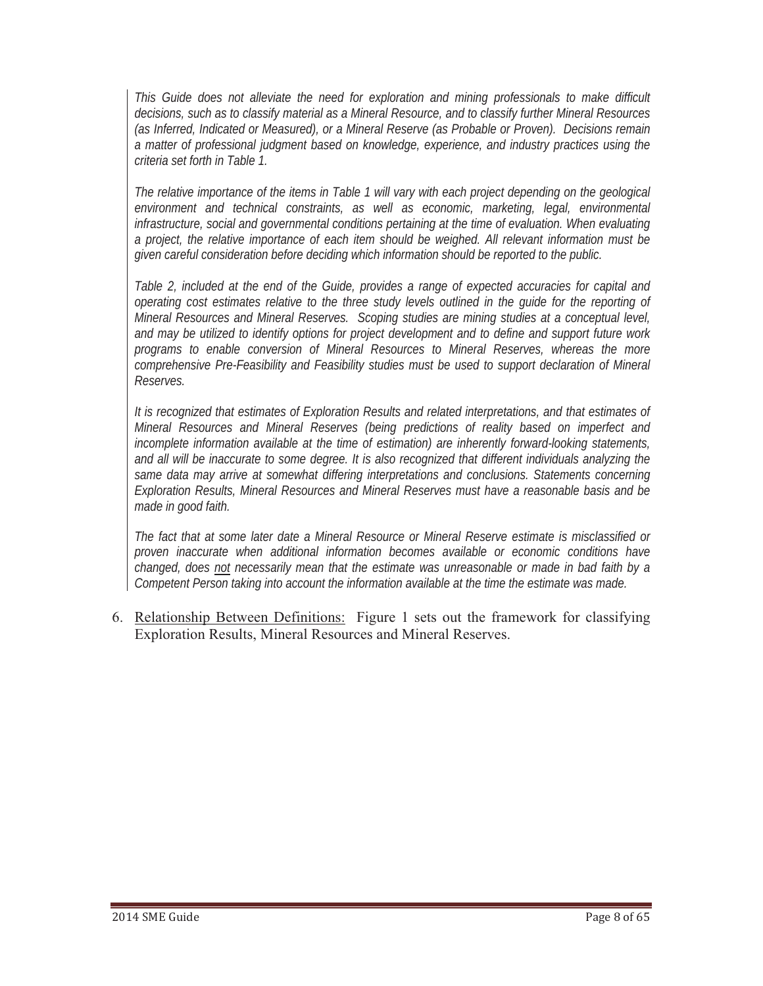*This Guide does not alleviate the need for exploration and mining professionals to make difficult decisions, such as to classify material as a Mineral Resource, and to classify further Mineral Resources (as Inferred, Indicated or Measured), or a Mineral Reserve (as Probable or Proven). Decisions remain a matter of professional judgment based on knowledge, experience, and industry practices using the criteria set forth in Table 1.* 

*The relative importance of the items in Table 1 will vary with each project depending on the geological environment and technical constraints, as well as economic, marketing, legal, environmental infrastructure, social and governmental conditions pertaining at the time of evaluation. When evaluating a project, the relative importance of each item should be weighed. All relevant information must be given careful consideration before deciding which information should be reported to the public.* 

*Table 2, included at the end of the Guide, provides a range of expected accuracies for capital and operating cost estimates relative to the three study levels outlined in the guide for the reporting of Mineral Resources and Mineral Reserves. Scoping studies are mining studies at a conceptual level, and may be utilized to identify options for project development and to define and support future work programs to enable conversion of Mineral Resources to Mineral Reserves, whereas the more comprehensive Pre-Feasibility and Feasibility studies must be used to support declaration of Mineral Reserves.*

*It is recognized that estimates of Exploration Results and related interpretations, and that estimates of Mineral Resources and Mineral Reserves (being predictions of reality based on imperfect and incomplete information available at the time of estimation) are inherently forward-looking statements, and all will be inaccurate to some degree. It is also recognized that different individuals analyzing the same data may arrive at somewhat differing interpretations and conclusions. Statements concerning Exploration Results, Mineral Resources and Mineral Reserves must have a reasonable basis and be made in good faith.* 

*The fact that at some later date a Mineral Resource or Mineral Reserve estimate is misclassified or proven inaccurate when additional information becomes available or economic conditions have changed, does not necessarily mean that the estimate was unreasonable or made in bad faith by a Competent Person taking into account the information available at the time the estimate was made.*

6. Relationship Between Definitions: Figure 1 sets out the framework for classifying Exploration Results, Mineral Resources and Mineral Reserves.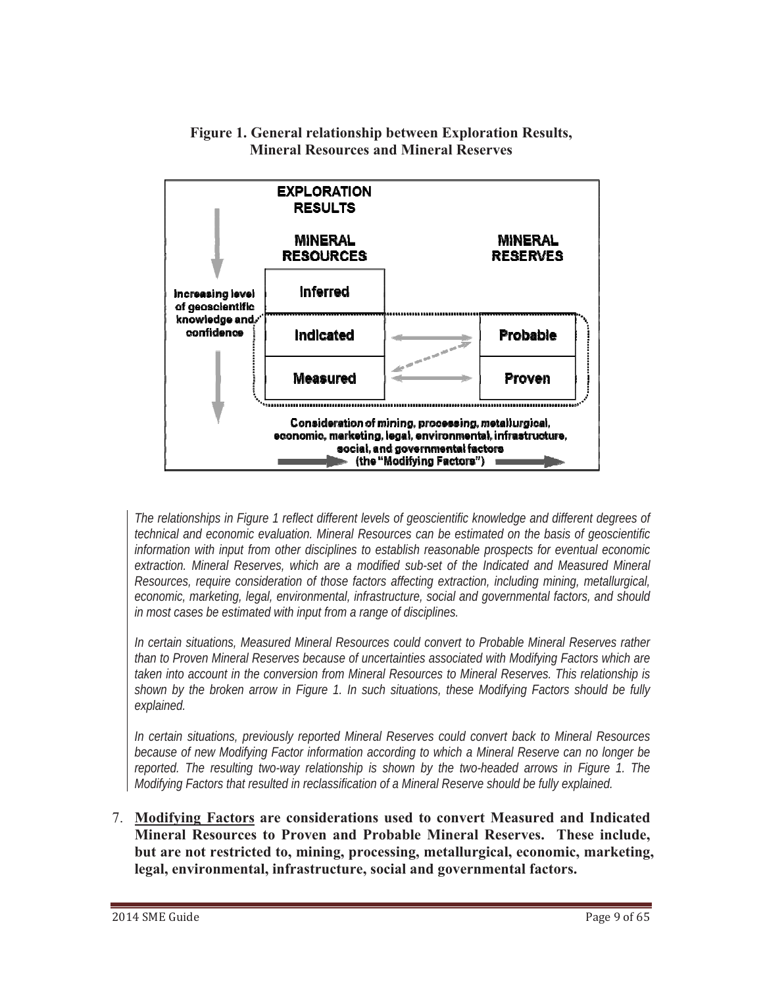

**Figure 1. General relationship between Exploration Results, Mineral Resources and Mineral Reserves** 

*The relationships in Figure 1 reflect different levels of geoscientific knowledge and different degrees of technical and economic evaluation. Mineral Resources can be estimated on the basis of geoscientific information with input from other disciplines to establish reasonable prospects for eventual economic extraction. Mineral Reserves, which are a modified sub-set of the Indicated and Measured Mineral Resources, require consideration of those factors affecting extraction, including mining, metallurgical, economic, marketing, legal, environmental, infrastructure, social and governmental factors, and should in most cases be estimated with input from a range of disciplines.* 

*In certain situations, Measured Mineral Resources could convert to Probable Mineral Reserves rather than to Proven Mineral Reserves because of uncertainties associated with Modifying Factors which are taken into account in the conversion from Mineral Resources to Mineral Reserves. This relationship is shown by the broken arrow in Figure 1. In such situations, these Modifying Factors should be fully explained.*

*In certain situations, previously reported Mineral Reserves could convert back to Mineral Resources because of new Modifying Factor information according to which a Mineral Reserve can no longer be reported. The resulting two-way relationship is shown by the two-headed arrows in Figure 1. The Modifying Factors that resulted in reclassification of a Mineral Reserve should be fully explained.* 

7. **Modifying Factors are considerations used to convert Measured and Indicated Mineral Resources to Proven and Probable Mineral Reserves. These include, but are not restricted to, mining, processing, metallurgical, economic, marketing, legal, environmental, infrastructure, social and governmental factors.**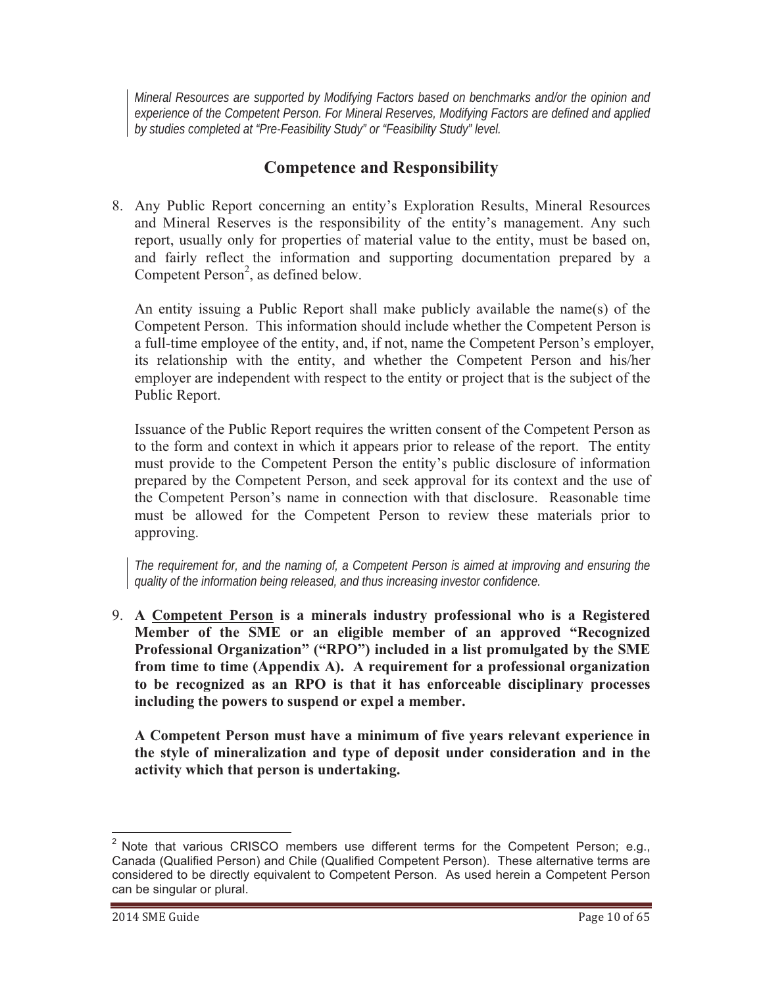*Mineral Resources are supported by Modifying Factors based on benchmarks and/or the opinion and experience of the Competent Person. For Mineral Reserves, Modifying Factors are defined and applied by studies completed at "Pre-Feasibility Study" or "Feasibility Study" level.*

### **Competence and Responsibility**

8. Any Public Report concerning an entity's Exploration Results, Mineral Resources and Mineral Reserves is the responsibility of the entity's management. Any such report, usually only for properties of material value to the entity, must be based on, and fairly reflect the information and supporting documentation prepared by a Competent Person<sup>2</sup>, as defined below.

An entity issuing a Public Report shall make publicly available the name(s) of the Competent Person. This information should include whether the Competent Person is a full-time employee of the entity, and, if not, name the Competent Person's employer, its relationship with the entity, and whether the Competent Person and his/her employer are independent with respect to the entity or project that is the subject of the Public Report.

Issuance of the Public Report requires the written consent of the Competent Person as to the form and context in which it appears prior to release of the report. The entity must provide to the Competent Person the entity's public disclosure of information prepared by the Competent Person, and seek approval for its context and the use of the Competent Person's name in connection with that disclosure. Reasonable time must be allowed for the Competent Person to review these materials prior to approving.

*The requirement for, and the naming of, a Competent Person is aimed at improving and ensuring the quality of the information being released, and thus increasing investor confidence.*

9. **A Competent Person is a minerals industry professional who is a Registered Member of the SME or an eligible member of an approved "Recognized Professional Organization" ("RPO") included in a list promulgated by the SME from time to time (Appendix A). A requirement for a professional organization to be recognized as an RPO is that it has enforceable disciplinary processes including the powers to suspend or expel a member.** 

**A Competent Person must have a minimum of five years relevant experience in the style of mineralization and type of deposit under consideration and in the activity which that person is undertaking.**

 $2$  Note that various CRISCO members use different terms for the Competent Person; e.g., Canada (Qualified Person) and Chile (Qualified Competent Person). These alternative terms are considered to be directly equivalent to Competent Person. As used herein a Competent Person can be singular or plural.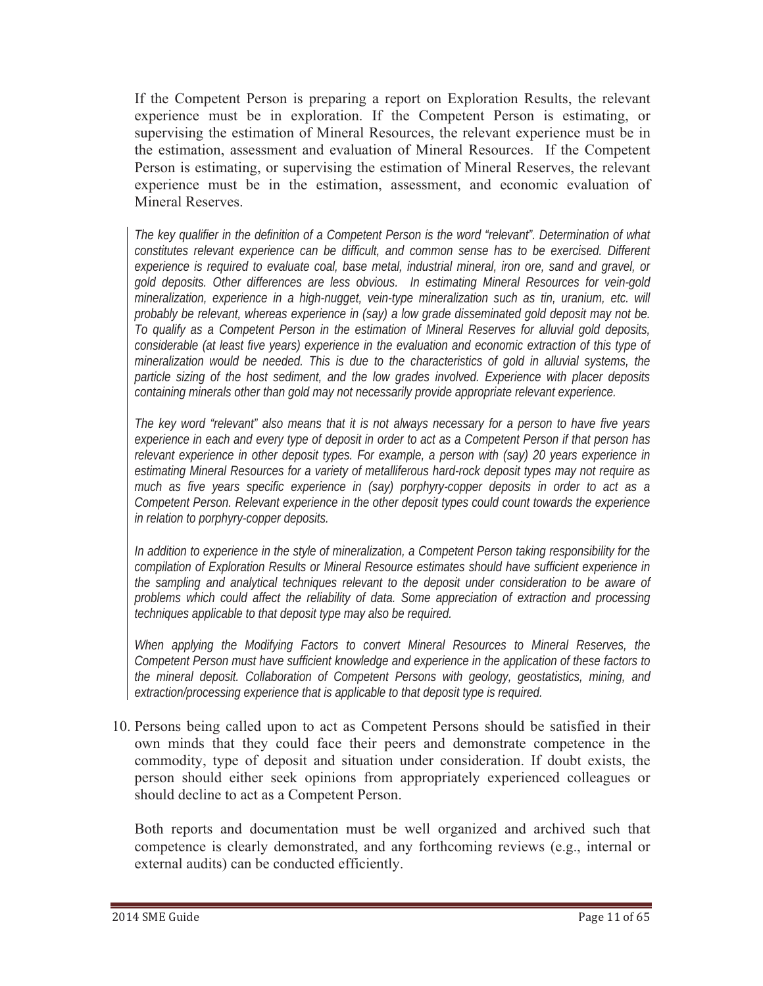If the Competent Person is preparing a report on Exploration Results, the relevant experience must be in exploration. If the Competent Person is estimating, or supervising the estimation of Mineral Resources, the relevant experience must be in the estimation, assessment and evaluation of Mineral Resources. If the Competent Person is estimating, or supervising the estimation of Mineral Reserves, the relevant experience must be in the estimation, assessment, and economic evaluation of Mineral Reserves.

*The key qualifier in the definition of a Competent Person is the word "relevant". Determination of what constitutes relevant experience can be difficult, and common sense has to be exercised. Different experience is required to evaluate coal, base metal, industrial mineral, iron ore, sand and gravel, or gold deposits. Other differences are less obvious. In estimating Mineral Resources for vein-gold mineralization, experience in a high-nugget, vein-type mineralization such as tin, uranium, etc. will probably be relevant, whereas experience in (say) a low grade disseminated gold deposit may not be. To qualify as a Competent Person in the estimation of Mineral Reserves for alluvial gold deposits, considerable (at least five years) experience in the evaluation and economic extraction of this type of mineralization would be needed. This is due to the characteristics of gold in alluvial systems, the particle sizing of the host sediment, and the low grades involved. Experience with placer deposits containing minerals other than gold may not necessarily provide appropriate relevant experience.* 

*The key word "relevant" also means that it is not always necessary for a person to have five years experience in each and every type of deposit in order to act as a Competent Person if that person has relevant experience in other deposit types. For example, a person with (say) 20 years experience in estimating Mineral Resources for a variety of metalliferous hard-rock deposit types may not require as much as five years specific experience in (say) porphyry-copper deposits in order to act as a Competent Person. Relevant experience in the other deposit types could count towards the experience in relation to porphyry-copper deposits.* 

*In addition to experience in the style of mineralization, a Competent Person taking responsibility for the compilation of Exploration Results or Mineral Resource estimates should have sufficient experience in the sampling and analytical techniques relevant to the deposit under consideration to be aware of problems which could affect the reliability of data. Some appreciation of extraction and processing techniques applicable to that deposit type may also be required.* 

*When applying the Modifying Factors to convert Mineral Resources to Mineral Reserves, the Competent Person must have sufficient knowledge and experience in the application of these factors to the mineral deposit. Collaboration of Competent Persons with geology, geostatistics, mining, and extraction/processing experience that is applicable to that deposit type is required.* 

10. Persons being called upon to act as Competent Persons should be satisfied in their own minds that they could face their peers and demonstrate competence in the commodity, type of deposit and situation under consideration. If doubt exists, the person should either seek opinions from appropriately experienced colleagues or should decline to act as a Competent Person.

Both reports and documentation must be well organized and archived such that competence is clearly demonstrated, and any forthcoming reviews (e.g., internal or external audits) can be conducted efficiently.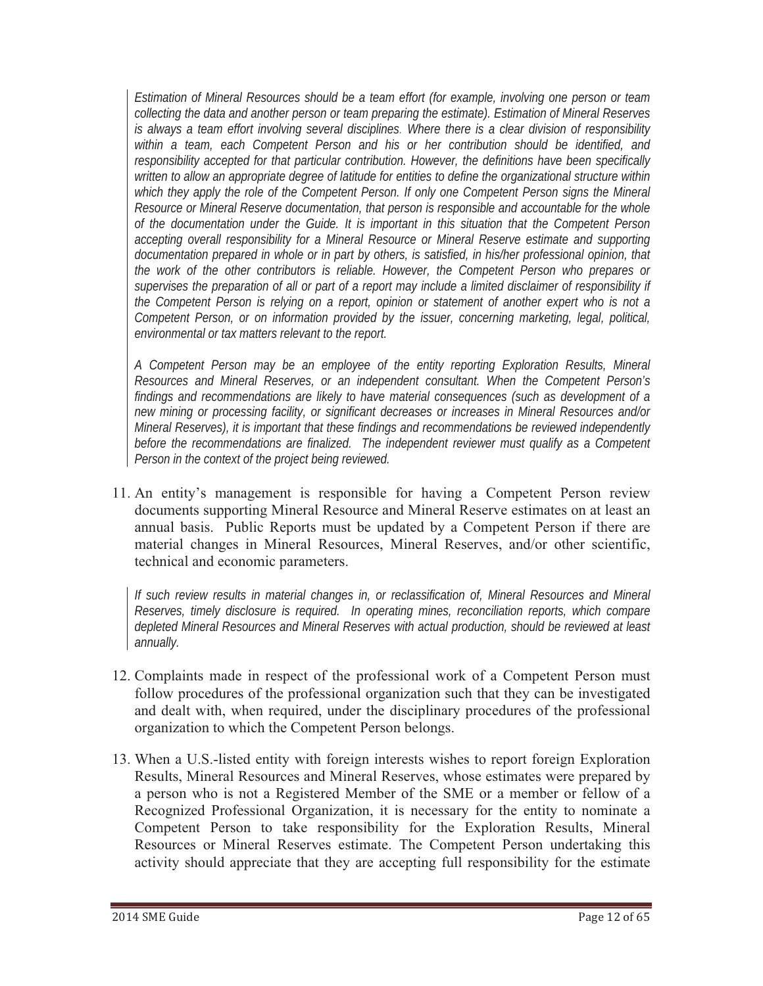*Estimation of Mineral Resources should be a team effort (for example, involving one person or team collecting the data and another person or team preparing the estimate). Estimation of Mineral Reserves is always a team effort involving several disciplines. Where there is a clear division of responsibility within a team, each Competent Person and his or her contribution should be identified, and responsibility accepted for that particular contribution. However, the definitions have been specifically written to allow an appropriate degree of latitude for entities to define the organizational structure within which they apply the role of the Competent Person. If only one Competent Person signs the Mineral Resource or Mineral Reserve documentation, that person is responsible and accountable for the whole of the documentation under the Guide. It is important in this situation that the Competent Person accepting overall responsibility for a Mineral Resource or Mineral Reserve estimate and supporting documentation prepared in whole or in part by others, is satisfied, in his/her professional opinion, that the work of the other contributors is reliable. However, the Competent Person who prepares or supervises the preparation of all or part of a report may include a limited disclaimer of responsibility if the Competent Person is relying on a report, opinion or statement of another expert who is not a Competent Person, or on information provided by the issuer, concerning marketing, legal, political, environmental or tax matters relevant to the report.* 

*A Competent Person may be an employee of the entity reporting Exploration Results, Mineral Resources and Mineral Reserves, or an independent consultant. When the Competent Person's findings and recommendations are likely to have material consequences (such as development of a new mining or processing facility, or significant decreases or increases in Mineral Resources and/or Mineral Reserves), it is important that these findings and recommendations be reviewed independently before the recommendations are finalized. The independent reviewer must qualify as a Competent Person in the context of the project being reviewed.*

11. An entity's management is responsible for having a Competent Person review documents supporting Mineral Resource and Mineral Reserve estimates on at least an annual basis. Public Reports must be updated by a Competent Person if there are material changes in Mineral Resources, Mineral Reserves, and/or other scientific, technical and economic parameters.

*If such review results in material changes in, or reclassification of, Mineral Resources and Mineral Reserves, timely disclosure is required. In operating mines, reconciliation reports, which compare depleted Mineral Resources and Mineral Reserves with actual production, should be reviewed at least annually.*

- 12. Complaints made in respect of the professional work of a Competent Person must follow procedures of the professional organization such that they can be investigated and dealt with, when required, under the disciplinary procedures of the professional organization to which the Competent Person belongs.
- 13. When a U.S.-listed entity with foreign interests wishes to report foreign Exploration Results, Mineral Resources and Mineral Reserves, whose estimates were prepared by a person who is not a Registered Member of the SME or a member or fellow of a Recognized Professional Organization, it is necessary for the entity to nominate a Competent Person to take responsibility for the Exploration Results, Mineral Resources or Mineral Reserves estimate. The Competent Person undertaking this activity should appreciate that they are accepting full responsibility for the estimate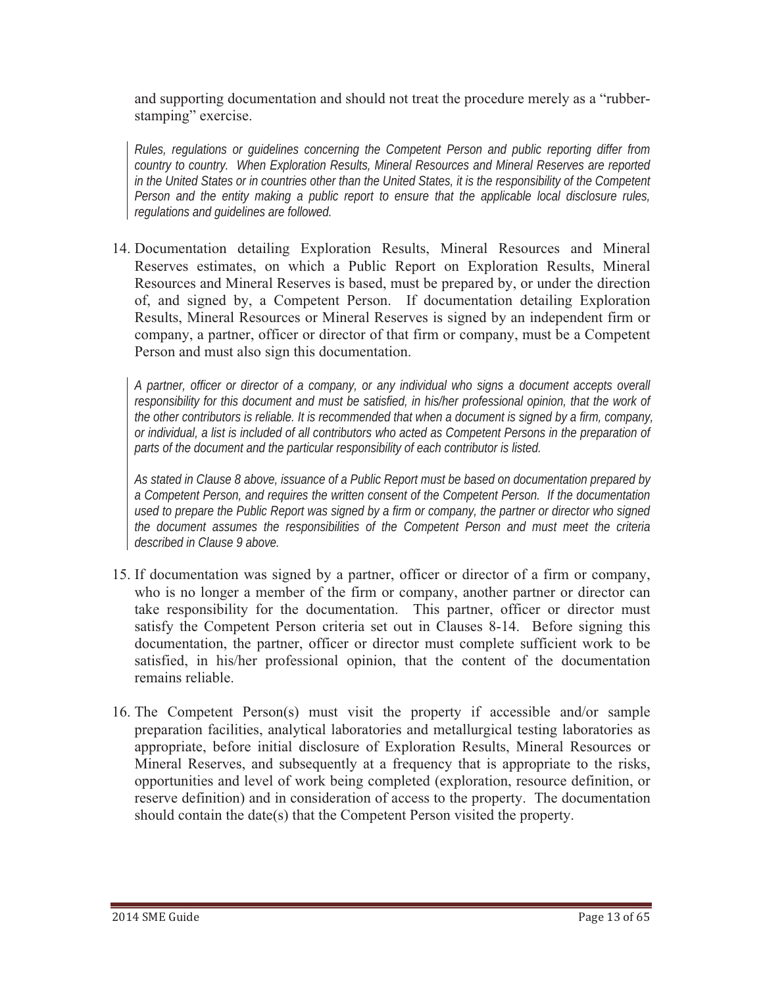and supporting documentation and should not treat the procedure merely as a "rubberstamping" exercise.

*Rules, regulations or guidelines concerning the Competent Person and public reporting differ from country to country. When Exploration Results, Mineral Resources and Mineral Reserves are reported in the United States or in countries other than the United States, it is the responsibility of the Competent Person and the entity making a public report to ensure that the applicable local disclosure rules, regulations and guidelines are followed.* 

14. Documentation detailing Exploration Results, Mineral Resources and Mineral Reserves estimates, on which a Public Report on Exploration Results, Mineral Resources and Mineral Reserves is based, must be prepared by, or under the direction of, and signed by, a Competent Person. If documentation detailing Exploration Results, Mineral Resources or Mineral Reserves is signed by an independent firm or company, a partner, officer or director of that firm or company, must be a Competent Person and must also sign this documentation.

*A partner, officer or director of a company, or any individual who signs a document accepts overall*  responsibility for this document and must be satisfied, in his/her professional opinion, that the work of *the other contributors is reliable. It is recommended that when a document is signed by a firm, company, or individual, a list is included of all contributors who acted as Competent Persons in the preparation of parts of the document and the particular responsibility of each contributor is listed.* 

*As stated in Clause 8 above, issuance of a Public Report must be based on documentation prepared by a Competent Person, and requires the written consent of the Competent Person. If the documentation used to prepare the Public Report was signed by a firm or company, the partner or director who signed the document assumes the responsibilities of the Competent Person and must meet the criteria described in Clause 9 above.* 

- 15. If documentation was signed by a partner, officer or director of a firm or company, who is no longer a member of the firm or company, another partner or director can take responsibility for the documentation. This partner, officer or director must satisfy the Competent Person criteria set out in Clauses 8-14. Before signing this documentation, the partner, officer or director must complete sufficient work to be satisfied, in his/her professional opinion, that the content of the documentation remains reliable.
- 16. The Competent Person(s) must visit the property if accessible and/or sample preparation facilities, analytical laboratories and metallurgical testing laboratories as appropriate, before initial disclosure of Exploration Results, Mineral Resources or Mineral Reserves, and subsequently at a frequency that is appropriate to the risks, opportunities and level of work being completed (exploration, resource definition, or reserve definition) and in consideration of access to the property. The documentation should contain the date(s) that the Competent Person visited the property.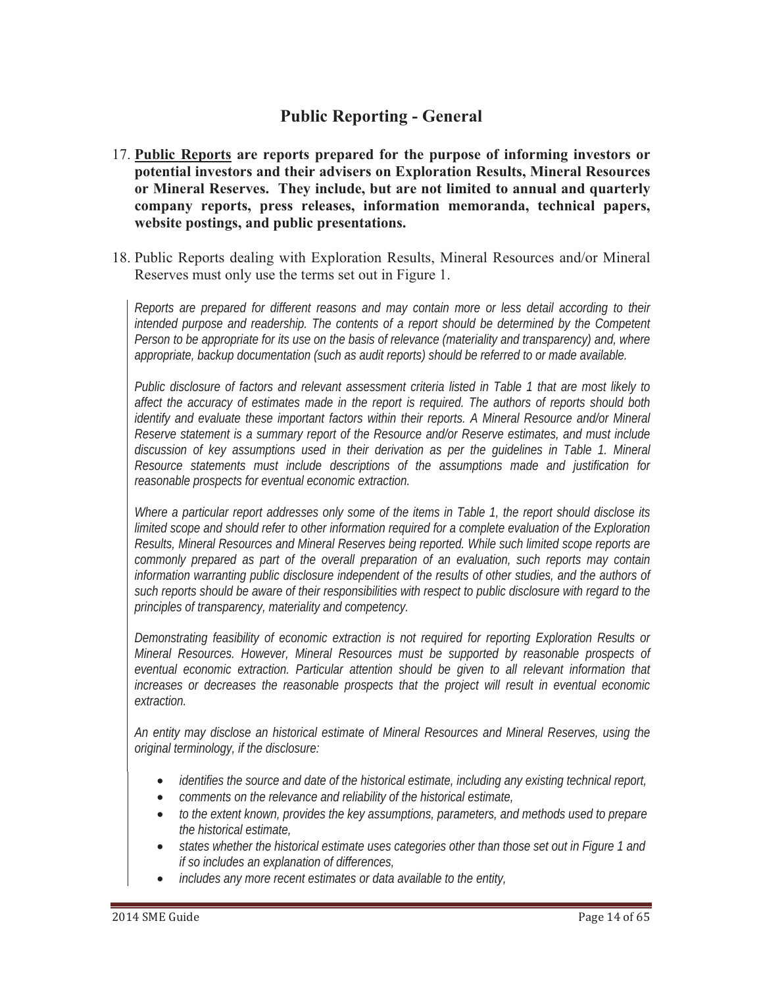# **Public Reporting - General**

- 17. **Public Reports are reports prepared for the purpose of informing investors or potential investors and their advisers on Exploration Results, Mineral Resources or Mineral Reserves. They include, but are not limited to annual and quarterly company reports, press releases, information memoranda, technical papers, website postings, and public presentations.**
- 18. Public Reports dealing with Exploration Results, Mineral Resources and/or Mineral Reserves must only use the terms set out in Figure 1.

*Reports are prepared for different reasons and may contain more or less detail according to their intended purpose and readership. The contents of a report should be determined by the Competent Person to be appropriate for its use on the basis of relevance (materiality and transparency) and, where appropriate, backup documentation (such as audit reports) should be referred to or made available.*

*Public disclosure of factors and relevant assessment criteria listed in Table 1 that are most likely to affect the accuracy of estimates made in the report is required. The authors of reports should both identify and evaluate these important factors within their reports. A Mineral Resource and/or Mineral Reserve statement is a summary report of the Resource and/or Reserve estimates, and must include discussion of key assumptions used in their derivation as per the guidelines in Table 1. Mineral Resource statements must include descriptions of the assumptions made and justification for reasonable prospects for eventual economic extraction.* 

*Where a particular report addresses only some of the items in Table 1, the report should disclose its limited scope and should refer to other information required for a complete evaluation of the Exploration Results, Mineral Resources and Mineral Reserves being reported. While such limited scope reports are commonly prepared as part of the overall preparation of an evaluation, such reports may contain*  information warranting public disclosure independent of the results of other studies, and the authors of *such reports should be aware of their responsibilities with respect to public disclosure with regard to the principles of transparency, materiality and competency.* 

*Demonstrating feasibility of economic extraction is not required for reporting Exploration Results or Mineral Resources. However, Mineral Resources must be supported by reasonable prospects of eventual economic extraction. Particular attention should be given to all relevant information that increases or decreases the reasonable prospects that the project will result in eventual economic extraction.*

*An entity may disclose an historical estimate of Mineral Resources and Mineral Reserves, using the original terminology, if the disclosure:* 

- *identifies the source and date of the historical estimate, including any existing technical report,*
- *comments on the relevance and reliability of the historical estimate,*
- *to the extent known, provides the key assumptions, parameters, and methods used to prepare the historical estimate,*
- *states whether the historical estimate uses categories other than those set out in Figure 1 and if so includes an explanation of differences,*
- *includes any more recent estimates or data available to the entity,*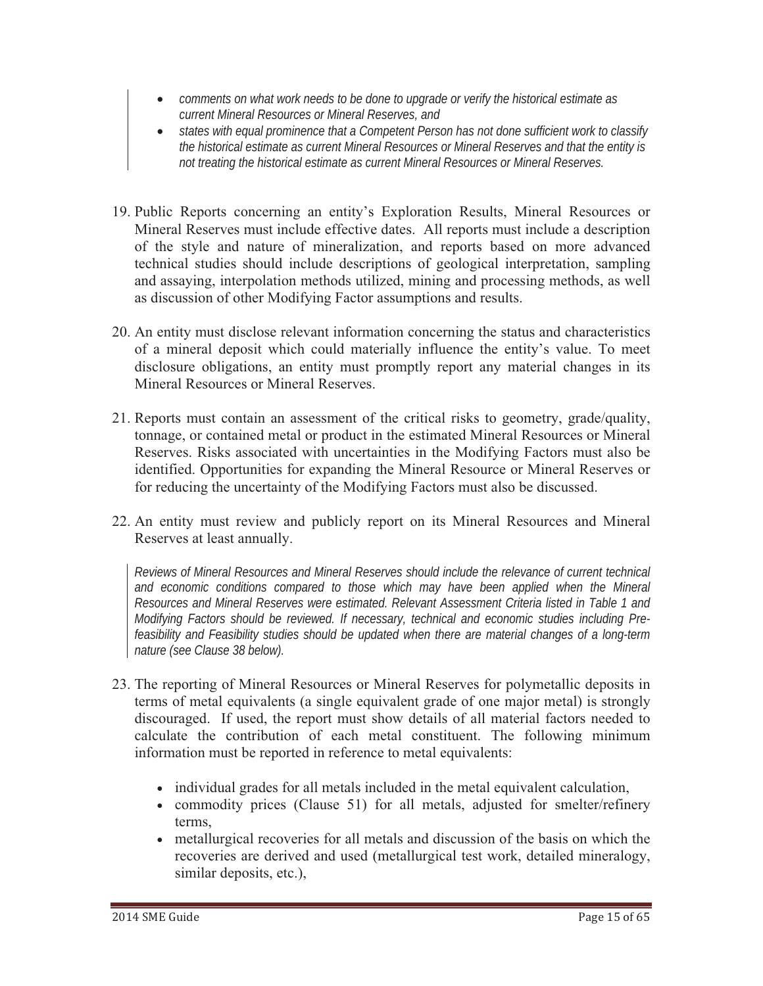- *comments on what work needs to be done to upgrade or verify the historical estimate as current Mineral Resources or Mineral Reserves, and*
- *states with equal prominence that a Competent Person has not done sufficient work to classify the historical estimate as current Mineral Resources or Mineral Reserves and that the entity is not treating the historical estimate as current Mineral Resources or Mineral Reserves.*
- 19. Public Reports concerning an entity's Exploration Results, Mineral Resources or Mineral Reserves must include effective dates. All reports must include a description of the style and nature of mineralization, and reports based on more advanced technical studies should include descriptions of geological interpretation, sampling and assaying, interpolation methods utilized, mining and processing methods, as well as discussion of other Modifying Factor assumptions and results.
- 20. An entity must disclose relevant information concerning the status and characteristics of a mineral deposit which could materially influence the entity's value. To meet disclosure obligations, an entity must promptly report any material changes in its Mineral Resources or Mineral Reserves.
- 21. Reports must contain an assessment of the critical risks to geometry, grade/quality, tonnage, or contained metal or product in the estimated Mineral Resources or Mineral Reserves. Risks associated with uncertainties in the Modifying Factors must also be identified. Opportunities for expanding the Mineral Resource or Mineral Reserves or for reducing the uncertainty of the Modifying Factors must also be discussed.
- 22. An entity must review and publicly report on its Mineral Resources and Mineral Reserves at least annually.

*Reviews of Mineral Resources and Mineral Reserves should include the relevance of current technical and economic conditions compared to those which may have been applied when the Mineral Resources and Mineral Reserves were estimated. Relevant Assessment Criteria listed in Table 1 and Modifying Factors should be reviewed. If necessary, technical and economic studies including Prefeasibility and Feasibility studies should be updated when there are material changes of a long-term nature (see Clause 38 below).* 

- 23. The reporting of Mineral Resources or Mineral Reserves for polymetallic deposits in terms of metal equivalents (a single equivalent grade of one major metal) is strongly discouraged. If used, the report must show details of all material factors needed to calculate the contribution of each metal constituent. The following minimum information must be reported in reference to metal equivalents:
	- individual grades for all metals included in the metal equivalent calculation,
	- commodity prices (Clause 51) for all metals, adjusted for smelter/refinery terms,
	- metallurgical recoveries for all metals and discussion of the basis on which the recoveries are derived and used (metallurgical test work, detailed mineralogy, similar deposits, etc.),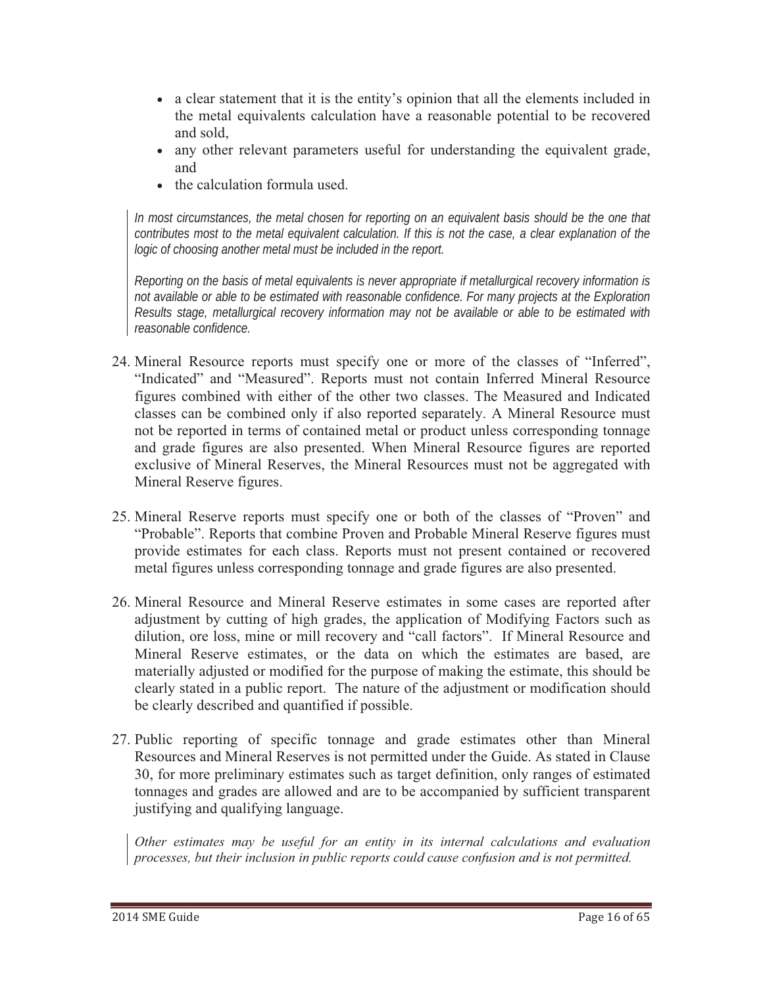- a clear statement that it is the entity's opinion that all the elements included in the metal equivalents calculation have a reasonable potential to be recovered and sold,
- any other relevant parameters useful for understanding the equivalent grade, and
- the calculation formula used.

*In most circumstances, the metal chosen for reporting on an equivalent basis should be the one that contributes most to the metal equivalent calculation. If this is not the case, a clear explanation of the logic of choosing another metal must be included in the report.*

*Reporting on the basis of metal equivalents is never appropriate if metallurgical recovery information is not available or able to be estimated with reasonable confidence. For many projects at the Exploration Results stage, metallurgical recovery information may not be available or able to be estimated with reasonable confidence.* 

- 24. Mineral Resource reports must specify one or more of the classes of "Inferred", "Indicated" and "Measured". Reports must not contain Inferred Mineral Resource figures combined with either of the other two classes. The Measured and Indicated classes can be combined only if also reported separately. A Mineral Resource must not be reported in terms of contained metal or product unless corresponding tonnage and grade figures are also presented. When Mineral Resource figures are reported exclusive of Mineral Reserves, the Mineral Resources must not be aggregated with Mineral Reserve figures.
- 25. Mineral Reserve reports must specify one or both of the classes of "Proven" and "Probable". Reports that combine Proven and Probable Mineral Reserve figures must provide estimates for each class. Reports must not present contained or recovered metal figures unless corresponding tonnage and grade figures are also presented.
- 26. Mineral Resource and Mineral Reserve estimates in some cases are reported after adjustment by cutting of high grades, the application of Modifying Factors such as dilution, ore loss, mine or mill recovery and "call factors". If Mineral Resource and Mineral Reserve estimates, or the data on which the estimates are based, are materially adjusted or modified for the purpose of making the estimate, this should be clearly stated in a public report. The nature of the adjustment or modification should be clearly described and quantified if possible.
- 27. Public reporting of specific tonnage and grade estimates other than Mineral Resources and Mineral Reserves is not permitted under the Guide. As stated in Clause 30, for more preliminary estimates such as target definition, only ranges of estimated tonnages and grades are allowed and are to be accompanied by sufficient transparent justifying and qualifying language.

*Other estimates may be useful for an entity in its internal calculations and evaluation processes, but their inclusion in public reports could cause confusion and is not permitted.*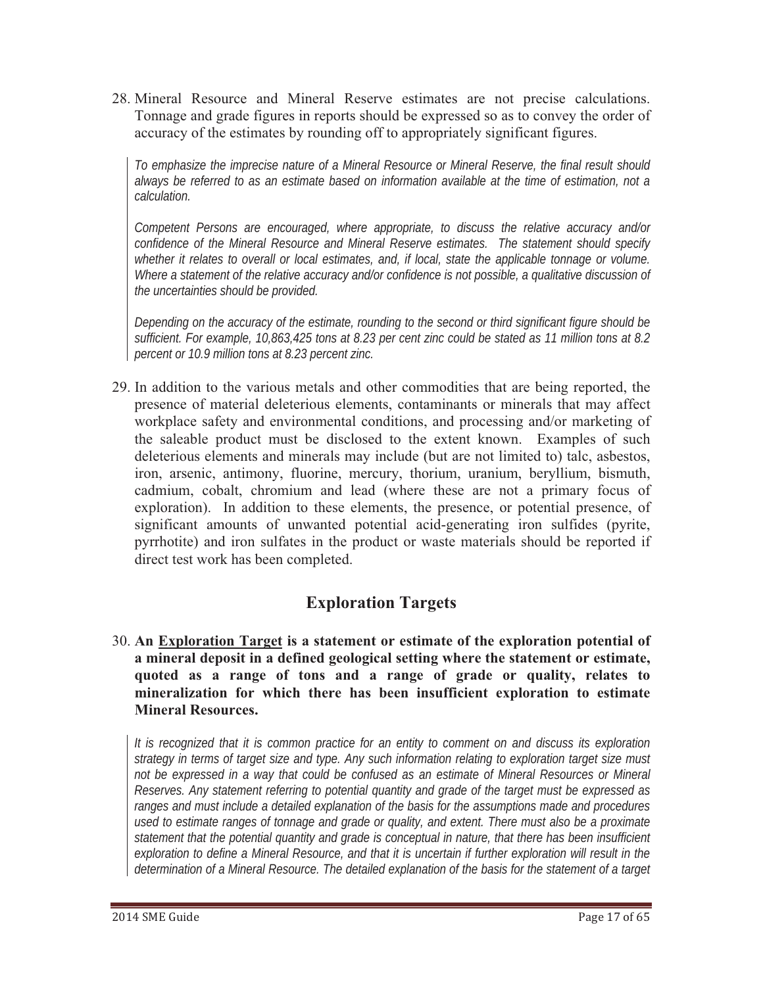28. Mineral Resource and Mineral Reserve estimates are not precise calculations. Tonnage and grade figures in reports should be expressed so as to convey the order of accuracy of the estimates by rounding off to appropriately significant figures.

*To emphasize the imprecise nature of a Mineral Resource or Mineral Reserve, the final result should always be referred to as an estimate based on information available at the time of estimation, not a calculation.*

*Competent Persons are encouraged, where appropriate, to discuss the relative accuracy and/or confidence of the Mineral Resource and Mineral Reserve estimates. The statement should specify whether it relates to overall or local estimates, and, if local, state the applicable tonnage or volume. Where a statement of the relative accuracy and/or confidence is not possible, a qualitative discussion of the uncertainties should be provided.* 

*Depending on the accuracy of the estimate, rounding to the second or third significant figure should be sufficient. For example, 10,863,425 tons at 8.23 per cent zinc could be stated as 11 million tons at 8.2 percent or 10.9 million tons at 8.23 percent zinc.*

29. In addition to the various metals and other commodities that are being reported, the presence of material deleterious elements, contaminants or minerals that may affect workplace safety and environmental conditions, and processing and/or marketing of the saleable product must be disclosed to the extent known. Examples of such deleterious elements and minerals may include (but are not limited to) talc, asbestos, iron, arsenic, antimony, fluorine, mercury, thorium, uranium, beryllium, bismuth, cadmium, cobalt, chromium and lead (where these are not a primary focus of exploration). In addition to these elements, the presence, or potential presence, of significant amounts of unwanted potential acid-generating iron sulfides (pyrite, pyrrhotite) and iron sulfates in the product or waste materials should be reported if direct test work has been completed.

# **Exploration Targets**

30. **An Exploration Target is a statement or estimate of the exploration potential of a mineral deposit in a defined geological setting where the statement or estimate, quoted as a range of tons and a range of grade or quality, relates to mineralization for which there has been insufficient exploration to estimate Mineral Resources.**

*It is recognized that it is common practice for an entity to comment on and discuss its exploration strategy in terms of target size and type. Any such information relating to exploration target size must not be expressed in a way that could be confused as an estimate of Mineral Resources or Mineral Reserves. Any statement referring to potential quantity and grade of the target must be expressed as ranges and must include a detailed explanation of the basis for the assumptions made and procedures used to estimate ranges of tonnage and grade or quality, and extent. There must also be a proximate statement that the potential quantity and grade is conceptual in nature, that there has been insufficient exploration to define a Mineral Resource, and that it is uncertain if further exploration will result in the determination of a Mineral Resource. The detailed explanation of the basis for the statement of a target*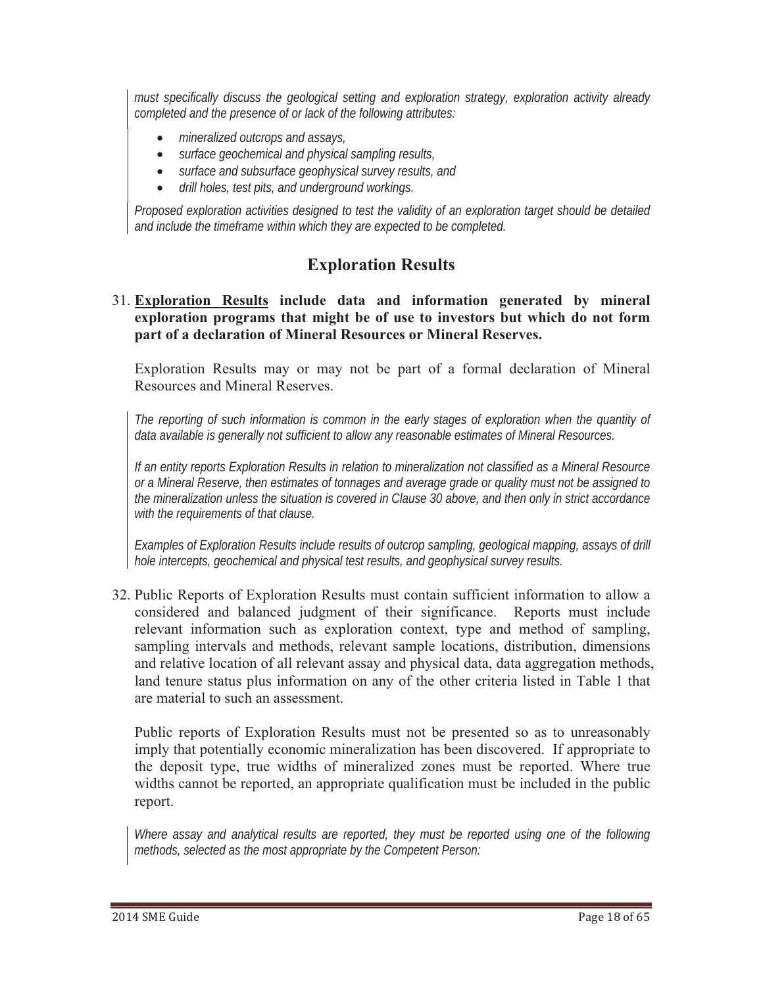*must specifically discuss the geological setting and exploration strategy, exploration activity already completed and the presence of or lack of the following attributes:* 

- *mineralized outcrops and assays,*
- *surface geochemical and physical sampling results,*
- *surface and subsurface geophysical survey results, and*
- $\bullet$ *drill holes, test pits, and underground workings.*

*Proposed exploration activities designed to test the validity of an exploration target should be detailed and include the timeframe within which they are expected to be completed.* 

# **Exploration Results**

31. **Exploration Results include data and information generated by mineral exploration programs that might be of use to investors but which do not form part of a declaration of Mineral Resources or Mineral Reserves.**

Exploration Results may or may not be part of a formal declaration of Mineral Resources and Mineral Reserves.

*The reporting of such information is common in the early stages of exploration when the quantity of data available is generally not sufficient to allow any reasonable estimates of Mineral Resources.* 

*If an entity reports Exploration Results in relation to mineralization not classified as a Mineral Resource or a Mineral Reserve, then estimates of tonnages and average grade or quality must not be assigned to the mineralization unless the situation is covered in Clause 30 above, and then only in strict accordance with the requirements of that clause.* 

*Examples of Exploration Results include results of outcrop sampling, geological mapping, assays of drill hole intercepts, geochemical and physical test results, and geophysical survey results.* 

32. Public Reports of Exploration Results must contain sufficient information to allow a considered and balanced judgment of their significance. Reports must include relevant information such as exploration context, type and method of sampling, sampling intervals and methods, relevant sample locations, distribution, dimensions and relative location of all relevant assay and physical data, data aggregation methods, land tenure status plus information on any of the other criteria listed in Table 1 that are material to such an assessment.

Public reports of Exploration Results must not be presented so as to unreasonably imply that potentially economic mineralization has been discovered. If appropriate to the deposit type, true widths of mineralized zones must be reported. Where true widths cannot be reported, an appropriate qualification must be included in the public report.

Where assay and analytical results are reported, they must be reported using one of the following *methods, selected as the most appropriate by the Competent Person:*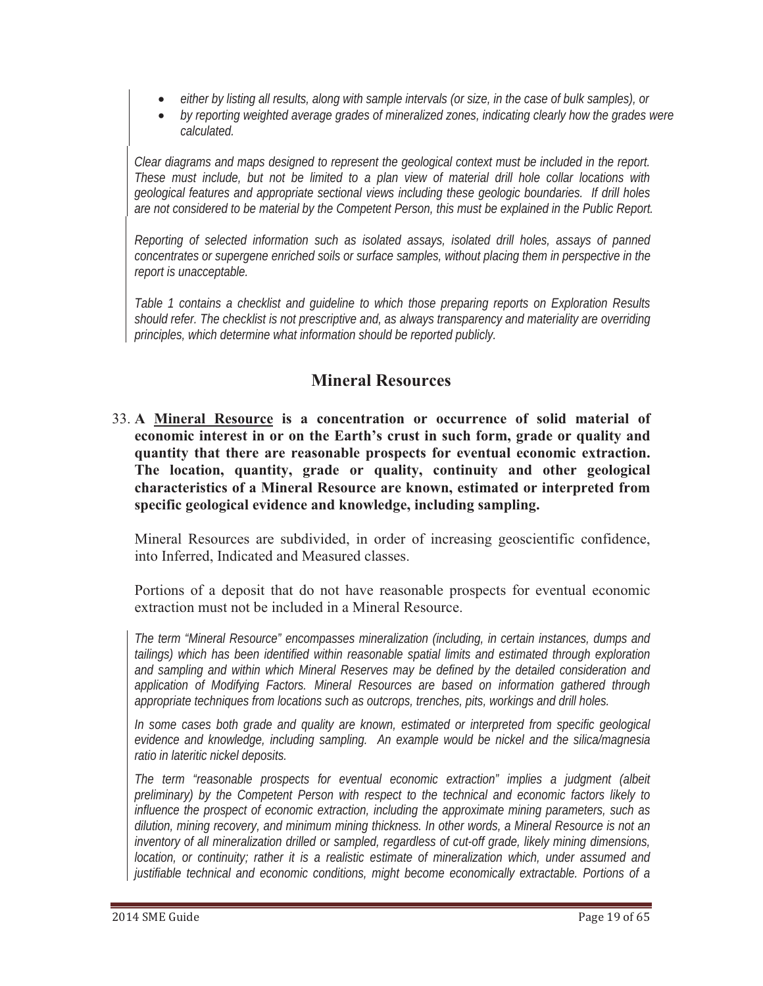- $\bullet$ *either by listing all results, along with sample intervals (or size, in the case of bulk samples), or*
- *by reporting weighted average grades of mineralized zones, indicating clearly how the grades were calculated.*

*Clear diagrams and maps designed to represent the geological context must be included in the report. These must include, but not be limited to a plan view of material drill hole collar locations with geological features and appropriate sectional views including these geologic boundaries. If drill holes are not considered to be material by the Competent Person, this must be explained in the Public Report.* 

*Reporting of selected information such as isolated assays, isolated drill holes, assays of panned concentrates or supergene enriched soils or surface samples, without placing them in perspective in the report is unacceptable.* 

*Table 1 contains a checklist and guideline to which those preparing reports on Exploration Results should refer. The checklist is not prescriptive and, as always transparency and materiality are overriding principles, which determine what information should be reported publicly.* 

# **Mineral Resources**

33. **A Mineral Resource is a concentration or occurrence of solid material of economic interest in or on the Earth's crust in such form, grade or quality and quantity that there are reasonable prospects for eventual economic extraction. The location, quantity, grade or quality, continuity and other geological characteristics of a Mineral Resource are known, estimated or interpreted from specific geological evidence and knowledge, including sampling.**

Mineral Resources are subdivided, in order of increasing geoscientific confidence, into Inferred, Indicated and Measured classes.

Portions of a deposit that do not have reasonable prospects for eventual economic extraction must not be included in a Mineral Resource.

*The term "Mineral Resource" encompasses mineralization (including, in certain instances, dumps and tailings) which has been identified within reasonable spatial limits and estimated through exploration and sampling and within which Mineral Reserves may be defined by the detailed consideration and application of Modifying Factors. Mineral Resources are based on information gathered through appropriate techniques from locations such as outcrops, trenches, pits, workings and drill holes.*

*In some cases both grade and quality are known, estimated or interpreted from specific geological evidence and knowledge, including sampling. An example would be nickel and the silica/magnesia ratio in lateritic nickel deposits.* 

*The term "reasonable prospects for eventual economic extraction" implies a judgment (albeit preliminary) by the Competent Person with respect to the technical and economic factors likely to influence the prospect of economic extraction, including the approximate mining parameters, such as dilution, mining recovery, and minimum mining thickness. In other words, a Mineral Resource is not an inventory of all mineralization drilled or sampled, regardless of cut-off grade, likely mining dimensions, location, or continuity; rather it is a realistic estimate of mineralization which, under assumed and justifiable technical and economic conditions, might become economically extractable. Portions of a*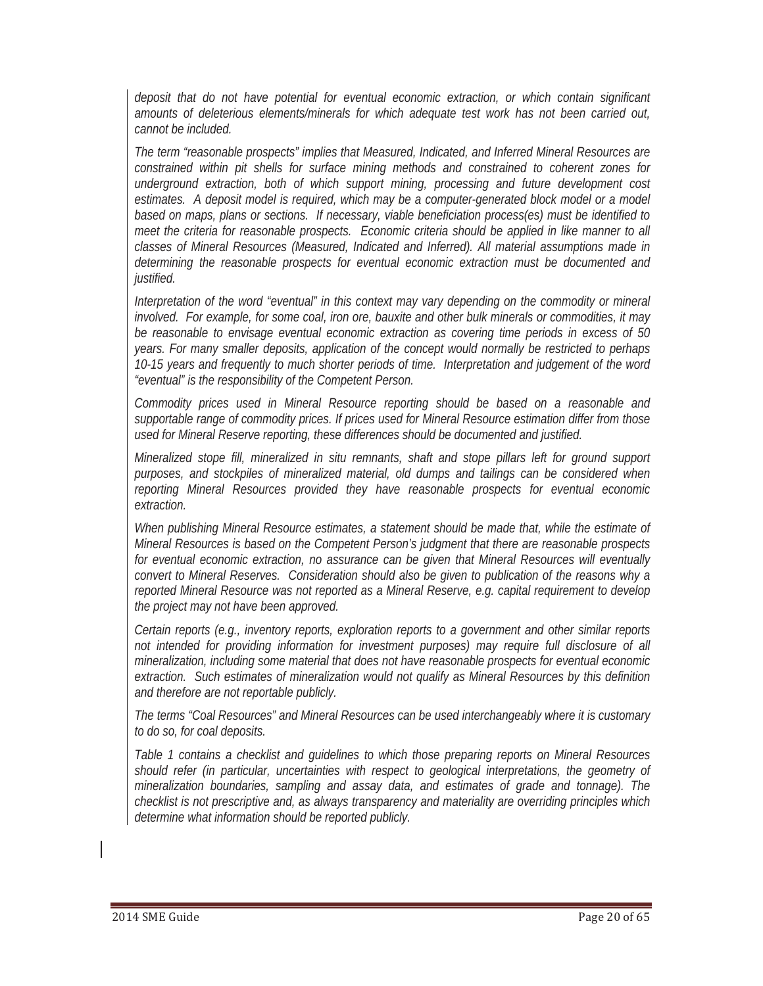*deposit that do not have potential for eventual economic extraction, or which contain significant amounts of deleterious elements/minerals for which adequate test work has not been carried out, cannot be included.* 

*The term "reasonable prospects" implies that Measured, Indicated, and Inferred Mineral Resources are constrained within pit shells for surface mining methods and constrained to coherent zones for underground extraction, both of which support mining, processing and future development cost estimates. A deposit model is required, which may be a computer-generated block model or a model based on maps, plans or sections. If necessary, viable beneficiation process(es) must be identified to meet the criteria for reasonable prospects. Economic criteria should be applied in like manner to all classes of Mineral Resources (Measured, Indicated and Inferred). All material assumptions made in determining the reasonable prospects for eventual economic extraction must be documented and justified.*

*Interpretation of the word "eventual" in this context may vary depending on the commodity or mineral involved. For example, for some coal, iron ore, bauxite and other bulk minerals or commodities, it may be reasonable to envisage eventual economic extraction as covering time periods in excess of 50 years. For many smaller deposits, application of the concept would normally be restricted to perhaps 10-15 years and frequently to much shorter periods of time. Interpretation and judgement of the word "eventual" is the responsibility of the Competent Person.* 

*Commodity prices used in Mineral Resource reporting should be based on a reasonable and supportable range of commodity prices. If prices used for Mineral Resource estimation differ from those used for Mineral Reserve reporting, these differences should be documented and justified.*

*Mineralized stope fill, mineralized in situ remnants, shaft and stope pillars left for ground support purposes, and stockpiles of mineralized material, old dumps and tailings can be considered when reporting Mineral Resources provided they have reasonable prospects for eventual economic extraction.*

*When publishing Mineral Resource estimates, a statement should be made that, while the estimate of Mineral Resources is based on the Competent Person's judgment that there are reasonable prospects for eventual economic extraction, no assurance can be given that Mineral Resources will eventually convert to Mineral Reserves. Consideration should also be given to publication of the reasons why a reported Mineral Resource was not reported as a Mineral Reserve, e.g. capital requirement to develop the project may not have been approved.* 

*Certain reports (e.g., inventory reports, exploration reports to a government and other similar reports not intended for providing information for investment purposes) may require full disclosure of all mineralization, including some material that does not have reasonable prospects for eventual economic extraction. Such estimates of mineralization would not qualify as Mineral Resources by this definition and therefore are not reportable publicly.* 

*The terms "Coal Resources" and Mineral Resources can be used interchangeably where it is customary to do so, for coal deposits.* 

*Table 1 contains a checklist and guidelines to which those preparing reports on Mineral Resources should refer (in particular, uncertainties with respect to geological interpretations, the geometry of mineralization boundaries, sampling and assay data, and estimates of grade and tonnage). The checklist is not prescriptive and, as always transparency and materiality are overriding principles which determine what information should be reported publicly.*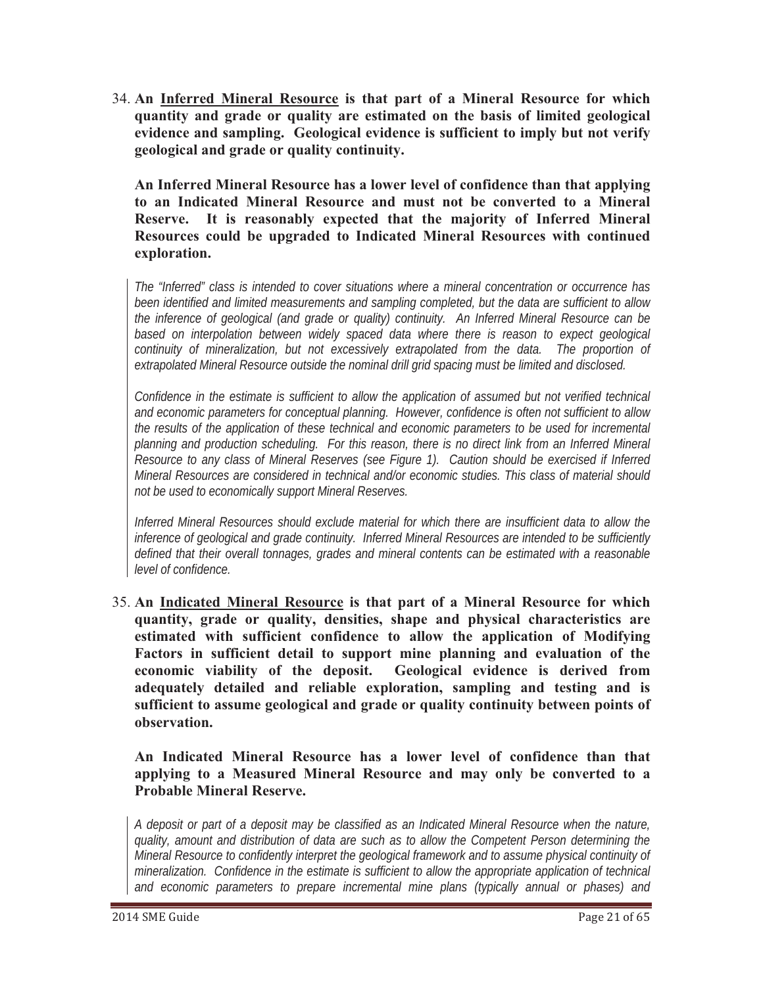34. **An Inferred Mineral Resource is that part of a Mineral Resource for which quantity and grade or quality are estimated on the basis of limited geological evidence and sampling. Geological evidence is sufficient to imply but not verify geological and grade or quality continuity.**

**An Inferred Mineral Resource has a lower level of confidence than that applying to an Indicated Mineral Resource and must not be converted to a Mineral Reserve. It is reasonably expected that the majority of Inferred Mineral Resources could be upgraded to Indicated Mineral Resources with continued exploration.**

*The "Inferred" class is intended to cover situations where a mineral concentration or occurrence has been identified and limited measurements and sampling completed, but the data are sufficient to allow the inference of geological (and grade or quality) continuity. An Inferred Mineral Resource can be*  based on interpolation between widely spaced data where there is reason to expect geological *continuity of mineralization, but not excessively extrapolated from the data. The proportion of extrapolated Mineral Resource outside the nominal drill grid spacing must be limited and disclosed.* 

*Confidence in the estimate is sufficient to allow the application of assumed but not verified technical and economic parameters for conceptual planning. However, confidence is often not sufficient to allow the results of the application of these technical and economic parameters to be used for incremental planning and production scheduling. For this reason, there is no direct link from an Inferred Mineral Resource to any class of Mineral Reserves (see Figure 1). Caution should be exercised if Inferred Mineral Resources are considered in technical and/or economic studies. This class of material should not be used to economically support Mineral Reserves.*

*Inferred Mineral Resources should exclude material for which there are insufficient data to allow the inference of geological and grade continuity. Inferred Mineral Resources are intended to be sufficiently defined that their overall tonnages, grades and mineral contents can be estimated with a reasonable level of confidence.*

35. **An Indicated Mineral Resource is that part of a Mineral Resource for which quantity, grade or quality, densities, shape and physical characteristics are estimated with sufficient confidence to allow the application of Modifying Factors in sufficient detail to support mine planning and evaluation of the economic viability of the deposit. Geological evidence is derived from adequately detailed and reliable exploration, sampling and testing and is sufficient to assume geological and grade or quality continuity between points of observation.**

**An Indicated Mineral Resource has a lower level of confidence than that applying to a Measured Mineral Resource and may only be converted to a Probable Mineral Reserve.** 

*A deposit or part of a deposit may be classified as an Indicated Mineral Resource when the nature, quality, amount and distribution of data are such as to allow the Competent Person determining the Mineral Resource to confidently interpret the geological framework and to assume physical continuity of mineralization. Confidence in the estimate is sufficient to allow the appropriate application of technical and economic parameters to prepare incremental mine plans (typically annual or phases) and*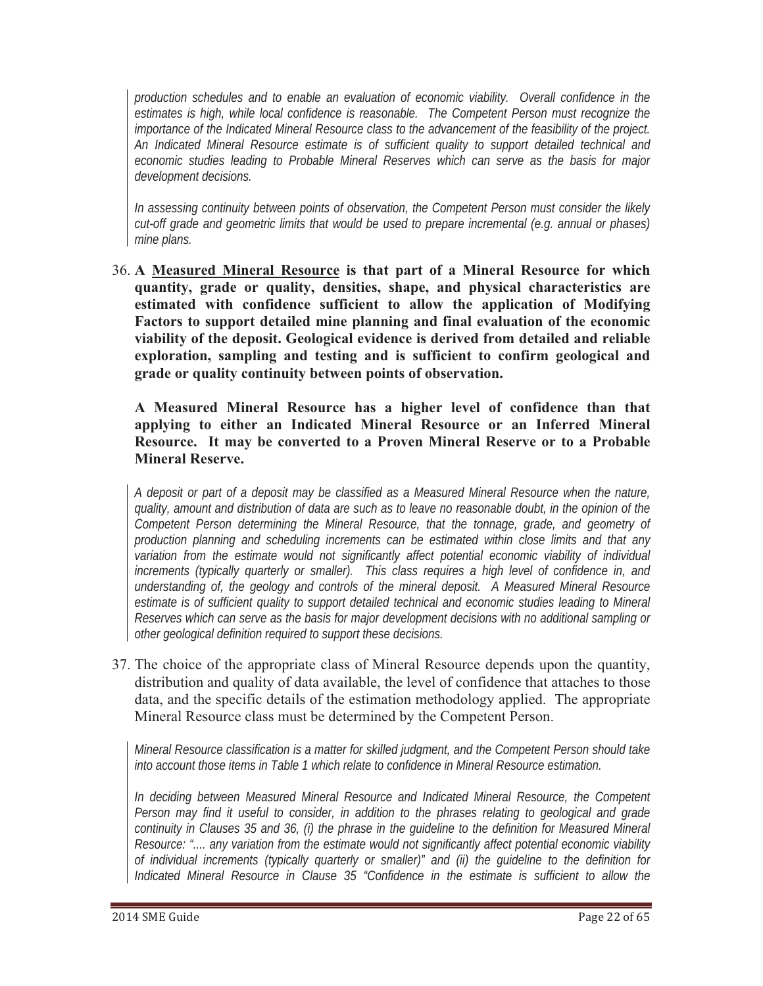*production schedules and to enable an evaluation of economic viability. Overall confidence in the estimates is high, while local confidence is reasonable. The Competent Person must recognize the importance of the Indicated Mineral Resource class to the advancement of the feasibility of the project. An Indicated Mineral Resource estimate is of sufficient quality to support detailed technical and economic studies leading to Probable Mineral Reserves which can serve as the basis for major development decisions.* 

*In assessing continuity between points of observation, the Competent Person must consider the likely cut-off grade and geometric limits that would be used to prepare incremental (e.g. annual or phases) mine plans.* 

36. **A Measured Mineral Resource is that part of a Mineral Resource for which quantity, grade or quality, densities, shape, and physical characteristics are estimated with confidence sufficient to allow the application of Modifying Factors to support detailed mine planning and final evaluation of the economic viability of the deposit. Geological evidence is derived from detailed and reliable exploration, sampling and testing and is sufficient to confirm geological and grade or quality continuity between points of observation.**

**A Measured Mineral Resource has a higher level of confidence than that applying to either an Indicated Mineral Resource or an Inferred Mineral Resource. It may be converted to a Proven Mineral Reserve or to a Probable Mineral Reserve.** 

*A deposit or part of a deposit may be classified as a Measured Mineral Resource when the nature, quality, amount and distribution of data are such as to leave no reasonable doubt, in the opinion of the Competent Person determining the Mineral Resource, that the tonnage, grade, and geometry of production planning and scheduling increments can be estimated within close limits and that any variation from the estimate would not significantly affect potential economic viability of individual increments (typically quarterly or smaller). This class requires a high level of confidence in, and understanding of, the geology and controls of the mineral deposit. A Measured Mineral Resource estimate is of sufficient quality to support detailed technical and economic studies leading to Mineral Reserves which can serve as the basis for major development decisions with no additional sampling or other geological definition required to support these decisions.*

37. The choice of the appropriate class of Mineral Resource depends upon the quantity, distribution and quality of data available, the level of confidence that attaches to those data, and the specific details of the estimation methodology applied. The appropriate Mineral Resource class must be determined by the Competent Person.

*Mineral Resource classification is a matter for skilled judgment, and the Competent Person should take into account those items in Table 1 which relate to confidence in Mineral Resource estimation.* 

*In deciding between Measured Mineral Resource and Indicated Mineral Resource, the Competent Person may find it useful to consider, in addition to the phrases relating to geological and grade continuity in Clauses 35 and 36, (i) the phrase in the guideline to the definition for Measured Mineral Resource: ".... any variation from the estimate would not significantly affect potential economic viability of individual increments (typically quarterly or smaller)" and (ii) the guideline to the definition for Indicated Mineral Resource in Clause 35 "Confidence in the estimate is sufficient to allow the*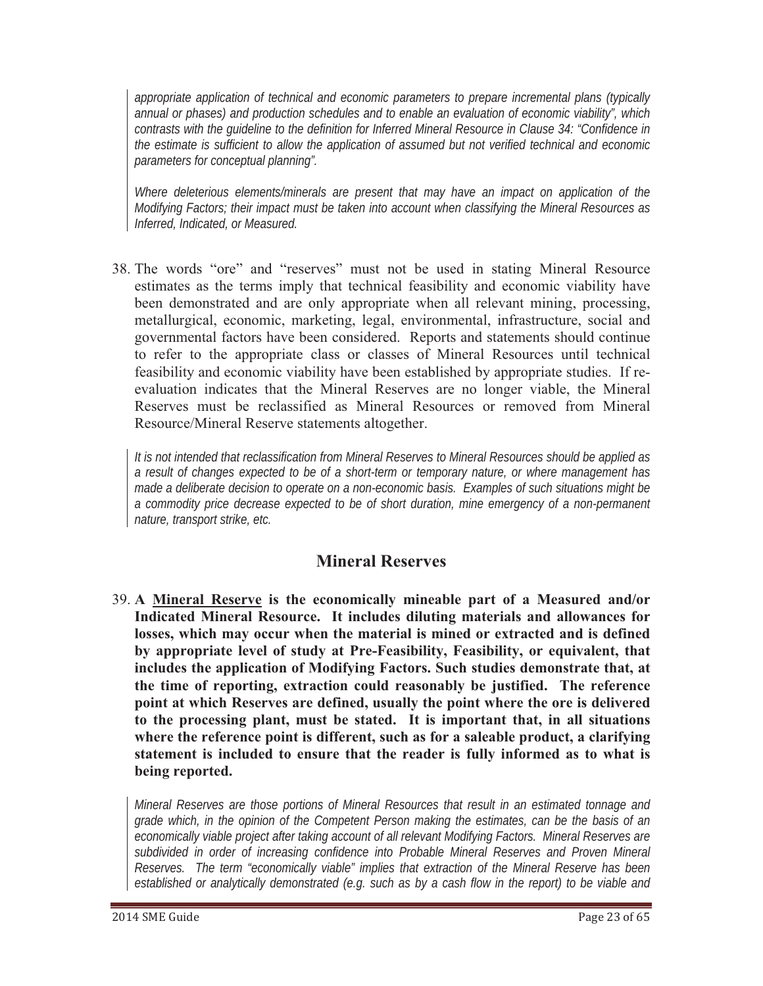*appropriate application of technical and economic parameters to prepare incremental plans (typically annual or phases) and production schedules and to enable an evaluation of economic viability", which contrasts with the guideline to the definition for Inferred Mineral Resource in Clause 34: "Confidence in the estimate is sufficient to allow the application of assumed but not verified technical and economic parameters for conceptual planning".* 

*Where deleterious elements/minerals are present that may have an impact on application of the Modifying Factors; their impact must be taken into account when classifying the Mineral Resources as Inferred, Indicated, or Measured.*

38. The words "ore" and "reserves" must not be used in stating Mineral Resource estimates as the terms imply that technical feasibility and economic viability have been demonstrated and are only appropriate when all relevant mining, processing, metallurgical, economic, marketing, legal, environmental, infrastructure, social and governmental factors have been considered. Reports and statements should continue to refer to the appropriate class or classes of Mineral Resources until technical feasibility and economic viability have been established by appropriate studies. If reevaluation indicates that the Mineral Reserves are no longer viable, the Mineral Reserves must be reclassified as Mineral Resources or removed from Mineral Resource/Mineral Reserve statements altogether.

*It is not intended that reclassification from Mineral Reserves to Mineral Resources should be applied as a result of changes expected to be of a short-term or temporary nature, or where management has made a deliberate decision to operate on a non-economic basis. Examples of such situations might be a commodity price decrease expected to be of short duration, mine emergency of a non-permanent nature, transport strike, etc.* 

### **Mineral Reserves**

39. **A Mineral Reserve is the economically mineable part of a Measured and/or Indicated Mineral Resource. It includes diluting materials and allowances for losses, which may occur when the material is mined or extracted and is defined by appropriate level of study at Pre-Feasibility, Feasibility, or equivalent, that includes the application of Modifying Factors. Such studies demonstrate that, at the time of reporting, extraction could reasonably be justified. The reference point at which Reserves are defined, usually the point where the ore is delivered to the processing plant, must be stated. It is important that, in all situations where the reference point is different, such as for a saleable product, a clarifying statement is included to ensure that the reader is fully informed as to what is being reported.**

*Mineral Reserves are those portions of Mineral Resources that result in an estimated tonnage and grade which, in the opinion of the Competent Person making the estimates, can be the basis of an economically viable project after taking account of all relevant Modifying Factors. Mineral Reserves are subdivided in order of increasing confidence into Probable Mineral Reserves and Proven Mineral Reserves. The term "economically viable" implies that extraction of the Mineral Reserve has been established or analytically demonstrated (e.g. such as by a cash flow in the report) to be viable and*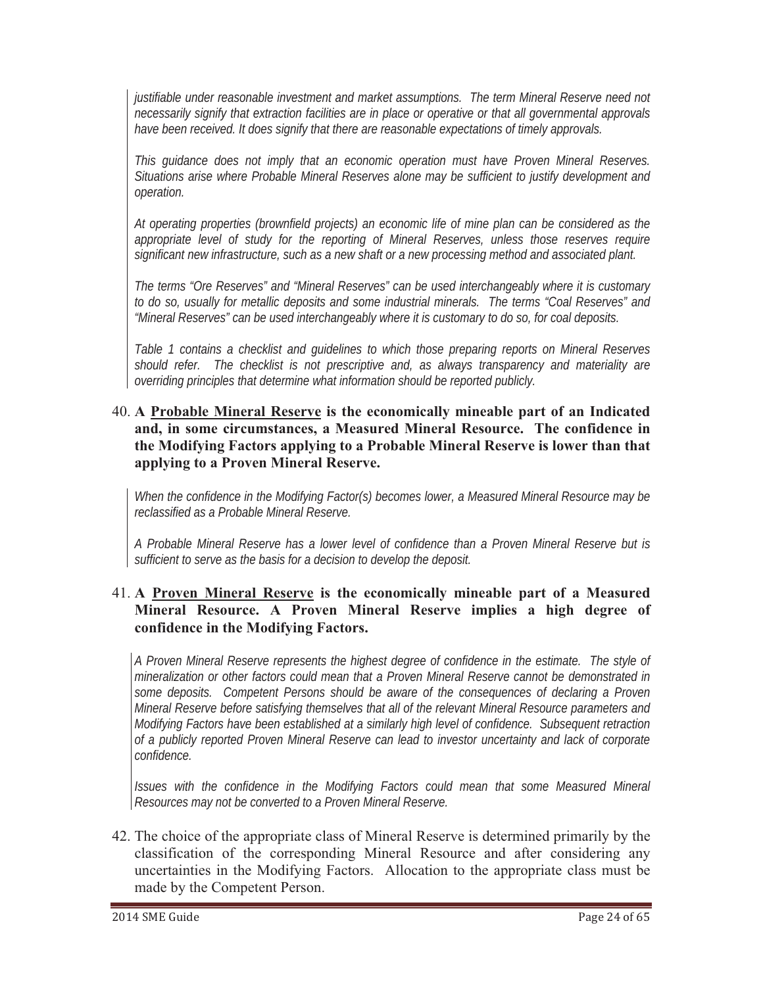*justifiable under reasonable investment and market assumptions. The term Mineral Reserve need not necessarily signify that extraction facilities are in place or operative or that all governmental approvals have been received. It does signify that there are reasonable expectations of timely approvals.* 

*This guidance does not imply that an economic operation must have Proven Mineral Reserves. Situations arise where Probable Mineral Reserves alone may be sufficient to justify development and operation.*

*At operating properties (brownfield projects) an economic life of mine plan can be considered as the appropriate level of study for the reporting of Mineral Reserves, unless those reserves require significant new infrastructure, such as a new shaft or a new processing method and associated plant.* 

*The terms "Ore Reserves" and "Mineral Reserves" can be used interchangeably where it is customary to do so, usually for metallic deposits and some industrial minerals. The terms "Coal Reserves" and "Mineral Reserves" can be used interchangeably where it is customary to do so, for coal deposits.* 

*Table 1 contains a checklist and guidelines to which those preparing reports on Mineral Reserves should refer. The checklist is not prescriptive and, as always transparency and materiality are overriding principles that determine what information should be reported publicly.* 

40. **A Probable Mineral Reserve is the economically mineable part of an Indicated and, in some circumstances, a Measured Mineral Resource. The confidence in the Modifying Factors applying to a Probable Mineral Reserve is lower than that applying to a Proven Mineral Reserve.**

*When the confidence in the Modifying Factor(s) becomes lower, a Measured Mineral Resource may be reclassified as a Probable Mineral Reserve.* 

*A Probable Mineral Reserve has a lower level of confidence than a Proven Mineral Reserve but is sufficient to serve as the basis for a decision to develop the deposit.* 

#### 41. **A Proven Mineral Reserve is the economically mineable part of a Measured Mineral Resource. A Proven Mineral Reserve implies a high degree of confidence in the Modifying Factors.**

*A Proven Mineral Reserve represents the highest degree of confidence in the estimate. The style of mineralization or other factors could mean that a Proven Mineral Reserve cannot be demonstrated in some deposits. Competent Persons should be aware of the consequences of declaring a Proven Mineral Reserve before satisfying themselves that all of the relevant Mineral Resource parameters and Modifying Factors have been established at a similarly high level of confidence. Subsequent retraction of a publicly reported Proven Mineral Reserve can lead to investor uncertainty and lack of corporate confidence.*

*Issues with the confidence in the Modifying Factors could mean that some Measured Mineral Resources may not be converted to a Proven Mineral Reserve.* 

42. The choice of the appropriate class of Mineral Reserve is determined primarily by the classification of the corresponding Mineral Resource and after considering any uncertainties in the Modifying Factors. Allocation to the appropriate class must be made by the Competent Person.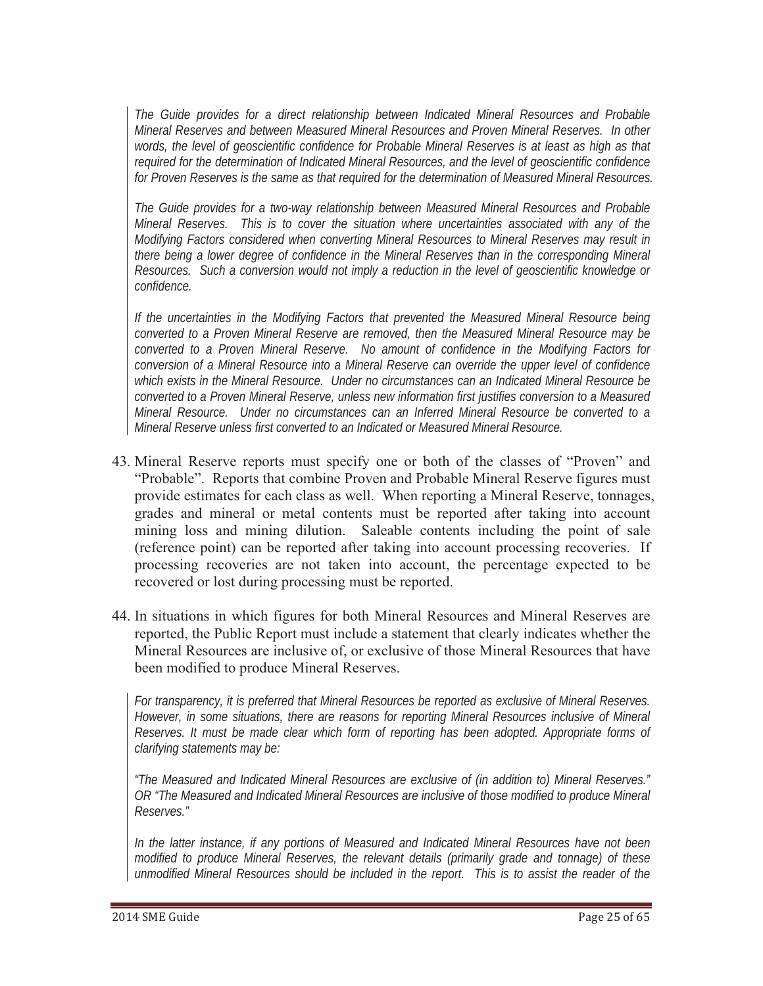*The Guide provides for a direct relationship between Indicated Mineral Resources and Probable Mineral Reserves and between Measured Mineral Resources and Proven Mineral Reserves. In other words, the level of geoscientific confidence for Probable Mineral Reserves is at least as high as that required for the determination of Indicated Mineral Resources, and the level of geoscientific confidence for Proven Reserves is the same as that required for the determination of Measured Mineral Resources.* 

*The Guide provides for a two-way relationship between Measured Mineral Resources and Probable Mineral Reserves. This is to cover the situation where uncertainties associated with any of the Modifying Factors considered when converting Mineral Resources to Mineral Reserves may result in there being a lower degree of confidence in the Mineral Reserves than in the corresponding Mineral Resources. Such a conversion would not imply a reduction in the level of geoscientific knowledge or confidence.*

*If the uncertainties in the Modifying Factors that prevented the Measured Mineral Resource being converted to a Proven Mineral Reserve are removed, then the Measured Mineral Resource may be converted to a Proven Mineral Reserve. No amount of confidence in the Modifying Factors for conversion of a Mineral Resource into a Mineral Reserve can override the upper level of confidence which exists in the Mineral Resource. Under no circumstances can an Indicated Mineral Resource be converted to a Proven Mineral Reserve, unless new information first justifies conversion to a Measured Mineral Resource. Under no circumstances can an Inferred Mineral Resource be converted to a Mineral Reserve unless first converted to an Indicated or Measured Mineral Resource.* 

- 43. Mineral Reserve reports must specify one or both of the classes of "Proven" and "Probable". Reports that combine Proven and Probable Mineral Reserve figures must provide estimates for each class as well. When reporting a Mineral Reserve, tonnages, grades and mineral or metal contents must be reported after taking into account mining loss and mining dilution. Saleable contents including the point of sale (reference point) can be reported after taking into account processing recoveries. If processing recoveries are not taken into account, the percentage expected to be recovered or lost during processing must be reported.
- 44. In situations in which figures for both Mineral Resources and Mineral Reserves are reported, the Public Report must include a statement that clearly indicates whether the Mineral Resources are inclusive of, or exclusive of those Mineral Resources that have been modified to produce Mineral Reserves.

*For transparency, it is preferred that Mineral Resources be reported as exclusive of Mineral Reserves. However, in some situations, there are reasons for reporting Mineral Resources inclusive of Mineral Reserves. It must be made clear which form of reporting has been adopted. Appropriate forms of clarifying statements may be:*

*"The Measured and Indicated Mineral Resources are exclusive of (in addition to) Mineral Reserves." OR "The Measured and Indicated Mineral Resources are inclusive of those modified to produce Mineral Reserves."*

*In the latter instance, if any portions of Measured and Indicated Mineral Resources have not been modified to produce Mineral Reserves, the relevant details (primarily grade and tonnage) of these unmodified Mineral Resources should be included in the report. This is to assist the reader of the*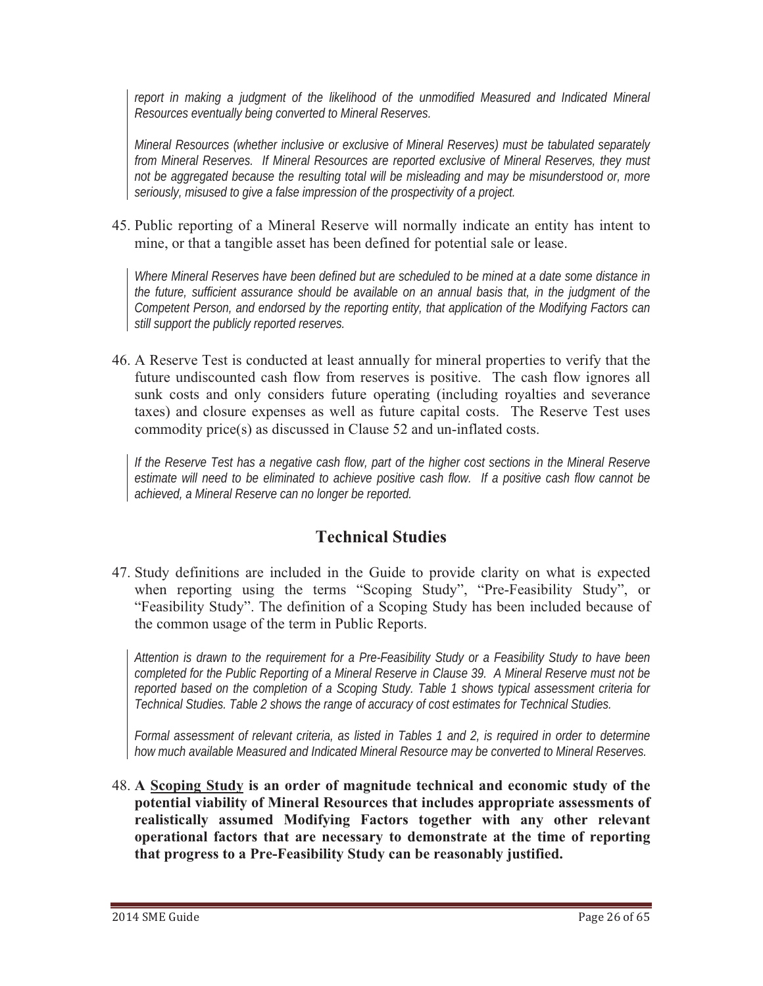report in making a judgment of the likelihood of the unmodified Measured and Indicated Mineral *Resources eventually being converted to Mineral Reserves.* 

*Mineral Resources (whether inclusive or exclusive of Mineral Reserves) must be tabulated separately from Mineral Reserves. If Mineral Resources are reported exclusive of Mineral Reserves, they must not be aggregated because the resulting total will be misleading and may be misunderstood or, more seriously, misused to give a false impression of the prospectivity of a project.* 

45. Public reporting of a Mineral Reserve will normally indicate an entity has intent to mine, or that a tangible asset has been defined for potential sale or lease.

*Where Mineral Reserves have been defined but are scheduled to be mined at a date some distance in the future, sufficient assurance should be available on an annual basis that, in the judgment of the Competent Person, and endorsed by the reporting entity, that application of the Modifying Factors can still support the publicly reported reserves.* 

46. A Reserve Test is conducted at least annually for mineral properties to verify that the future undiscounted cash flow from reserves is positive. The cash flow ignores all sunk costs and only considers future operating (including royalties and severance taxes) and closure expenses as well as future capital costs. The Reserve Test uses commodity price(s) as discussed in Clause 52 and un-inflated costs.

*If the Reserve Test has a negative cash flow, part of the higher cost sections in the Mineral Reserve estimate will need to be eliminated to achieve positive cash flow. If a positive cash flow cannot be achieved, a Mineral Reserve can no longer be reported.* 

# **Technical Studies**

47. Study definitions are included in the Guide to provide clarity on what is expected when reporting using the terms "Scoping Study", "Pre-Feasibility Study", or "Feasibility Study". The definition of a Scoping Study has been included because of the common usage of the term in Public Reports.

*Attention is drawn to the requirement for a Pre-Feasibility Study or a Feasibility Study to have been completed for the Public Reporting of a Mineral Reserve in Clause 39. A Mineral Reserve must not be reported based on the completion of a Scoping Study. Table 1 shows typical assessment criteria for Technical Studies. Table 2 shows the range of accuracy of cost estimates for Technical Studies.* 

*Formal assessment of relevant criteria, as listed in Tables 1 and 2, is required in order to determine how much available Measured and Indicated Mineral Resource may be converted to Mineral Reserves.*

48. **A Scoping Study is an order of magnitude technical and economic study of the potential viability of Mineral Resources that includes appropriate assessments of realistically assumed Modifying Factors together with any other relevant operational factors that are necessary to demonstrate at the time of reporting that progress to a Pre-Feasibility Study can be reasonably justified.**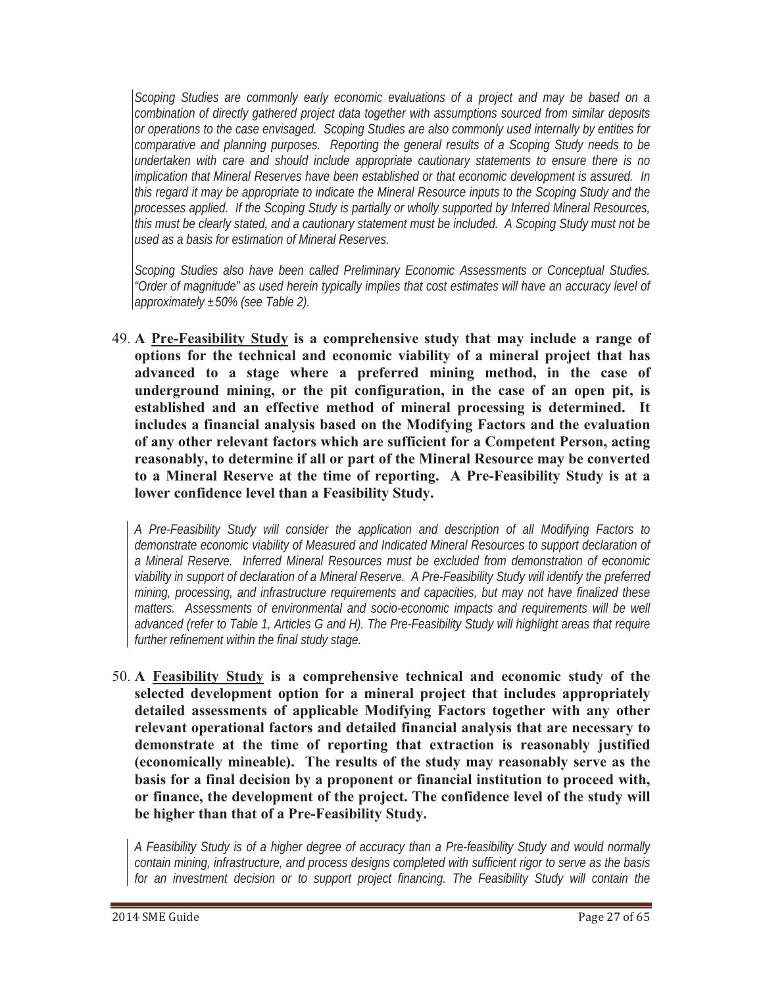*Scoping Studies are commonly early economic evaluations of a project and may be based on a combination of directly gathered project data together with assumptions sourced from similar deposits or operations to the case envisaged. Scoping Studies are also commonly used internally by entities for comparative and planning purposes. Reporting the general results of a Scoping Study needs to be undertaken with care and should include appropriate cautionary statements to ensure there is no implication that Mineral Reserves have been established or that economic development is assured. In this regard it may be appropriate to indicate the Mineral Resource inputs to the Scoping Study and the processes applied. If the Scoping Study is partially or wholly supported by Inferred Mineral Resources, this must be clearly stated, and a cautionary statement must be included. A Scoping Study must not be used as a basis for estimation of Mineral Reserves.*

*Scoping Studies also have been called Preliminary Economic Assessments or Conceptual Studies. "Order of magnitude" as used herein typically implies that cost estimates will have an accuracy level of approximately ±50% (see Table 2).* 

49. **A Pre-Feasibility Study is a comprehensive study that may include a range of options for the technical and economic viability of a mineral project that has advanced to a stage where a preferred mining method, in the case of underground mining, or the pit configuration, in the case of an open pit, is established and an effective method of mineral processing is determined. It includes a financial analysis based on the Modifying Factors and the evaluation of any other relevant factors which are sufficient for a Competent Person, acting reasonably, to determine if all or part of the Mineral Resource may be converted to a Mineral Reserve at the time of reporting. A Pre-Feasibility Study is at a lower confidence level than a Feasibility Study.** 

*A Pre-Feasibility Study will consider the application and description of all Modifying Factors to demonstrate economic viability of Measured and Indicated Mineral Resources to support declaration of a Mineral Reserve. Inferred Mineral Resources must be excluded from demonstration of economic viability in support of declaration of a Mineral Reserve. A Pre-Feasibility Study will identify the preferred mining, processing, and infrastructure requirements and capacities, but may not have finalized these*  matters. Assessments of environmental and socio-economic impacts and requirements will be well *advanced (refer to Table 1, Articles G and H). The Pre-Feasibility Study will highlight areas that require further refinement within the final study stage.* 

50. **A Feasibility Study is a comprehensive technical and economic study of the selected development option for a mineral project that includes appropriately detailed assessments of applicable Modifying Factors together with any other relevant operational factors and detailed financial analysis that are necessary to demonstrate at the time of reporting that extraction is reasonably justified (economically mineable). The results of the study may reasonably serve as the basis for a final decision by a proponent or financial institution to proceed with, or finance, the development of the project. The confidence level of the study will be higher than that of a Pre-Feasibility Study.** 

*A Feasibility Study is of a higher degree of accuracy than a Pre-feasibility Study and would normally contain mining, infrastructure, and process designs completed with sufficient rigor to serve as the basis for an investment decision or to support project financing. The Feasibility Study will contain the*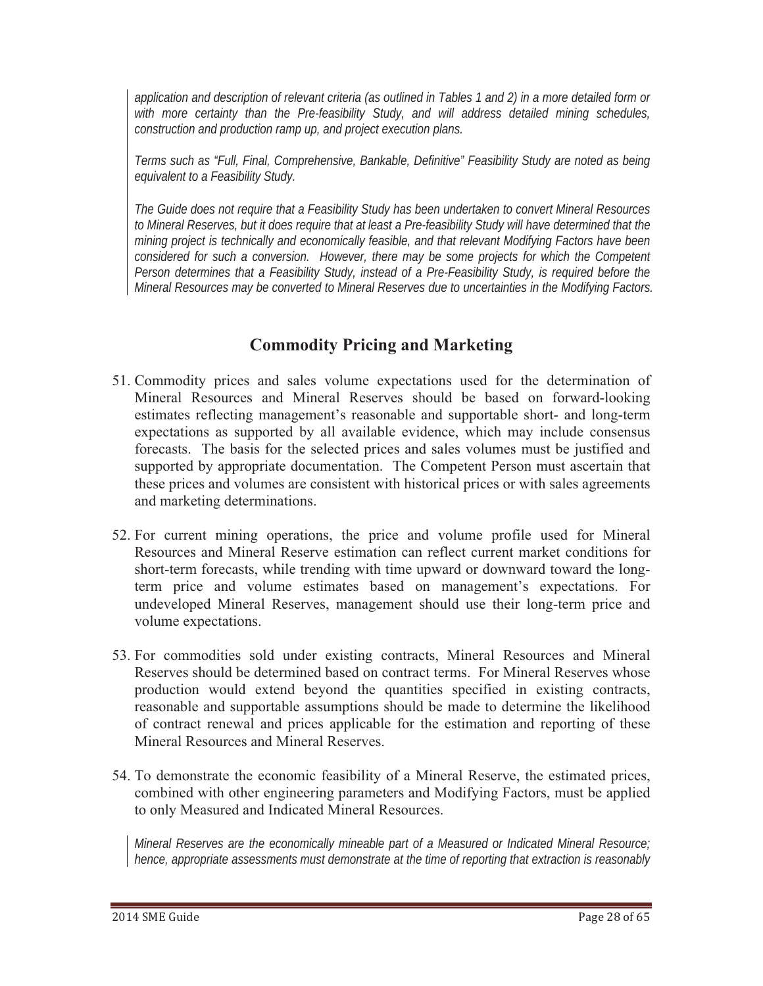*application and description of relevant criteria (as outlined in Tables 1 and 2) in a more detailed form or with more certainty than the Pre-feasibility Study, and will address detailed mining schedules, construction and production ramp up, and project execution plans.*

*Terms such as "Full, Final, Comprehensive, Bankable, Definitive" Feasibility Study are noted as being equivalent to a Feasibility Study.* 

*The Guide does not require that a Feasibility Study has been undertaken to convert Mineral Resources to Mineral Reserves, but it does require that at least a Pre-feasibility Study will have determined that the mining project is technically and economically feasible, and that relevant Modifying Factors have been considered for such a conversion. However, there may be some projects for which the Competent Person determines that a Feasibility Study, instead of a Pre-Feasibility Study, is required before the Mineral Resources may be converted to Mineral Reserves due to uncertainties in the Modifying Factors.* 

# **Commodity Pricing and Marketing**

- 51. Commodity prices and sales volume expectations used for the determination of Mineral Resources and Mineral Reserves should be based on forward-looking estimates reflecting management's reasonable and supportable short- and long-term expectations as supported by all available evidence, which may include consensus forecasts. The basis for the selected prices and sales volumes must be justified and supported by appropriate documentation. The Competent Person must ascertain that these prices and volumes are consistent with historical prices or with sales agreements and marketing determinations.
- 52. For current mining operations, the price and volume profile used for Mineral Resources and Mineral Reserve estimation can reflect current market conditions for short-term forecasts, while trending with time upward or downward toward the longterm price and volume estimates based on management's expectations. For undeveloped Mineral Reserves, management should use their long-term price and volume expectations.
- 53. For commodities sold under existing contracts, Mineral Resources and Mineral Reserves should be determined based on contract terms. For Mineral Reserves whose production would extend beyond the quantities specified in existing contracts, reasonable and supportable assumptions should be made to determine the likelihood of contract renewal and prices applicable for the estimation and reporting of these Mineral Resources and Mineral Reserves.
- 54. To demonstrate the economic feasibility of a Mineral Reserve, the estimated prices, combined with other engineering parameters and Modifying Factors, must be applied to only Measured and Indicated Mineral Resources.

*Mineral Reserves are the economically mineable part of a Measured or Indicated Mineral Resource; hence, appropriate assessments must demonstrate at the time of reporting that extraction is reasonably*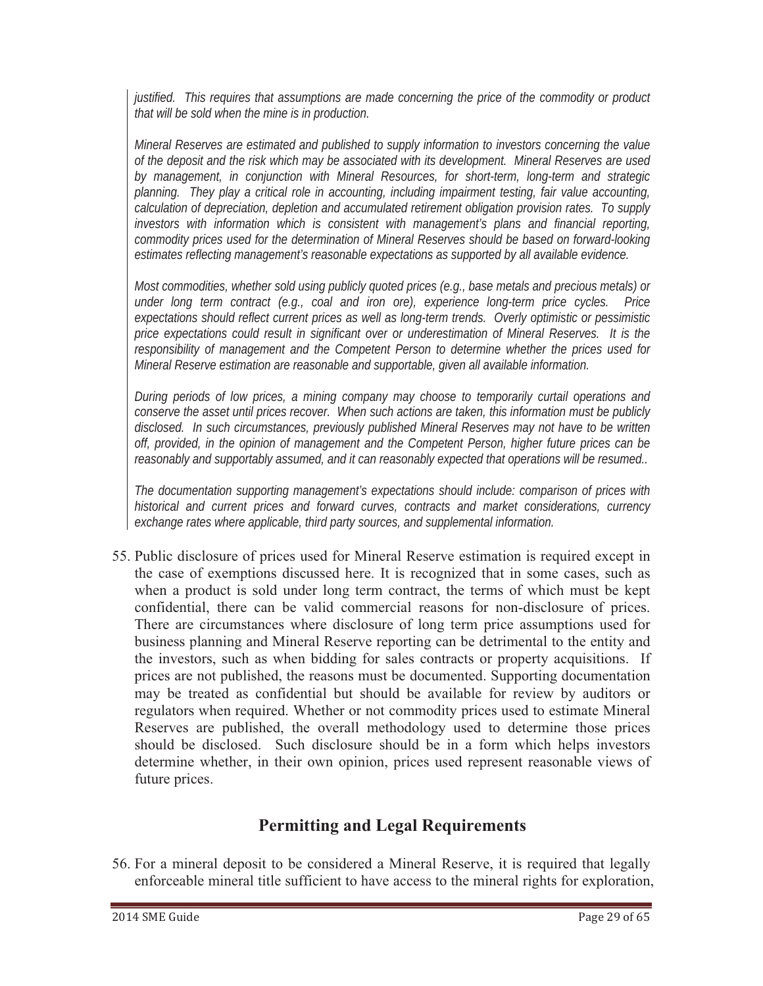*justified. This requires that assumptions are made concerning the price of the commodity or product that will be sold when the mine is in production.*

*Mineral Reserves are estimated and published to supply information to investors concerning the value of the deposit and the risk which may be associated with its development. Mineral Reserves are used by management, in conjunction with Mineral Resources, for short-term, long-term and strategic planning. They play a critical role in accounting, including impairment testing, fair value accounting, calculation of depreciation, depletion and accumulated retirement obligation provision rates. To supply investors with information which is consistent with management's plans and financial reporting, commodity prices used for the determination of Mineral Reserves should be based on forward-looking estimates reflecting management's reasonable expectations as supported by all available evidence.*

*Most commodities, whether sold using publicly quoted prices (e.g., base metals and precious metals) or under long term contract (e.g., coal and iron ore), experience long-term price cycles. Price expectations should reflect current prices as well as long-term trends. Overly optimistic or pessimistic price expectations could result in significant over or underestimation of Mineral Reserves. It is the responsibility of management and the Competent Person to determine whether the prices used for Mineral Reserve estimation are reasonable and supportable, given all available information.* 

*During periods of low prices, a mining company may choose to temporarily curtail operations and conserve the asset until prices recover. When such actions are taken, this information must be publicly disclosed. In such circumstances, previously published Mineral Reserves may not have to be written off, provided, in the opinion of management and the Competent Person, higher future prices can be reasonably and supportably assumed, and it can reasonably expected that operations will be resumed..*

*The documentation supporting management's expectations should include: comparison of prices with historical and current prices and forward curves, contracts and market considerations, currency exchange rates where applicable, third party sources, and supplemental information.* 

55. Public disclosure of prices used for Mineral Reserve estimation is required except in the case of exemptions discussed here. It is recognized that in some cases, such as when a product is sold under long term contract, the terms of which must be kept confidential, there can be valid commercial reasons for non-disclosure of prices. There are circumstances where disclosure of long term price assumptions used for business planning and Mineral Reserve reporting can be detrimental to the entity and the investors, such as when bidding for sales contracts or property acquisitions. If prices are not published, the reasons must be documented. Supporting documentation may be treated as confidential but should be available for review by auditors or regulators when required. Whether or not commodity prices used to estimate Mineral Reserves are published, the overall methodology used to determine those prices should be disclosed. Such disclosure should be in a form which helps investors determine whether, in their own opinion, prices used represent reasonable views of future prices.

# **Permitting and Legal Requirements**

56. For a mineral deposit to be considered a Mineral Reserve, it is required that legally enforceable mineral title sufficient to have access to the mineral rights for exploration,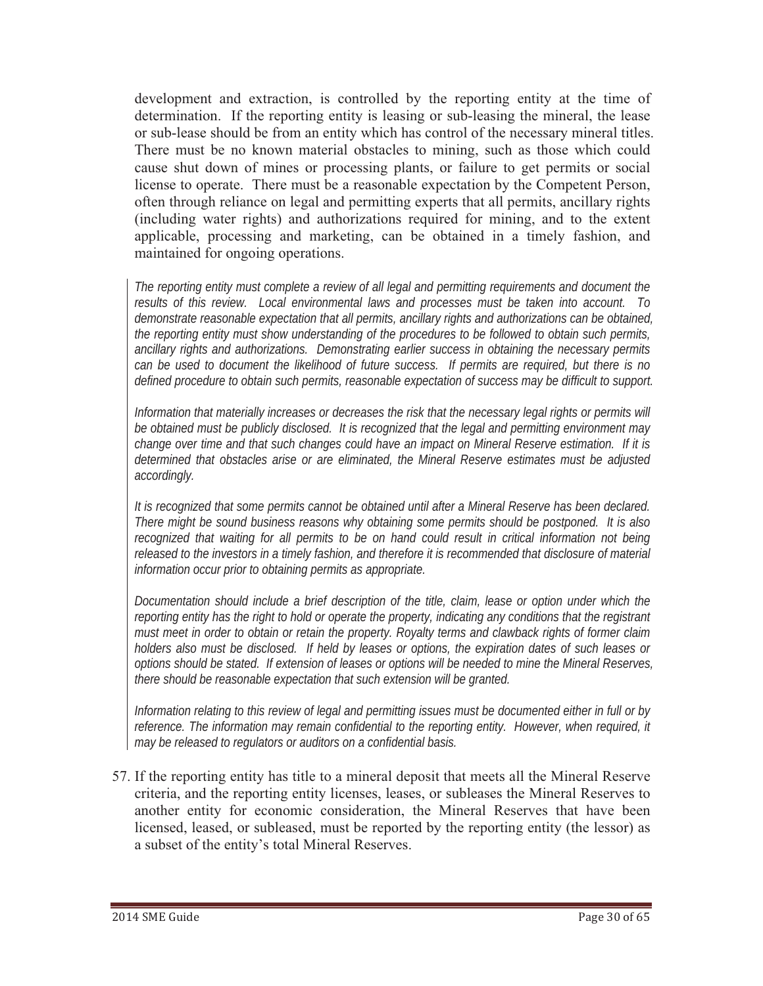development and extraction, is controlled by the reporting entity at the time of determination. If the reporting entity is leasing or sub-leasing the mineral, the lease or sub-lease should be from an entity which has control of the necessary mineral titles. There must be no known material obstacles to mining, such as those which could cause shut down of mines or processing plants, or failure to get permits or social license to operate. There must be a reasonable expectation by the Competent Person, often through reliance on legal and permitting experts that all permits, ancillary rights (including water rights) and authorizations required for mining, and to the extent applicable, processing and marketing, can be obtained in a timely fashion, and maintained for ongoing operations.

*The reporting entity must complete a review of all legal and permitting requirements and document the results of this review. Local environmental laws and processes must be taken into account. To demonstrate reasonable expectation that all permits, ancillary rights and authorizations can be obtained, the reporting entity must show understanding of the procedures to be followed to obtain such permits, ancillary rights and authorizations. Demonstrating earlier success in obtaining the necessary permits can be used to document the likelihood of future success. If permits are required, but there is no defined procedure to obtain such permits, reasonable expectation of success may be difficult to support.* 

*Information that materially increases or decreases the risk that the necessary legal rights or permits will be obtained must be publicly disclosed. It is recognized that the legal and permitting environment may change over time and that such changes could have an impact on Mineral Reserve estimation. If it is determined that obstacles arise or are eliminated, the Mineral Reserve estimates must be adjusted accordingly.*

*It is recognized that some permits cannot be obtained until after a Mineral Reserve has been declared. There might be sound business reasons why obtaining some permits should be postponed. It is also recognized that waiting for all permits to be on hand could result in critical information not being released to the investors in a timely fashion, and therefore it is recommended that disclosure of material information occur prior to obtaining permits as appropriate.* 

*Documentation should include a brief description of the title, claim, lease or option under which the reporting entity has the right to hold or operate the property, indicating any conditions that the registrant must meet in order to obtain or retain the property. Royalty terms and clawback rights of former claim holders also must be disclosed. If held by leases or options, the expiration dates of such leases or options should be stated. If extension of leases or options will be needed to mine the Mineral Reserves, there should be reasonable expectation that such extension will be granted.* 

*Information relating to this review of legal and permitting issues must be documented either in full or by reference. The information may remain confidential to the reporting entity. However, when required, it may be released to regulators or auditors on a confidential basis.* 

57. If the reporting entity has title to a mineral deposit that meets all the Mineral Reserve criteria, and the reporting entity licenses, leases, or subleases the Mineral Reserves to another entity for economic consideration, the Mineral Reserves that have been licensed, leased, or subleased, must be reported by the reporting entity (the lessor) as a subset of the entity's total Mineral Reserves.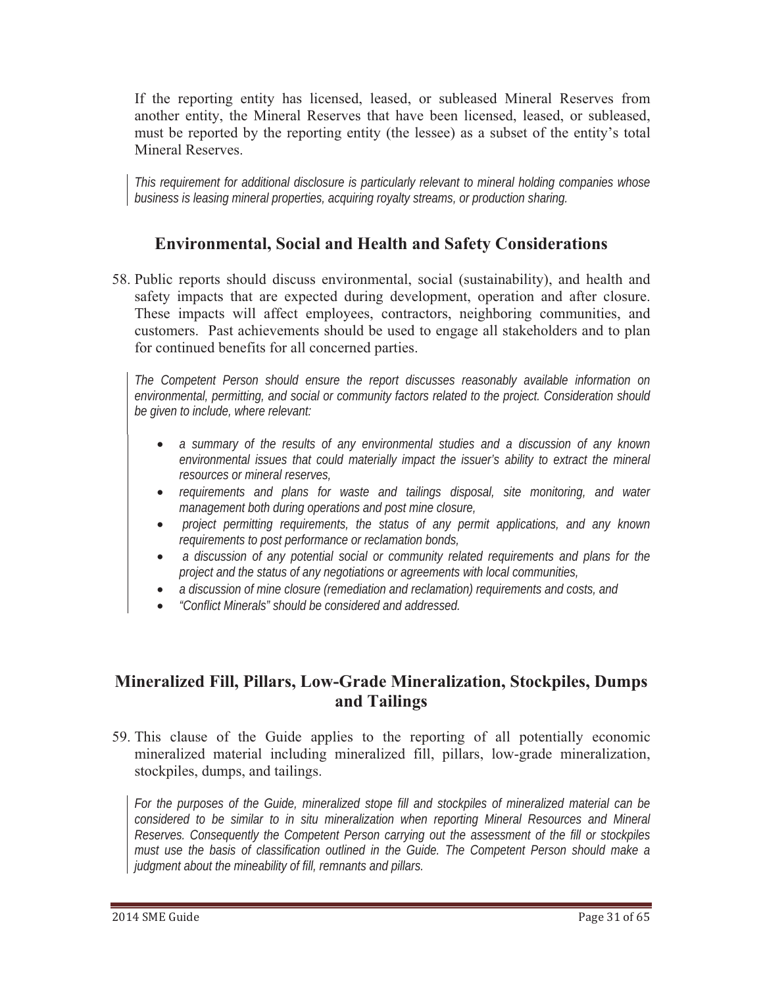If the reporting entity has licensed, leased, or subleased Mineral Reserves from another entity, the Mineral Reserves that have been licensed, leased, or subleased, must be reported by the reporting entity (the lessee) as a subset of the entity's total Mineral Reserves.

*This requirement for additional disclosure is particularly relevant to mineral holding companies whose business is leasing mineral properties, acquiring royalty streams, or production sharing.* 

### **Environmental, Social and Health and Safety Considerations**

58. Public reports should discuss environmental, social (sustainability), and health and safety impacts that are expected during development, operation and after closure. These impacts will affect employees, contractors, neighboring communities, and customers. Past achievements should be used to engage all stakeholders and to plan for continued benefits for all concerned parties.

*The Competent Person should ensure the report discusses reasonably available information on environmental, permitting, and social or community factors related to the project. Consideration should be given to include, where relevant:* 

- *a summary of the results of any environmental studies and a discussion of any known environmental issues that could materially impact the issuer's ability to extract the mineral resources or mineral reserves,*
- requirements and plans for waste and tailings disposal, site monitoring, and water *management both during operations and post mine closure,*
- $\bullet$  *project permitting requirements, the status of any permit applications, and any known requirements to post performance or reclamation bonds,*
- $\bullet$  *a discussion of any potential social or community related requirements and plans for the project and the status of any negotiations or agreements with local communities,*
- *a discussion of mine closure (remediation and reclamation) requirements and costs, and*
- -*"Conflict Minerals" should be considered and addressed.*

### **Mineralized Fill, Pillars, Low-Grade Mineralization, Stockpiles, Dumps and Tailings**

59. This clause of the Guide applies to the reporting of all potentially economic mineralized material including mineralized fill, pillars, low-grade mineralization, stockpiles, dumps, and tailings.

*For the purposes of the Guide, mineralized stope fill and stockpiles of mineralized material can be considered to be similar to in situ mineralization when reporting Mineral Resources and Mineral Reserves. Consequently the Competent Person carrying out the assessment of the fill or stockpiles must use the basis of classification outlined in the Guide. The Competent Person should make a judgment about the mineability of fill, remnants and pillars.*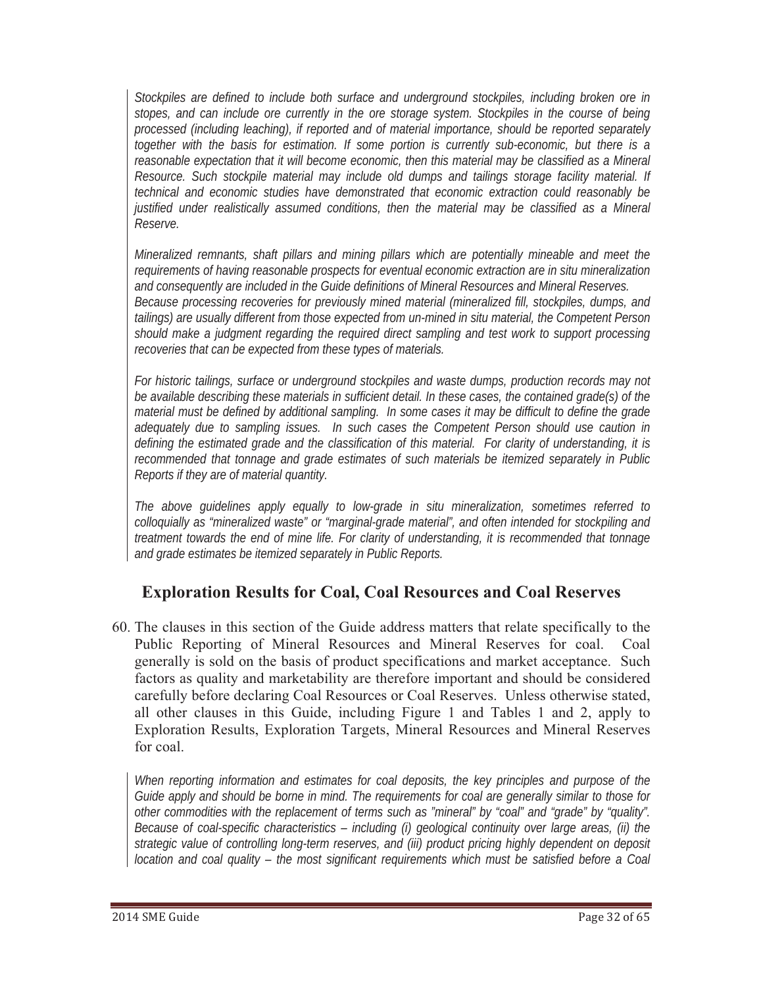*Stockpiles are defined to include both surface and underground stockpiles, including broken ore in stopes, and can include ore currently in the ore storage system. Stockpiles in the course of being processed (including leaching), if reported and of material importance, should be reported separately together with the basis for estimation. If some portion is currently sub-economic, but there is a reasonable expectation that it will become economic, then this material may be classified as a Mineral Resource. Such stockpile material may include old dumps and tailings storage facility material. If technical and economic studies have demonstrated that economic extraction could reasonably be justified under realistically assumed conditions, then the material may be classified as a Mineral Reserve.*

*Mineralized remnants, shaft pillars and mining pillars which are potentially mineable and meet the requirements of having reasonable prospects for eventual economic extraction are in situ mineralization and consequently are included in the Guide definitions of Mineral Resources and Mineral Reserves. Because processing recoveries for previously mined material (mineralized fill, stockpiles, dumps, and tailings) are usually different from those expected from un-mined in situ material, the Competent Person should make a judgment regarding the required direct sampling and test work to support processing recoveries that can be expected from these types of materials.* 

*For historic tailings, surface or underground stockpiles and waste dumps, production records may not be available describing these materials in sufficient detail. In these cases, the contained grade(s) of the material must be defined by additional sampling. In some cases it may be difficult to define the grade adequately due to sampling issues. In such cases the Competent Person should use caution in defining the estimated grade and the classification of this material. For clarity of understanding, it is recommended that tonnage and grade estimates of such materials be itemized separately in Public Reports if they are of material quantity.* 

*The above guidelines apply equally to low-grade in situ mineralization, sometimes referred to colloquially as "mineralized waste" or "marginal-grade material", and often intended for stockpiling and treatment towards the end of mine life. For clarity of understanding, it is recommended that tonnage and grade estimates be itemized separately in Public Reports.* 

# **Exploration Results for Coal, Coal Resources and Coal Reserves**

60. The clauses in this section of the Guide address matters that relate specifically to the Public Reporting of Mineral Resources and Mineral Reserves for coal. Coal generally is sold on the basis of product specifications and market acceptance. Such factors as quality and marketability are therefore important and should be considered carefully before declaring Coal Resources or Coal Reserves. Unless otherwise stated, all other clauses in this Guide, including Figure 1 and Tables 1 and 2, apply to Exploration Results, Exploration Targets, Mineral Resources and Mineral Reserves for coal.

*When reporting information and estimates for coal deposits, the key principles and purpose of the Guide apply and should be borne in mind. The requirements for coal are generally similar to those for other commodities with the replacement of terms such as "mineral" by "coal" and "grade" by "quality". Because of coal-specific characteristics – including (i) geological continuity over large areas, (ii) the strategic value of controlling long-term reserves, and (iii) product pricing highly dependent on deposit location and coal quality – the most significant requirements which must be satisfied before a Coal*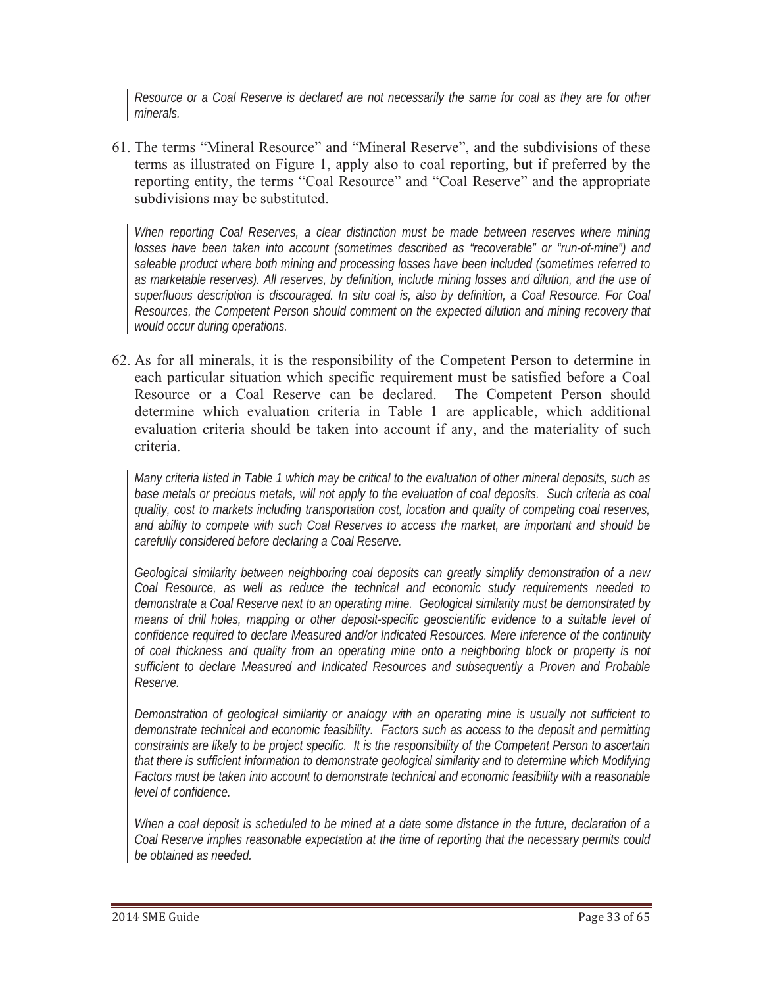*Resource or a Coal Reserve is declared are not necessarily the same for coal as they are for other minerals.*

61. The terms "Mineral Resource" and "Mineral Reserve", and the subdivisions of these terms as illustrated on Figure 1, apply also to coal reporting, but if preferred by the reporting entity, the terms "Coal Resource" and "Coal Reserve" and the appropriate subdivisions may be substituted.

*When reporting Coal Reserves, a clear distinction must be made between reserves where mining losses have been taken into account (sometimes described as "recoverable" or "run-of-mine") and saleable product where both mining and processing losses have been included (sometimes referred to as marketable reserves). All reserves, by definition, include mining losses and dilution, and the use of superfluous description is discouraged. In situ coal is, also by definition, a Coal Resource. For Coal Resources, the Competent Person should comment on the expected dilution and mining recovery that would occur during operations.* 

62. As for all minerals, it is the responsibility of the Competent Person to determine in each particular situation which specific requirement must be satisfied before a Coal Resource or a Coal Reserve can be declared. The Competent Person should determine which evaluation criteria in Table 1 are applicable, which additional evaluation criteria should be taken into account if any, and the materiality of such criteria.

*Many criteria listed in Table 1 which may be critical to the evaluation of other mineral deposits, such as base metals or precious metals, will not apply to the evaluation of coal deposits. Such criteria as coal quality, cost to markets including transportation cost, location and quality of competing coal reserves, and ability to compete with such Coal Reserves to access the market, are important and should be carefully considered before declaring a Coal Reserve.* 

*Geological similarity between neighboring coal deposits can greatly simplify demonstration of a new Coal Resource, as well as reduce the technical and economic study requirements needed to demonstrate a Coal Reserve next to an operating mine. Geological similarity must be demonstrated by means of drill holes, mapping or other deposit-specific geoscientific evidence to a suitable level of confidence required to declare Measured and/or Indicated Resources. Mere inference of the continuity of coal thickness and quality from an operating mine onto a neighboring block or property is not sufficient to declare Measured and Indicated Resources and subsequently a Proven and Probable Reserve.*

*Demonstration of geological similarity or analogy with an operating mine is usually not sufficient to demonstrate technical and economic feasibility. Factors such as access to the deposit and permitting constraints are likely to be project specific. It is the responsibility of the Competent Person to ascertain that there is sufficient information to demonstrate geological similarity and to determine which Modifying Factors must be taken into account to demonstrate technical and economic feasibility with a reasonable level of confidence.* 

*When a coal deposit is scheduled to be mined at a date some distance in the future, declaration of a Coal Reserve implies reasonable expectation at the time of reporting that the necessary permits could be obtained as needed.*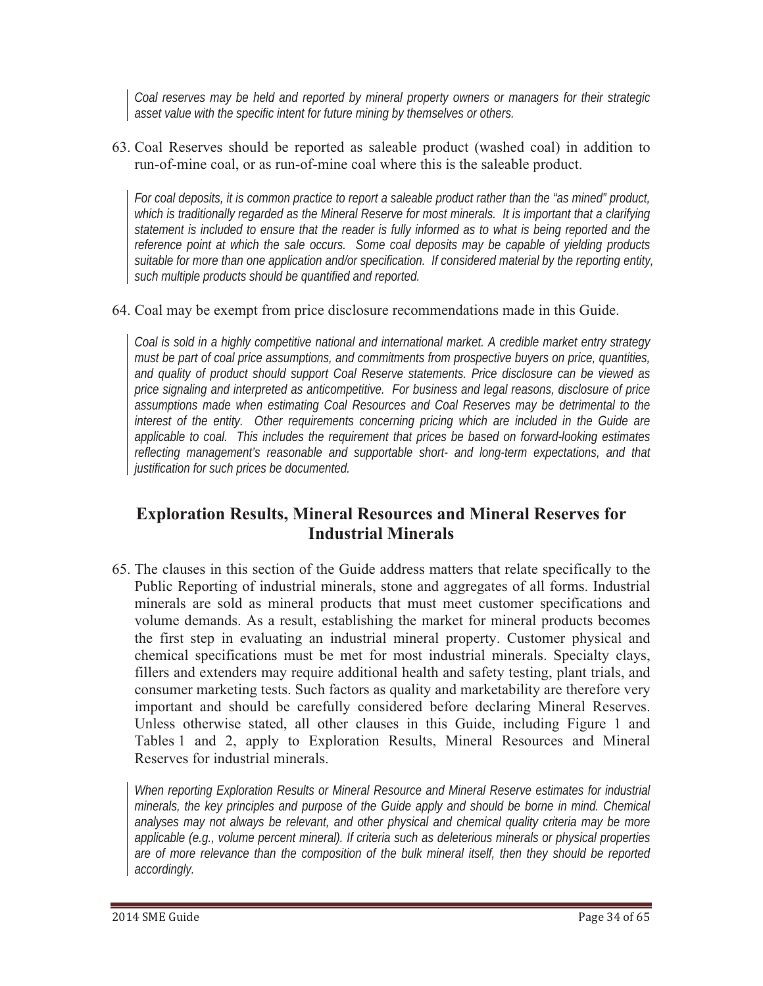*Coal reserves may be held and reported by mineral property owners or managers for their strategic asset value with the specific intent for future mining by themselves or others.*

63. Coal Reserves should be reported as saleable product (washed coal) in addition to run-of-mine coal, or as run-of-mine coal where this is the saleable product.

*For coal deposits, it is common practice to report a saleable product rather than the "as mined" product, which is traditionally regarded as the Mineral Reserve for most minerals. It is important that a clarifying statement is included to ensure that the reader is fully informed as to what is being reported and the reference point at which the sale occurs. Some coal deposits may be capable of yielding products suitable for more than one application and/or specification. If considered material by the reporting entity, such multiple products should be quantified and reported.* 

### 64. Coal may be exempt from price disclosure recommendations made in this Guide.

*Coal is sold in a highly competitive national and international market. A credible market entry strategy must be part of coal price assumptions, and commitments from prospective buyers on price, quantities, and quality of product should support Coal Reserve statements. Price disclosure can be viewed as price signaling and interpreted as anticompetitive. For business and legal reasons, disclosure of price assumptions made when estimating Coal Resources and Coal Reserves may be detrimental to the interest of the entity. Other requirements concerning pricing which are included in the Guide are applicable to coal. This includes the requirement that prices be based on forward-looking estimates reflecting management's reasonable and supportable short- and long-term expectations, and that justification for such prices be documented.*

# **Exploration Results, Mineral Resources and Mineral Reserves for Industrial Minerals**

65. The clauses in this section of the Guide address matters that relate specifically to the Public Reporting of industrial minerals, stone and aggregates of all forms. Industrial minerals are sold as mineral products that must meet customer specifications and volume demands. As a result, establishing the market for mineral products becomes the first step in evaluating an industrial mineral property. Customer physical and chemical specifications must be met for most industrial minerals. Specialty clays, fillers and extenders may require additional health and safety testing, plant trials, and consumer marketing tests. Such factors as quality and marketability are therefore very important and should be carefully considered before declaring Mineral Reserves. Unless otherwise stated, all other clauses in this Guide, including Figure 1 and Tables 1 and 2, apply to Exploration Results, Mineral Resources and Mineral Reserves for industrial minerals.

*When reporting Exploration Results or Mineral Resource and Mineral Reserve estimates for industrial minerals, the key principles and purpose of the Guide apply and should be borne in mind. Chemical analyses may not always be relevant, and other physical and chemical quality criteria may be more applicable (e.g., volume percent mineral). If criteria such as deleterious minerals or physical properties are of more relevance than the composition of the bulk mineral itself, then they should be reported accordingly.*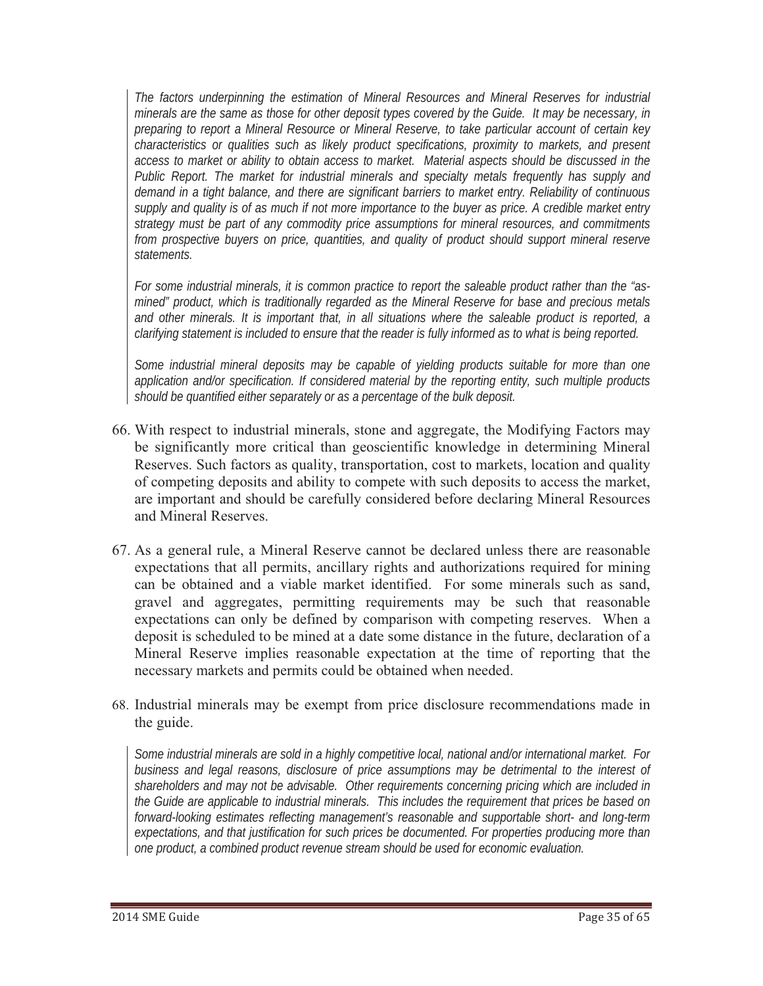*The factors underpinning the estimation of Mineral Resources and Mineral Reserves for industrial minerals are the same as those for other deposit types covered by the Guide. It may be necessary, in preparing to report a Mineral Resource or Mineral Reserve, to take particular account of certain key characteristics or qualities such as likely product specifications, proximity to markets, and present access to market or ability to obtain access to market. Material aspects should be discussed in the Public Report. The market for industrial minerals and specialty metals frequently has supply and demand in a tight balance, and there are significant barriers to market entry. Reliability of continuous supply and quality is of as much if not more importance to the buyer as price. A credible market entry strategy must be part of any commodity price assumptions for mineral resources, and commitments from prospective buyers on price, quantities, and quality of product should support mineral reserve statements.*

*For some industrial minerals, it is common practice to report the saleable product rather than the "asmined" product, which is traditionally regarded as the Mineral Reserve for base and precious metals and other minerals. It is important that, in all situations where the saleable product is reported, a clarifying statement is included to ensure that the reader is fully informed as to what is being reported.*

*Some industrial mineral deposits may be capable of yielding products suitable for more than one application and/or specification. If considered material by the reporting entity, such multiple products should be quantified either separately or as a percentage of the bulk deposit.*

- 66. With respect to industrial minerals, stone and aggregate, the Modifying Factors may be significantly more critical than geoscientific knowledge in determining Mineral Reserves. Such factors as quality, transportation, cost to markets, location and quality of competing deposits and ability to compete with such deposits to access the market, are important and should be carefully considered before declaring Mineral Resources and Mineral Reserves.
- 67. As a general rule, a Mineral Reserve cannot be declared unless there are reasonable expectations that all permits, ancillary rights and authorizations required for mining can be obtained and a viable market identified. For some minerals such as sand, gravel and aggregates, permitting requirements may be such that reasonable expectations can only be defined by comparison with competing reserves. When a deposit is scheduled to be mined at a date some distance in the future, declaration of a Mineral Reserve implies reasonable expectation at the time of reporting that the necessary markets and permits could be obtained when needed.
- 68. Industrial minerals may be exempt from price disclosure recommendations made in the guide.

*Some industrial minerals are sold in a highly competitive local, national and/or international market. For business and legal reasons, disclosure of price assumptions may be detrimental to the interest of shareholders and may not be advisable. Other requirements concerning pricing which are included in the Guide are applicable to industrial minerals. This includes the requirement that prices be based on forward-looking estimates reflecting management's reasonable and supportable short- and long-term expectations, and that justification for such prices be documented. For properties producing more than one product, a combined product revenue stream should be used for economic evaluation.*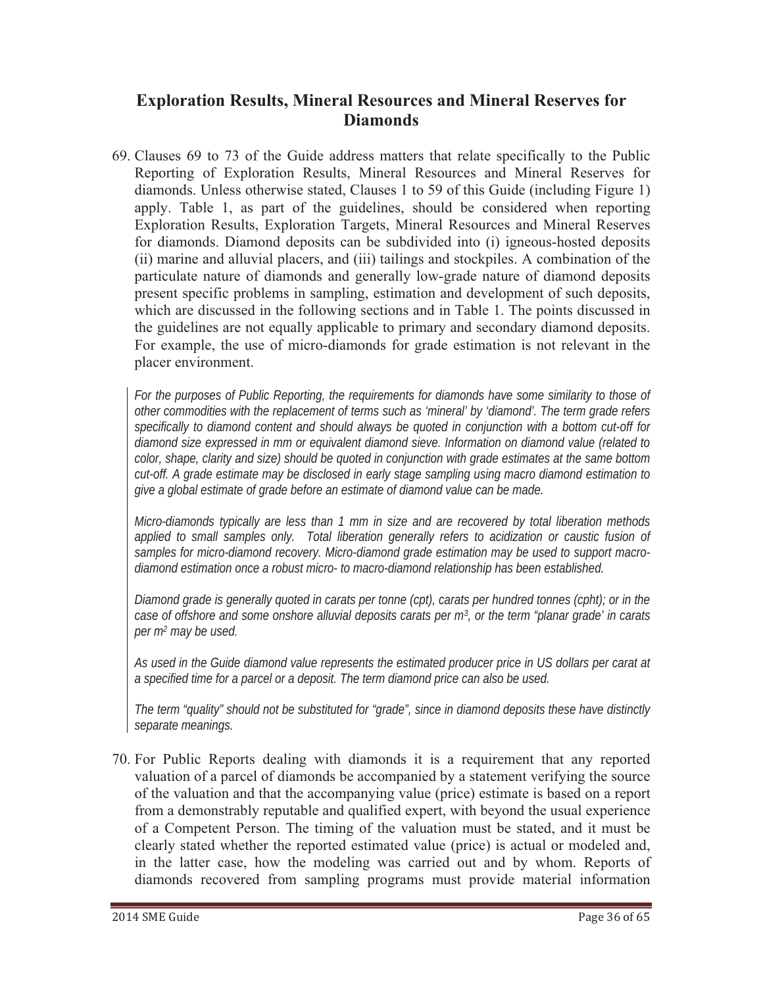### **Exploration Results, Mineral Resources and Mineral Reserves for Diamonds**

69. Clauses 69 to 73 of the Guide address matters that relate specifically to the Public Reporting of Exploration Results, Mineral Resources and Mineral Reserves for diamonds. Unless otherwise stated, Clauses 1 to 59 of this Guide (including Figure 1) apply. Table 1, as part of the guidelines, should be considered when reporting Exploration Results, Exploration Targets, Mineral Resources and Mineral Reserves for diamonds. Diamond deposits can be subdivided into (i) igneous-hosted deposits (ii) marine and alluvial placers, and (iii) tailings and stockpiles. A combination of the particulate nature of diamonds and generally low-grade nature of diamond deposits present specific problems in sampling, estimation and development of such deposits, which are discussed in the following sections and in Table 1. The points discussed in the guidelines are not equally applicable to primary and secondary diamond deposits. For example, the use of micro-diamonds for grade estimation is not relevant in the placer environment.

*For the purposes of Public Reporting, the requirements for diamonds have some similarity to those of other commodities with the replacement of terms such as 'mineral' by 'diamond'. The term grade refers specifically to diamond content and should always be quoted in conjunction with a bottom cut-off for diamond size expressed in mm or equivalent diamond sieve. Information on diamond value (related to color, shape, clarity and size) should be quoted in conjunction with grade estimates at the same bottom cut-off. A grade estimate may be disclosed in early stage sampling using macro diamond estimation to give a global estimate of grade before an estimate of diamond value can be made.*

*Micro-diamonds typically are less than 1 mm in size and are recovered by total liberation methods*  applied to small samples only. Total liberation generally refers to acidization or caustic fusion of *samples for micro-diamond recovery. Micro-diamond grade estimation may be used to support macrodiamond estimation once a robust micro- to macro-diamond relationship has been established.*

*Diamond grade is generally quoted in carats per tonne (cpt), carats per hundred tonnes (cpht); or in the case of offshore and some onshore alluvial deposits carats per m3, or the term "planar grade' in carats per m2 may be used.*

*As used in the Guide diamond value represents the estimated producer price in US dollars per carat at a specified time for a parcel or a deposit. The term diamond price can also be used.*

*The term "quality" should not be substituted for "grade", since in diamond deposits these have distinctly separate meanings.*

70. For Public Reports dealing with diamonds it is a requirement that any reported valuation of a parcel of diamonds be accompanied by a statement verifying the source of the valuation and that the accompanying value (price) estimate is based on a report from a demonstrably reputable and qualified expert, with beyond the usual experience of a Competent Person. The timing of the valuation must be stated, and it must be clearly stated whether the reported estimated value (price) is actual or modeled and, in the latter case, how the modeling was carried out and by whom. Reports of diamonds recovered from sampling programs must provide material information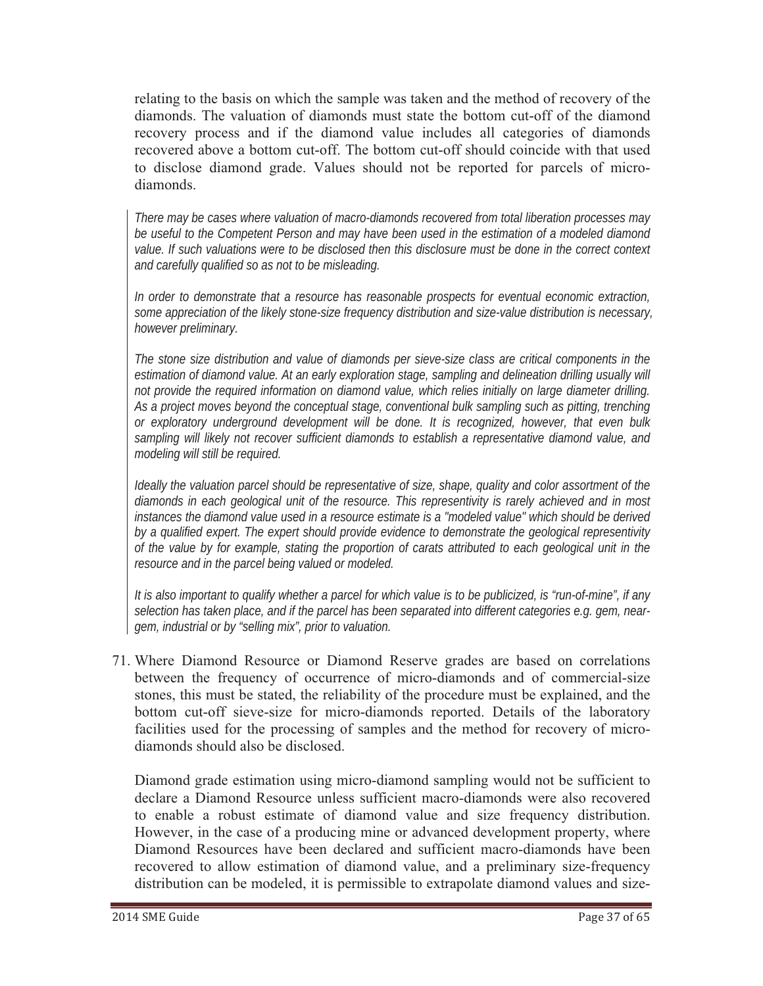relating to the basis on which the sample was taken and the method of recovery of the diamonds. The valuation of diamonds must state the bottom cut-off of the diamond recovery process and if the diamond value includes all categories of diamonds recovered above a bottom cut-off. The bottom cut-off should coincide with that used to disclose diamond grade. Values should not be reported for parcels of microdiamonds.

*There may be cases where valuation of macro-diamonds recovered from total liberation processes may be useful to the Competent Person and may have been used in the estimation of a modeled diamond value. If such valuations were to be disclosed then this disclosure must be done in the correct context and carefully qualified so as not to be misleading.*

*In order to demonstrate that a resource has reasonable prospects for eventual economic extraction, some appreciation of the likely stone-size frequency distribution and size-value distribution is necessary, however preliminary.*

*The stone size distribution and value of diamonds per sieve-size class are critical components in the estimation of diamond value. At an early exploration stage, sampling and delineation drilling usually will not provide the required information on diamond value, which relies initially on large diameter drilling. As a project moves beyond the conceptual stage, conventional bulk sampling such as pitting, trenching or exploratory underground development will be done. It is recognized, however, that even bulk sampling will likely not recover sufficient diamonds to establish a representative diamond value, and modeling will still be required.*

*Ideally the valuation parcel should be representative of size, shape, quality and color assortment of the diamonds in each geological unit of the resource. This representivity is rarely achieved and in most instances the diamond value used in a resource estimate is a "modeled value" which should be derived by a qualified expert. The expert should provide evidence to demonstrate the geological representivity of the value by for example, stating the proportion of carats attributed to each geological unit in the resource and in the parcel being valued or modeled.* 

*It is also important to qualify whether a parcel for which value is to be publicized, is "run-of-mine", if any selection has taken place, and if the parcel has been separated into different categories e.g. gem, neargem, industrial or by "selling mix", prior to valuation.*

71. Where Diamond Resource or Diamond Reserve grades are based on correlations between the frequency of occurrence of micro-diamonds and of commercial-size stones, this must be stated, the reliability of the procedure must be explained, and the bottom cut-off sieve-size for micro-diamonds reported. Details of the laboratory facilities used for the processing of samples and the method for recovery of microdiamonds should also be disclosed.

Diamond grade estimation using micro-diamond sampling would not be sufficient to declare a Diamond Resource unless sufficient macro-diamonds were also recovered to enable a robust estimate of diamond value and size frequency distribution. However, in the case of a producing mine or advanced development property, where Diamond Resources have been declared and sufficient macro-diamonds have been recovered to allow estimation of diamond value, and a preliminary size-frequency distribution can be modeled, it is permissible to extrapolate diamond values and size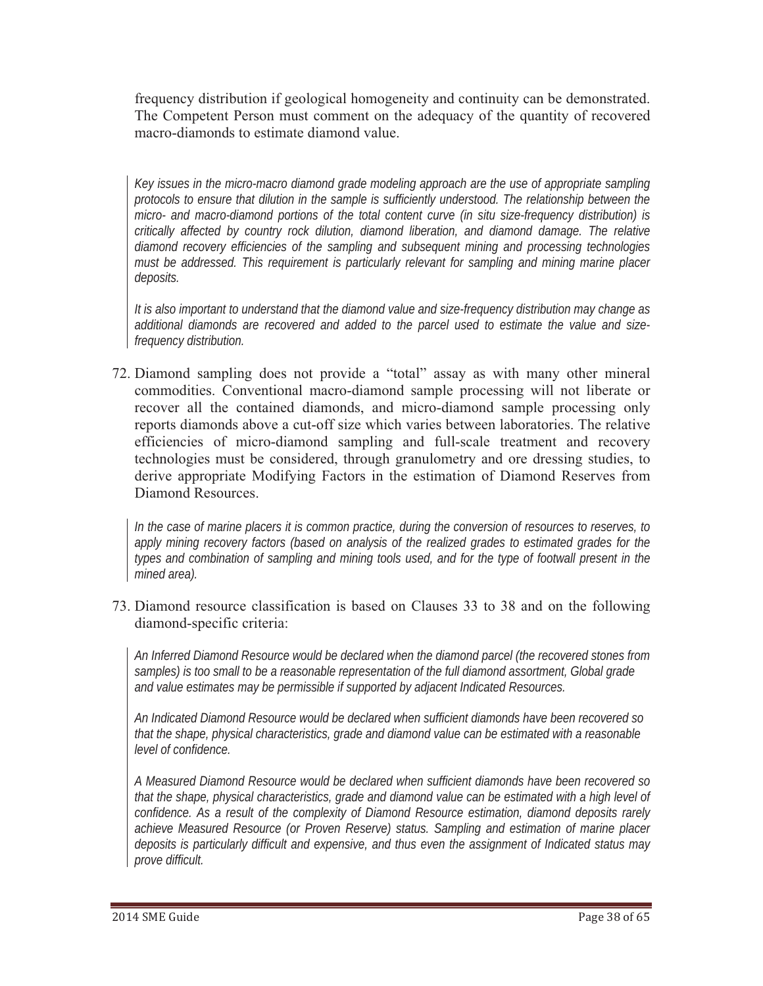frequency distribution if geological homogeneity and continuity can be demonstrated. The Competent Person must comment on the adequacy of the quantity of recovered macro-diamonds to estimate diamond value.

*Key issues in the micro-macro diamond grade modeling approach are the use of appropriate sampling protocols to ensure that dilution in the sample is sufficiently understood. The relationship between the micro- and macro-diamond portions of the total content curve (in situ size-frequency distribution) is critically affected by country rock dilution, diamond liberation, and diamond damage. The relative diamond recovery efficiencies of the sampling and subsequent mining and processing technologies must be addressed. This requirement is particularly relevant for sampling and mining marine placer deposits.*

*It is also important to understand that the diamond value and size-frequency distribution may change as additional diamonds are recovered and added to the parcel used to estimate the value and sizefrequency distribution.* 

72. Diamond sampling does not provide a "total" assay as with many other mineral commodities. Conventional macro-diamond sample processing will not liberate or recover all the contained diamonds, and micro-diamond sample processing only reports diamonds above a cut-off size which varies between laboratories. The relative efficiencies of micro-diamond sampling and full-scale treatment and recovery technologies must be considered, through granulometry and ore dressing studies, to derive appropriate Modifying Factors in the estimation of Diamond Reserves from Diamond Resources.

In the case of marine placers it is common practice, during the conversion of resources to reserves, to *apply mining recovery factors (based on analysis of the realized grades to estimated grades for the types and combination of sampling and mining tools used, and for the type of footwall present in the mined area).*

73. Diamond resource classification is based on Clauses 33 to 38 and on the following diamond-specific criteria:

*An Inferred Diamond Resource would be declared when the diamond parcel (the recovered stones from samples) is too small to be a reasonable representation of the full diamond assortment, Global grade and value estimates may be permissible if supported by adjacent Indicated Resources.* 

*An Indicated Diamond Resource would be declared when sufficient diamonds have been recovered so that the shape, physical characteristics, grade and diamond value can be estimated with a reasonable level of confidence.* 

*A Measured Diamond Resource would be declared when sufficient diamonds have been recovered so that the shape, physical characteristics, grade and diamond value can be estimated with a high level of confidence. As a result of the complexity of Diamond Resource estimation, diamond deposits rarely achieve Measured Resource (or Proven Reserve) status. Sampling and estimation of marine placer deposits is particularly difficult and expensive, and thus even the assignment of Indicated status may prove difficult.*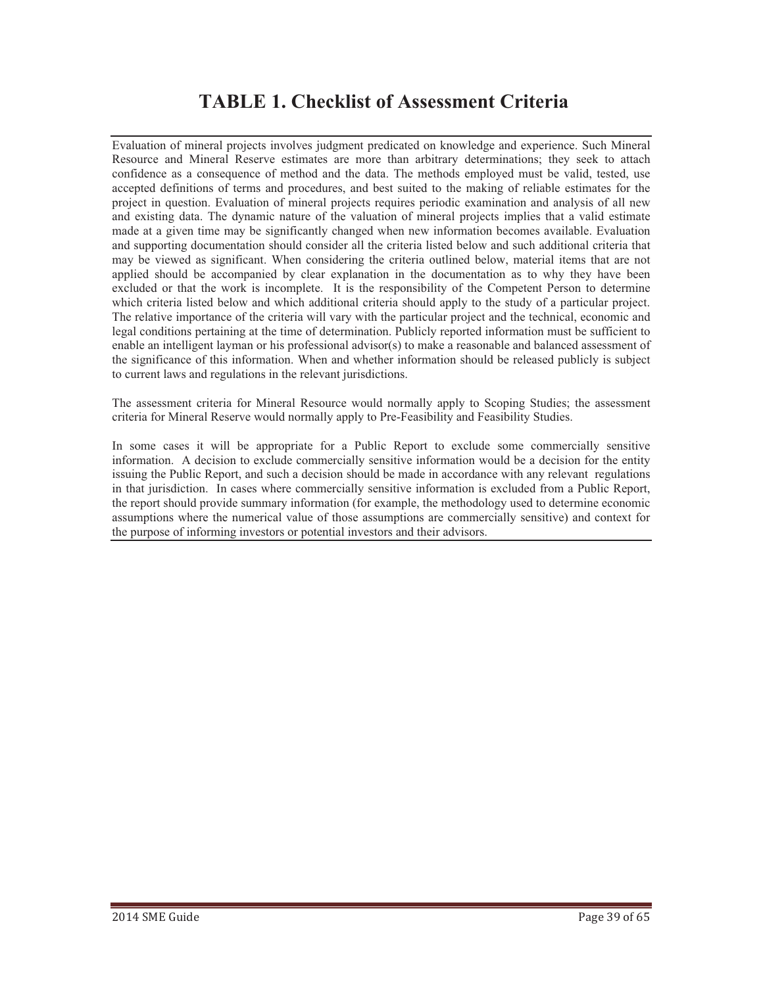# **TABLE 1. Checklist of Assessment Criteria**

Evaluation of mineral projects involves judgment predicated on knowledge and experience. Such Mineral Resource and Mineral Reserve estimates are more than arbitrary determinations; they seek to attach confidence as a consequence of method and the data. The methods employed must be valid, tested, use accepted definitions of terms and procedures, and best suited to the making of reliable estimates for the project in question. Evaluation of mineral projects requires periodic examination and analysis of all new and existing data. The dynamic nature of the valuation of mineral projects implies that a valid estimate made at a given time may be significantly changed when new information becomes available. Evaluation and supporting documentation should consider all the criteria listed below and such additional criteria that may be viewed as significant. When considering the criteria outlined below, material items that are not applied should be accompanied by clear explanation in the documentation as to why they have been excluded or that the work is incomplete. It is the responsibility of the Competent Person to determine which criteria listed below and which additional criteria should apply to the study of a particular project. The relative importance of the criteria will vary with the particular project and the technical, economic and legal conditions pertaining at the time of determination. Publicly reported information must be sufficient to enable an intelligent layman or his professional advisor(s) to make a reasonable and balanced assessment of the significance of this information. When and whether information should be released publicly is subject to current laws and regulations in the relevant jurisdictions.

The assessment criteria for Mineral Resource would normally apply to Scoping Studies; the assessment criteria for Mineral Reserve would normally apply to Pre-Feasibility and Feasibility Studies.

In some cases it will be appropriate for a Public Report to exclude some commercially sensitive information. A decision to exclude commercially sensitive information would be a decision for the entity issuing the Public Report, and such a decision should be made in accordance with any relevant regulations in that jurisdiction. In cases where commercially sensitive information is excluded from a Public Report, the report should provide summary information (for example, the methodology used to determine economic assumptions where the numerical value of those assumptions are commercially sensitive) and context for the purpose of informing investors or potential investors and their advisors.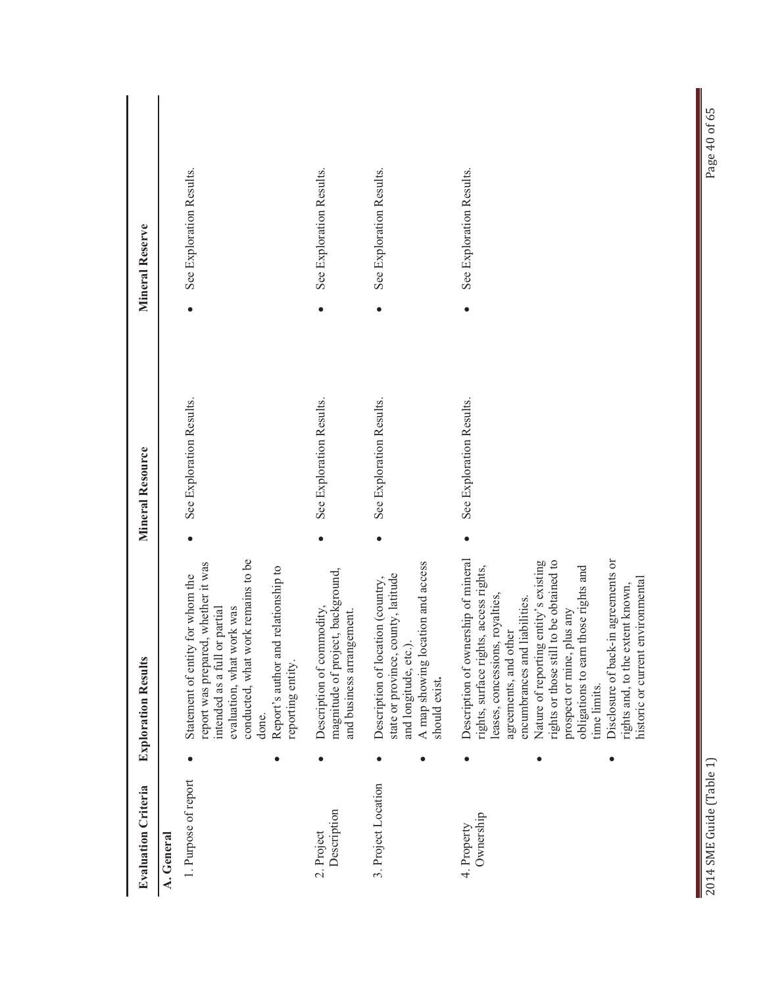| <b>Evaluation Criteria</b>         | <b>Exploration Results</b>                                                                                                                                                                                                                                                                                                                                                                                                                                                      | Mineral Resource         | <b>Mineral Reserve</b>   |
|------------------------------------|---------------------------------------------------------------------------------------------------------------------------------------------------------------------------------------------------------------------------------------------------------------------------------------------------------------------------------------------------------------------------------------------------------------------------------------------------------------------------------|--------------------------|--------------------------|
| 1. Purpose of report<br>A. General | conducted, what work remains to be<br>report was prepared, whether it was<br>nd relationship to<br>Statement of entity for whom the<br>intended as a full or partial<br>evaluation, what work was<br>Report's author are<br>reporting entity.<br>done.                                                                                                                                                                                                                          | See Exploration Results. | See Exploration Results. |
| Description<br>2. Project          | ect, background,<br>Description of commodity,<br>and business arrangement.<br>magnitude of proj                                                                                                                                                                                                                                                                                                                                                                                 | See Exploration Results. | See Exploration Results. |
| 3. Project Location                | A map showing location and access<br>county, latitude<br>Description of location (country,<br>and longitude, etc.).<br>state or province,<br>should exist.<br>$\bullet$                                                                                                                                                                                                                                                                                                         | See Exploration Results. | See Exploration Results. |
| Ownership<br>4. Property           | Description of ownership of mineral<br>1 to be obtained to<br>Disclosure of back-in agreements or<br>Nature of reporting entity's existing<br>obligations to earn those rights and<br>rights, surface rights, access rights,<br>environmental<br>rights and, to the extent known,<br>leases, concessions, royalties,<br>encumbrances and liabilities.<br>plus any<br>agreements, and other<br>rights or those still<br>historic or current<br>prospect or mine,<br>time limits. | See Exploration Results. | See Exploration Results. |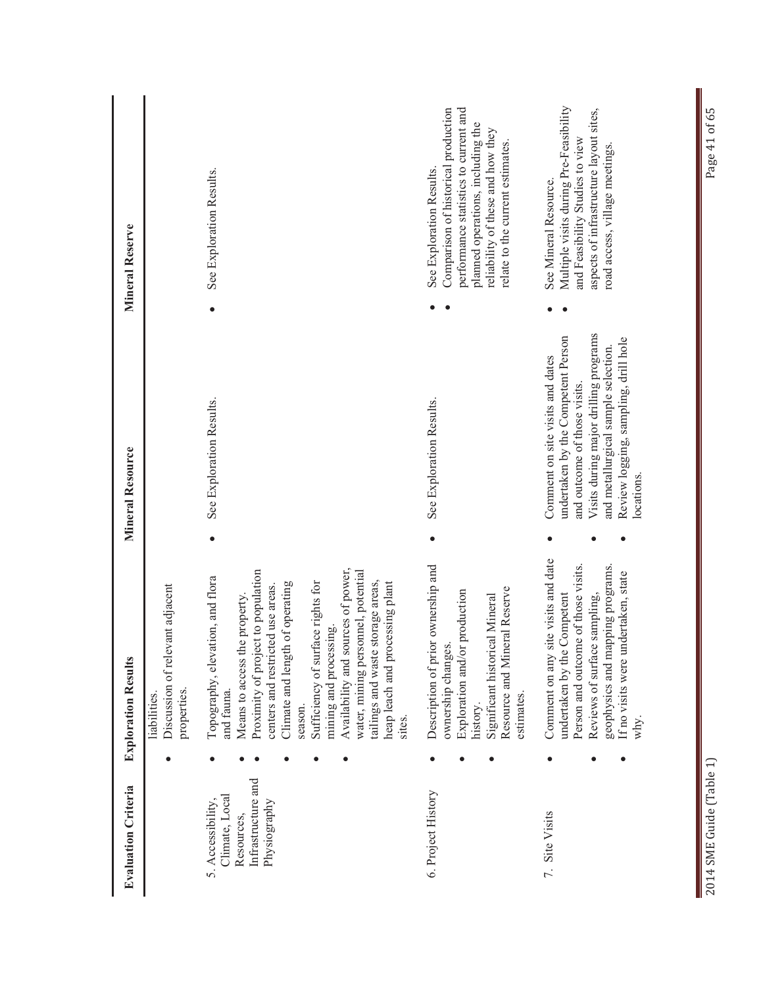| <b>Evaluation Criteria</b>                                                              | <b>Exploration Results</b>                                                                                                                                                                                                                                                                                                                                                                                                            | Mineral Resource                                                                                                                                                                                                                             | Mineral Reserve                                                                                                                                                                                                        |
|-----------------------------------------------------------------------------------------|---------------------------------------------------------------------------------------------------------------------------------------------------------------------------------------------------------------------------------------------------------------------------------------------------------------------------------------------------------------------------------------------------------------------------------------|----------------------------------------------------------------------------------------------------------------------------------------------------------------------------------------------------------------------------------------------|------------------------------------------------------------------------------------------------------------------------------------------------------------------------------------------------------------------------|
|                                                                                         | Discussion of relevant adjacent<br>properties.<br>liabilities.                                                                                                                                                                                                                                                                                                                                                                        |                                                                                                                                                                                                                                              |                                                                                                                                                                                                                        |
| Infrastructure and<br>Climate, Local<br>5. Accessibility,<br>Physiography<br>Resources, | Availability and sources of power,<br>Proximity of project to population<br>water, mining personnel, potential<br>Topography, elevation, and flora<br>tailings and waste storage areas,<br>Climate and length of operating<br>Sufficiency of surface rights for<br>heap leach and processing plant<br>centers and restricted use areas.<br>Means to access the property.<br>mining and processing.<br>and fauna.<br>season.<br>sites. | See Exploration Results.                                                                                                                                                                                                                     | See Exploration Results.                                                                                                                                                                                               |
| 6. Project History                                                                      | Description of prior ownership and<br>Resource and Mineral Reserve<br>Exploration and/or production<br>Significant historical Mineral<br>ownership changes.<br>estimates.<br>history.                                                                                                                                                                                                                                                 | See Exploration Results.                                                                                                                                                                                                                     | performance statistics to current and<br>Comparison of historical production<br>planned operations, including the<br>reliability of these and how they<br>relate to the current estimates.<br>See Exploration Results. |
| 7. Site Visits                                                                          | site visits and date<br>Person and outcome of those visits.<br>geophysics and mapping programs.<br>If no visits were undertaken, state<br>undertaken by the Competent<br>Reviews of surface sampling,<br>Comment on any<br>why.                                                                                                                                                                                                       | Visits during major drilling programs<br>undertaken by the Competent Person<br>Review logging, sampling, drill hole<br>and metallurgical sample selection.<br>Comment on site visits and dates<br>and outcome of those visits.<br>locations. | Multiple visits during Pre-Feasibility<br>aspects of infrastructure layout sites,<br>and Feasibility Studies to view<br>road access, village meetings.<br>See Mineral Resource.                                        |

Π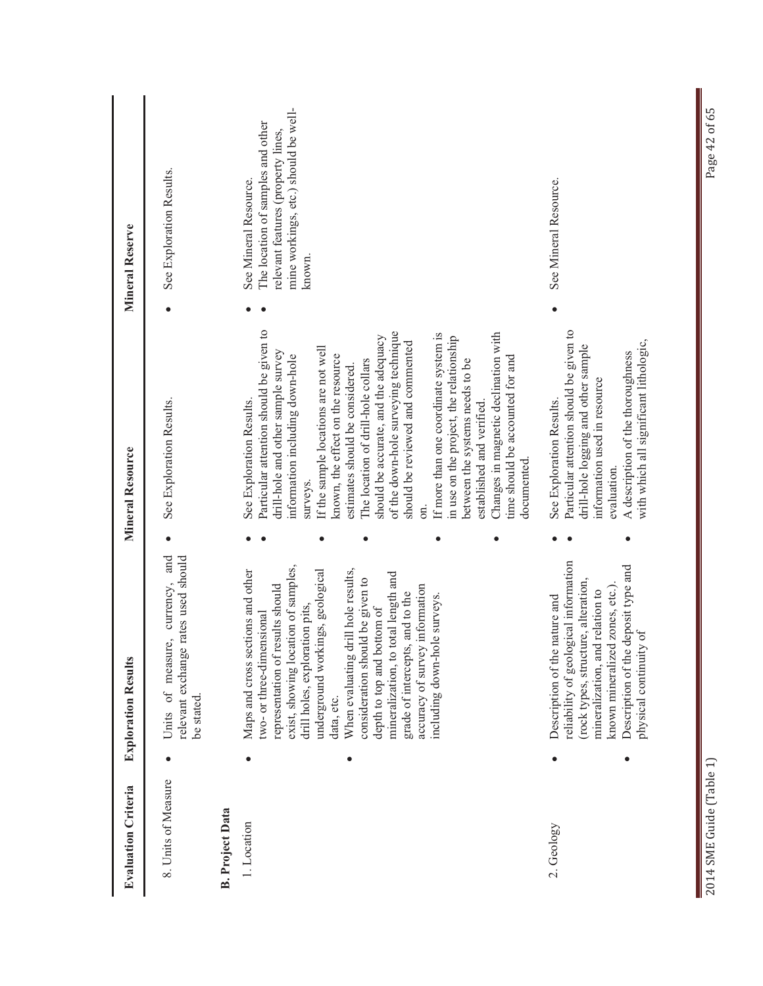| <b>Evaluation Criteria</b>            | <b>Exploration Results</b>                                                                                                                                                                                                                                                                                                                                                                                                                                                         | <b>Mineral Resource</b>                                                                                                                                                                                                                                                                                                                                                                                                                                                                                                                                                                                                                                                          | <b>Mineral Reserve</b>                                                                                                                             |
|---------------------------------------|------------------------------------------------------------------------------------------------------------------------------------------------------------------------------------------------------------------------------------------------------------------------------------------------------------------------------------------------------------------------------------------------------------------------------------------------------------------------------------|----------------------------------------------------------------------------------------------------------------------------------------------------------------------------------------------------------------------------------------------------------------------------------------------------------------------------------------------------------------------------------------------------------------------------------------------------------------------------------------------------------------------------------------------------------------------------------------------------------------------------------------------------------------------------------|----------------------------------------------------------------------------------------------------------------------------------------------------|
| 8. Units of Measure                   | Units of measure, currency, and<br>rates used should<br>relevant exchange<br>be stated.                                                                                                                                                                                                                                                                                                                                                                                            | See Exploration Results.                                                                                                                                                                                                                                                                                                                                                                                                                                                                                                                                                                                                                                                         | See Exploration Results.                                                                                                                           |
| <b>B.</b> Project Data<br>1. Location | exist, showing location of samples,<br>When evaluating drill hole results,<br>Maps and cross sections and other<br>underground workings, geological<br>mineralization, to total length and<br>consideration should be given to<br>representation of results should<br>accuracy of survey information<br>grade of intercepts, and to the<br>including down-hole surveys.<br>drill holes, exploration pits,<br>depth to top and bottom of<br>two- or three-dimensional<br>data, etc. | Particular attention should be given to<br>of the down-hole surveying technique<br>Changes in magnetic declination with<br>If more than one coordinate system is<br>should be accurate, and the adequacy<br>in use on the project, the relationship<br>should be reviewed and commented<br>If the sample locations are not well<br>drill-hole and other sample survey<br>known, the effect on the resource<br>information including down-hole<br>time should be accounted for and<br>The location of drill-hole collars<br>between the systems needs to be<br>estimates should be considered.<br>See Exploration Results.<br>established and verified.<br>documented<br>surveys. | mine workings, etc.) should be well-<br>The location of samples and other<br>relevant features (property lines,<br>See Mineral Resource.<br>known. |
| 2. Geology                            | reliability of geological information<br>Description of the deposit type and<br>(rock types, structure, alteration,<br>known mineralized zones, etc.)<br>mineralization, and relation to<br>Description of the nature and<br>physical continuity of                                                                                                                                                                                                                                | Particular attention should be given to<br>with which all significant lithologic,<br>drill-hole logging and other sample<br>A description of the thoroughness<br>information used in resource<br>See Exploration Results.<br>evaluation.                                                                                                                                                                                                                                                                                                                                                                                                                                         | See Mineral Resource.                                                                                                                              |

Π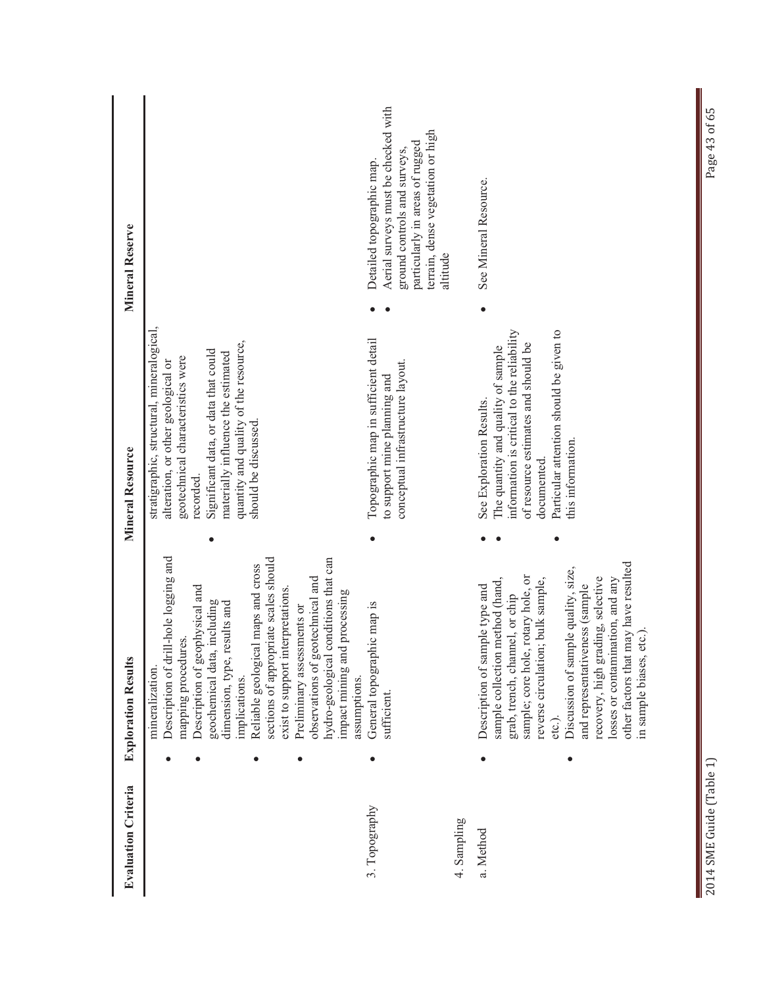| <b>Evaluation Criteria</b> | <b>Exploration Results</b>                                                                                                                                                                                                                                                                                                                                                                                                                                                           | <b>Mineral Resource</b>                                                                                                                                                                                                                                                          | <b>Mineral Reserve</b>                                                                                                                                                               |
|----------------------------|--------------------------------------------------------------------------------------------------------------------------------------------------------------------------------------------------------------------------------------------------------------------------------------------------------------------------------------------------------------------------------------------------------------------------------------------------------------------------------------|----------------------------------------------------------------------------------------------------------------------------------------------------------------------------------------------------------------------------------------------------------------------------------|--------------------------------------------------------------------------------------------------------------------------------------------------------------------------------------|
|                            | Description of drill-hole logging and<br>hydro-geological conditions that can<br>sections of appropriate scales should<br>Reliable geological maps and cross<br>observations of geotechnical and<br>Description of geophysical and<br>exist to support interpretations.<br>processing<br>including<br>dimension, type, results and<br>Preliminary assessments or<br>mapping procedures.<br>impact mining and<br>geochemical data,<br>mineralization<br>implications.<br>assumptions. | stratigraphic, structural, mineralogical,<br>quantity and quality of the resource,<br>Significant data, or data that could<br>materially influence the estimated<br>geotechnical characteristics were<br>alteration, or other geological or<br>should be discussed.<br>recorded. |                                                                                                                                                                                      |
| 3. Topography              | General topographic map is<br>sufficient.                                                                                                                                                                                                                                                                                                                                                                                                                                            | Topographic map in sufficient detail<br>conceptual infrastructure layout.<br>to support mine planning and                                                                                                                                                                        | Aerial surveys must be checked with<br>terrain, dense vegetation or high<br>particularly in areas of rugged<br>ground controls and surveys,<br>Detailed topographic map.<br>altitude |
| 4. Sampling<br>a. Method   | other factors that may have resulted<br>Discussion of sample quality, size,<br>rotary hole, or<br>recovery, high grading, selective<br>sample collection method (hand,<br>reverse circulation; bulk sample,<br>losses or contamination, and any<br>and representativeness (sample<br>Description of sample type and<br>grab, trench, channel, or chip<br>in sample biases, etc.).<br>sample; core hole,<br>etc.).                                                                    | Particular attention should be given to<br>information is critical to the reliability<br>of resource estimates and should be<br>The quantity and quality of sample<br>See Exploration Results.<br>this information.<br>documented.                                               | See Mineral Resource.                                                                                                                                                                |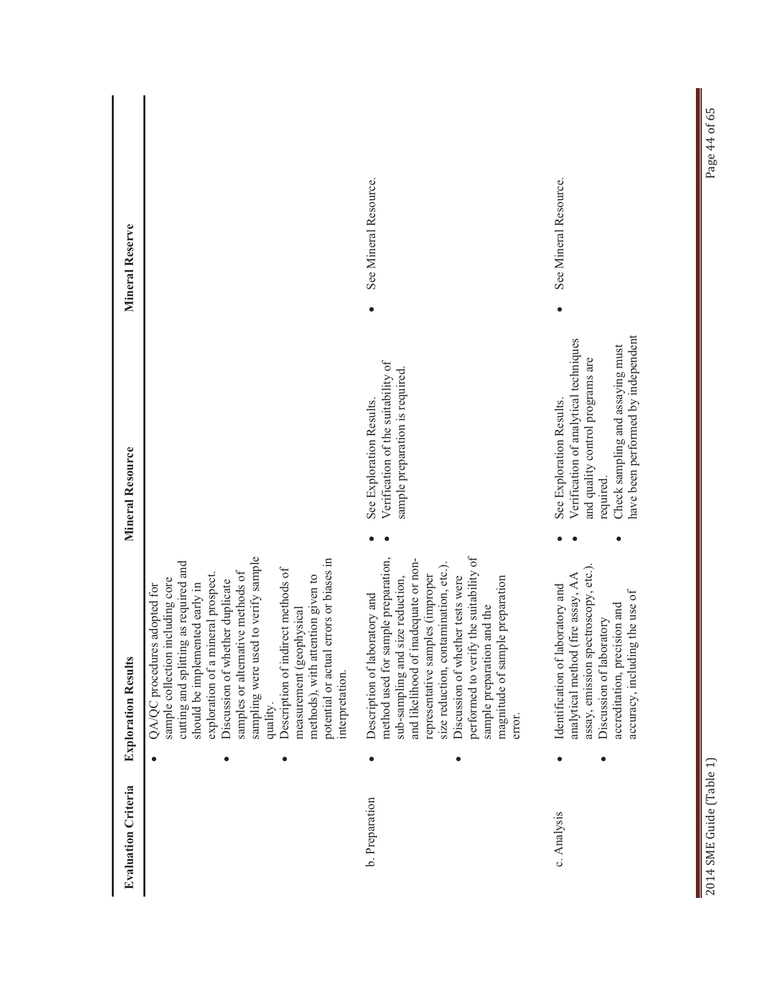| <b>Evaluation Criteria</b> | <b>Exploration Results</b>                                                                                                                                                                                                                                                                                                                                                                                                                                                               | Mineral Resource                                                                                                                                                                             | Mineral Reserve       |
|----------------------------|------------------------------------------------------------------------------------------------------------------------------------------------------------------------------------------------------------------------------------------------------------------------------------------------------------------------------------------------------------------------------------------------------------------------------------------------------------------------------------------|----------------------------------------------------------------------------------------------------------------------------------------------------------------------------------------------|-----------------------|
|                            | sampling were used to verify sample<br>errors or biases in<br>cutting and splitting as required and<br>Description of indirect methods of<br>samples or alternative methods of<br>exploration of a mineral prospect.<br>tention given to<br>sample collection including core<br>Discussion of whether duplicate<br>should be implemented early in<br>QA/QC procedures adopted for<br>measurement (geophysical<br>potential or actual<br>methods), with at<br>interpretation.<br>quality. |                                                                                                                                                                                              |                       |
| b. Preparation             | performed to verify the suitability of<br>method used for sample preparation,<br>and likelihood of inadequate or non-<br>size reduction, contamination, etc.).<br>representative samples (improper<br>Discussion of whether tests were<br>size reduction,<br>magnitude of sample preparation<br>Description of laboratory and<br>sample preparation and the<br>sub-sampling and<br>error.                                                                                                | Verification of the suitability of<br>sample preparation is required.<br>See Exploration Results.                                                                                            | See Mineral Resource. |
| c. Analysis                | assay, emission spectroscopy, etc.).<br>analytical method (fire assay, AA<br>aboratory and<br>ig the use of<br>accreditation, precision and<br>Discussion of laboratory<br>accuracy, includin<br>Identification of 1                                                                                                                                                                                                                                                                     | have been performed by independent<br>Verification of analytical techniques<br>Check sampling and assaying must<br>and quality control programs are<br>See Exploration Results.<br>required. | See Mineral Resource. |

Π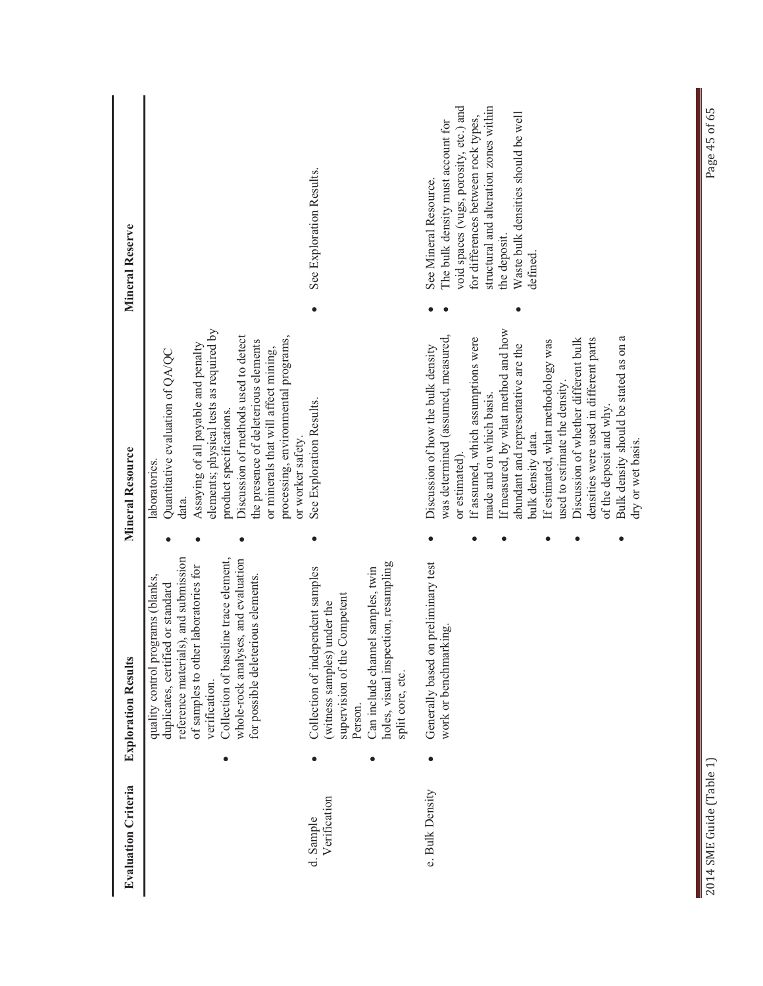| <b>Evaluation Criteria</b> | <b>Exploration Results</b>                                             |                                                                                                                                                                                                                                                                              | <b>Mineral Resource</b>                                                                                                                                                                                                                                                                                                                                                                                                                                                                                           | Mineral Reserve                                                                                                                                                                                                                                         |
|----------------------------|------------------------------------------------------------------------|------------------------------------------------------------------------------------------------------------------------------------------------------------------------------------------------------------------------------------------------------------------------------|-------------------------------------------------------------------------------------------------------------------------------------------------------------------------------------------------------------------------------------------------------------------------------------------------------------------------------------------------------------------------------------------------------------------------------------------------------------------------------------------------------------------|---------------------------------------------------------------------------------------------------------------------------------------------------------------------------------------------------------------------------------------------------------|
|                            | verification.                                                          | reference materials), and submission<br>Collection of baseline trace element,<br>whole-rock analyses, and evaluation<br>of samples to other laboratories for<br>quality control programs (blanks,<br>for possible deleterious elements.<br>duplicates, certified or standard | elements; physical tests as required by<br>Discussion of methods used to detect<br>processing, environmental programs,<br>the presence of deleterious elements<br>Assaying of all payable and penalty<br>or minerals that will affect mining,<br>Quantitative evaluation of QA/QC<br>product specifications.<br>or worker safety.<br>laboratories<br>data.                                                                                                                                                        |                                                                                                                                                                                                                                                         |
| Verification<br>d. Sample  | (witness samples)<br>supervision of the<br>split core, etc.<br>Person. | holes, visual inspection, resampling<br>Can include channel samples, twin<br>Collection of independent samples<br>Competent<br>under the                                                                                                                                     | See Exploration Results.                                                                                                                                                                                                                                                                                                                                                                                                                                                                                          | See Exploration Results.                                                                                                                                                                                                                                |
| e. Bulk Density            | work or benchmarking                                                   | Generally based on preliminary test                                                                                                                                                                                                                                          | If measured, by what method and how<br>was determined (assumed, measured,<br>Bulk density should be stated as on a<br>densities were used in different parts<br>If assumed, which assumptions were<br>Discussion of whether different bulk<br>If estimated, what methodology was<br>abundant and representative are the<br>Discussion of how the bulk density<br>used to estimate the density.<br>made and on which basis.<br>of the deposit and why.<br>bulk density data.<br>dry or wet basis.<br>or estimated) | void spaces (vugs, porosity, etc.) and<br>structural and alteration zones within<br>Waste bulk densities should be well<br>for differences between rock types,<br>The bulk density must account for<br>See Mineral Resource.<br>the deposit.<br>defined |

Π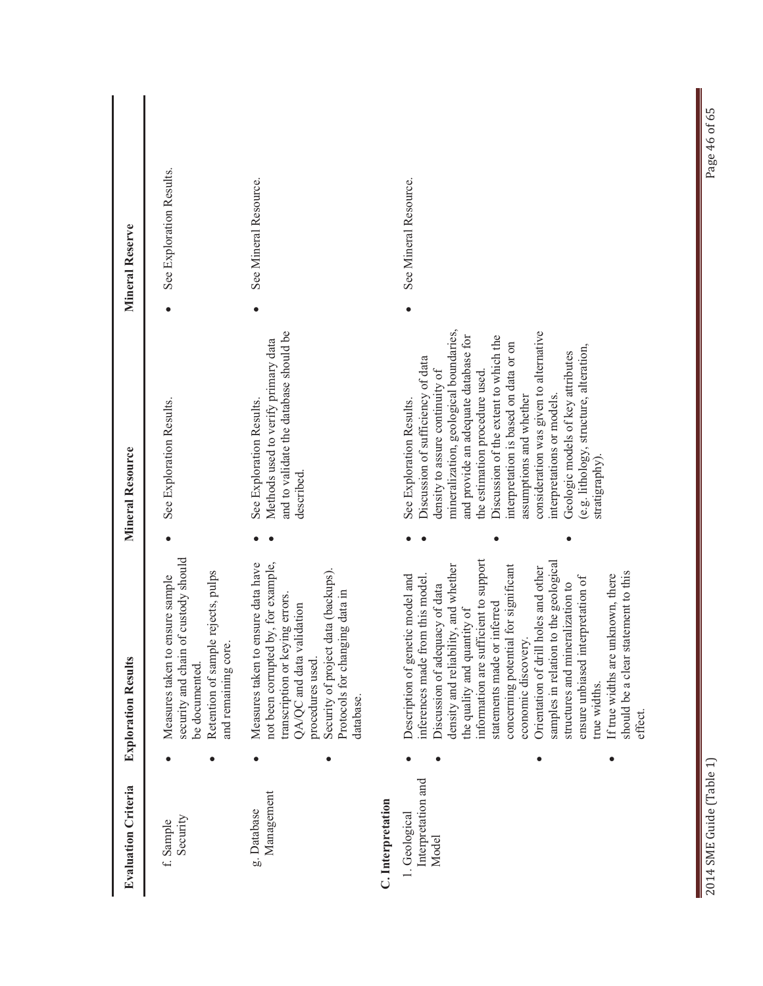| <b>Evaluation Criteria</b>                                        | <b>Exploration Results</b>                                                                                                                                                                                                                                                                                                                                                                                                                                                                                                                                                    | <b>Mineral Resource</b>                                                                                                                                                                                                                                                                                                                                                                                                                                                                                    | <b>Mineral Reserve</b>   |
|-------------------------------------------------------------------|-------------------------------------------------------------------------------------------------------------------------------------------------------------------------------------------------------------------------------------------------------------------------------------------------------------------------------------------------------------------------------------------------------------------------------------------------------------------------------------------------------------------------------------------------------------------------------|------------------------------------------------------------------------------------------------------------------------------------------------------------------------------------------------------------------------------------------------------------------------------------------------------------------------------------------------------------------------------------------------------------------------------------------------------------------------------------------------------------|--------------------------|
| Security<br>f. Sample                                             | of custody should<br>Retention of sample rejects, pulps<br>ensure sample<br>and remaining core.<br>security and chain<br>Measures taken to<br>be documented.                                                                                                                                                                                                                                                                                                                                                                                                                  | See Exploration Results.                                                                                                                                                                                                                                                                                                                                                                                                                                                                                   | See Exploration Results. |
| Management<br>g. Database                                         | ensure data have<br>by, for example,<br>data (backups).<br>Protocols for changing data in<br>transcription or keying errors.<br>QA/QC and data validation<br>not been corrupted<br>Security of project<br>Measures taken to<br>procedures used.<br>database.<br>$\bullet$                                                                                                                                                                                                                                                                                                     | and to validate the database should be<br>Methods used to verify primary data<br>See Exploration Results.<br>described.                                                                                                                                                                                                                                                                                                                                                                                    | See Mineral Resource.    |
| Interpretation and<br>C. Interpretation<br>1. Geological<br>Model | information are sufficient to support<br>samples in relation to the geological<br>density and reliability, and whether<br>concerning potential for significant<br>holes and other<br>should be a clear statement to this<br>If true widths are unknown, there<br>Description of genetic model and<br>inferences made from this model.<br>ensure unbiased interpretation of<br>structures and mineralization to<br>Discussion of adequacy of data<br>statements made or inferred<br>the quality and quantity of<br>economic discovery.<br>Orientation of drill<br>true widths. | mineralization, geological boundaries,<br>consideration was given to alternative<br>and provide an adequate database for<br>Discussion of the extent to which the<br>interpretation is based on data or on<br>(e.g. lithology, structure, alteration,<br>Geologic models of key attributes<br>Discussion of sufficiency of data<br>density to assure continuity of<br>the estimation procedure used.<br>assumptions and whether<br>interpretations or models.<br>See Exploration Results.<br>stratigraphy) | See Mineral Resource.    |
|                                                                   | effect.                                                                                                                                                                                                                                                                                                                                                                                                                                                                                                                                                                       |                                                                                                                                                                                                                                                                                                                                                                                                                                                                                                            |                          |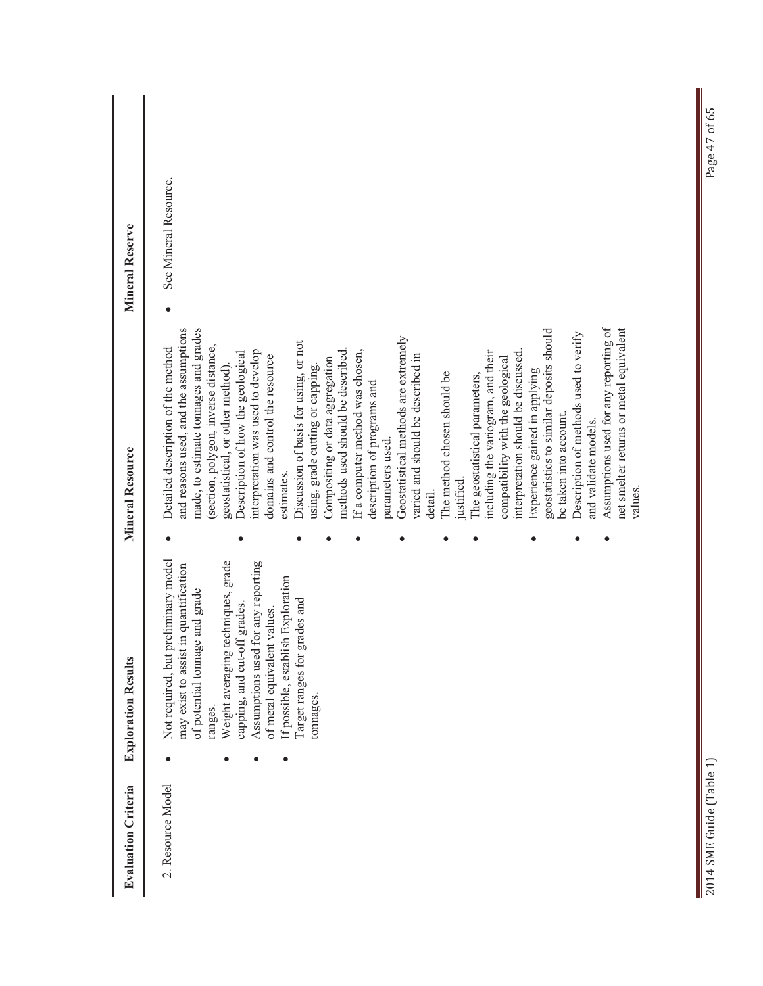| <b>Evaluation Criteria</b> | <b>Exploration Results</b>                                                                                                                                                                                                                                                                                                                                          | <b>Mineral Resource</b>                                                                                                                                                                                                                                                                                                                                                                                                                                                                                                                                                                                                                                                                                                                                                                                                                                                                                                                                                                                                                                                                                                                 | <b>Mineral Reserve</b> |
|----------------------------|---------------------------------------------------------------------------------------------------------------------------------------------------------------------------------------------------------------------------------------------------------------------------------------------------------------------------------------------------------------------|-----------------------------------------------------------------------------------------------------------------------------------------------------------------------------------------------------------------------------------------------------------------------------------------------------------------------------------------------------------------------------------------------------------------------------------------------------------------------------------------------------------------------------------------------------------------------------------------------------------------------------------------------------------------------------------------------------------------------------------------------------------------------------------------------------------------------------------------------------------------------------------------------------------------------------------------------------------------------------------------------------------------------------------------------------------------------------------------------------------------------------------------|------------------------|
| 2. Resource Model          | preliminary model<br>techniques, grade<br>for any reporting<br>in quantification<br>If possible, establish Exploration<br>of potential tonnage and grade<br>Target ranges for grades and<br>capping, and cut-off grades.<br>of metal equivalent values.<br>may exist to assist<br>Assumptions used<br>Weight averaging<br>Not required, but<br>tonnages.<br>ranges. | Assumptions used for any reporting of<br>and reasons used, and the assumptions<br>made, to estimate tonnages and grades<br>net smelter returns or metal equivalent<br>geostatistics to similar deposits should<br>Description of methods used to verify<br>Geostatistical methods are extremely<br>Discussion of basis for using, or not<br>(section, polygon, inverse distance,<br>Detailed description of the method<br>methods used should be described.<br>interpretation was used to develop<br>If a computer method was chosen,<br>interpretation should be discussed.<br>including the variogram, and their<br>Description of how the geological<br>varied and should be described in<br>domains and control the resource<br>compatibility with the geological<br>Compositing or data aggregation<br>geostatistical, or other method).<br>using, grade cutting or capping.<br>Experience gained in applying<br>The method chosen should be<br>The geostatistical parameters,<br>description of programs and<br>be taken into account.<br>and validate models.<br>parameters used.<br>estimates.<br>ustified<br>values<br>detail. | See Mineral Resource.  |

Π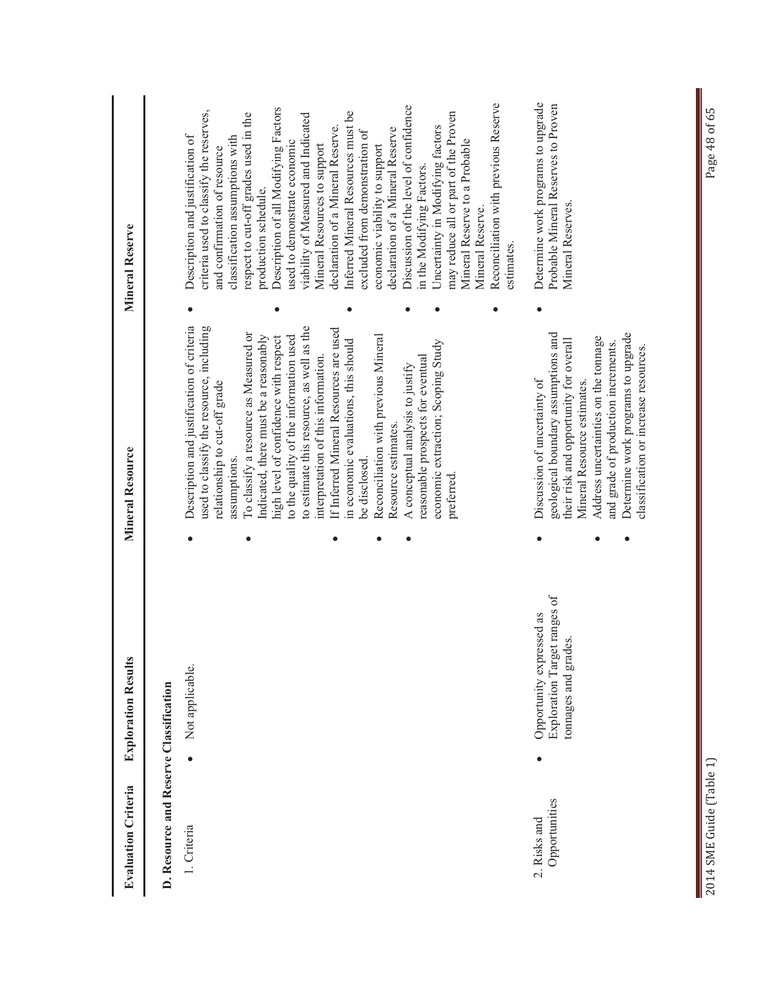| <b>Evaluation Criteria</b>             | <b>Exploration Results</b>                                                                   | <b>Mineral Resource</b>                                                                                                                                                                                                                                                                                    | <b>Mineral Reserve</b>                                                                                                                                                                                                                                    |
|----------------------------------------|----------------------------------------------------------------------------------------------|------------------------------------------------------------------------------------------------------------------------------------------------------------------------------------------------------------------------------------------------------------------------------------------------------------|-----------------------------------------------------------------------------------------------------------------------------------------------------------------------------------------------------------------------------------------------------------|
| D. Resource and Reserve Classification |                                                                                              |                                                                                                                                                                                                                                                                                                            |                                                                                                                                                                                                                                                           |
| 1. Criteria                            | Not applicable.<br>$\bullet$                                                                 | Description and justification of criteria<br>used to classify the resource, including<br>relationship to cut-off grade                                                                                                                                                                                     | criteria used to classify the reserves,<br>Description and justification of<br>classification assumptions with<br>and confirmation of resource                                                                                                            |
|                                        |                                                                                              | to estimate this resource, as well as the<br>To classify a resource as Measured or<br>Indicated, there must be a reasonably<br>to the quality of the information used<br>high level of confidence with respect<br>assumptions.                                                                             | Description of all Modifying Factors<br>respect to cut-off grades used in the<br>viability of Measured and Indicated<br>used to demonstrate economic<br>production schedule.                                                                              |
|                                        |                                                                                              | If Inferred Mineral Resources are used<br>Reconciliation with previous Mineral<br>in economic evaluations, this should<br>interpretation of this information.<br>be disclosed.                                                                                                                             | Inferred Mineral Resources must be<br>declaration of a Mineral Reserve.<br>declaration of a Mineral Reserve<br>excluded from demonstration of<br>Mineral Resources to support<br>economic viability to support                                            |
|                                        |                                                                                              | economic extraction; Scoping Study<br>reasonable prospects for eventual<br>A conceptual analysis to justify<br>Resource estimates<br>preferred                                                                                                                                                             | Reconciliation with previous Reserve<br>Discussion of the level of confidence<br>may reduce all or part of the Proven<br>Uncertainty in Modifying factors<br>Mineral Reserve to a Probable<br>in the Modifying Factors.<br>Mineral Reserve.<br>estimates. |
| Opportunities<br>2. Risks and          | Exploration Target ranges of<br>Opportunity expressed as<br>tomages and grades.<br>$\bullet$ | Determine work programs to upgrade<br>geological boundary assumptions and<br>Address uncertainties on the tonnage<br>their risk and opportunity for overall<br>and grade of production increments.<br>classification or increase resources.<br>Discussion of uncertainty of<br>Mineral Resource estimates. | Determine work programs to upgrade<br>Probable Mineral Reserves to Proven<br>Mineral Reserves.                                                                                                                                                            |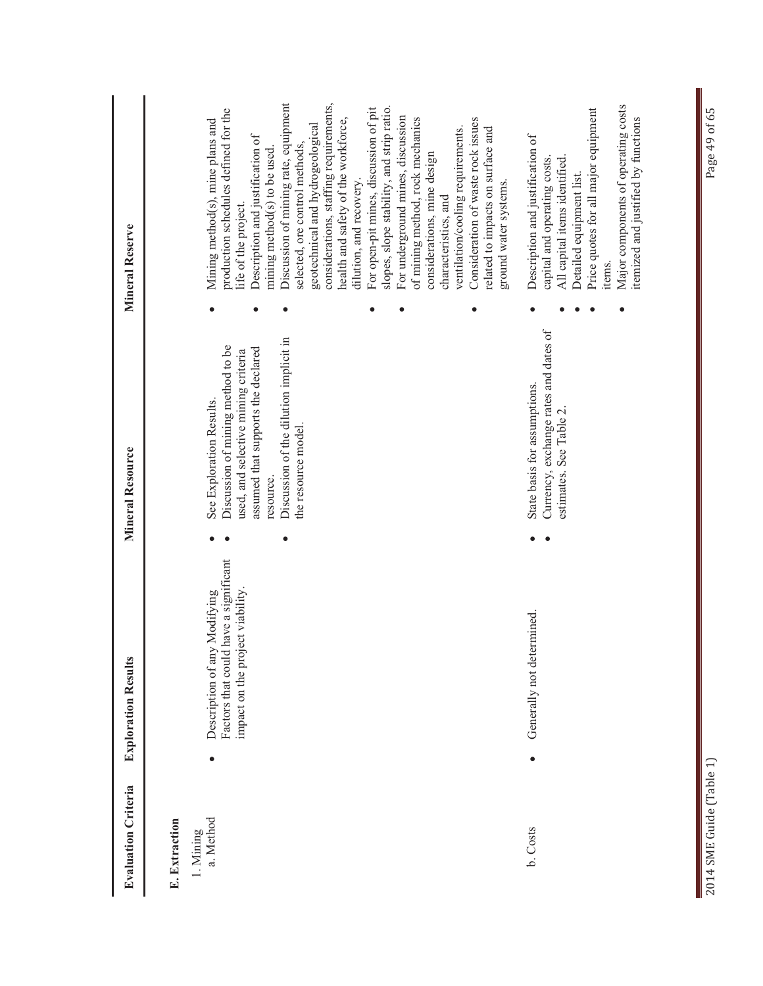| <b>Evaluation Criteria</b>              |           | <b>Exploration Results</b>                                                                                | Mineral Resource                                                                                                                                                                                                         | Mineral Reserve                                                                                                                                                                                                                                                                                                                                                                                                                                                                                                                                                                                                                                                                                                                      |
|-----------------------------------------|-----------|-----------------------------------------------------------------------------------------------------------|--------------------------------------------------------------------------------------------------------------------------------------------------------------------------------------------------------------------------|--------------------------------------------------------------------------------------------------------------------------------------------------------------------------------------------------------------------------------------------------------------------------------------------------------------------------------------------------------------------------------------------------------------------------------------------------------------------------------------------------------------------------------------------------------------------------------------------------------------------------------------------------------------------------------------------------------------------------------------|
| a. Method<br>E. Extraction<br>1. Mining |           | Factors that could have a significant<br>impact on the project viability.<br>Description of any Modifying | Discussion of the dilution implicit in<br>Discussion of mining method to be<br>assumed that supports the declared<br>used, and selective mining criteria<br>See Exploration Results.<br>the resource model.<br>resource. | Discussion of mining rate, equipment<br>considerations, staffing requirements,<br>slopes, slope stability, and strip ratio.<br>For open-pit mines, discussion of pit<br>production schedules defined for the<br>For underground mines, discussion<br>of mining method, rock mechanics<br>Consideration of waste rock issues<br>health and safety of the workforce,<br>Mining method(s), mine plans and<br>geotechnical and hydrogeological<br>ventilation/cooling requirements.<br>related to impacts on surface and<br>Description and justification of<br>selected, ore control methods,<br>mining method(s) to be used.<br>considerations, mine design<br>dilution, and recovery.<br>characteristics, and<br>life of the project. |
| b. Costs                                | $\bullet$ | Generally not determined                                                                                  | Currency, exchange rates and dates of<br>State basis for assumptions.<br>estimates. See Table 2.                                                                                                                         | Major components of operating costs<br>Price quotes for all major equipment<br>itemized and justified by functions<br>Description and justification of<br>All capital items identified.<br>capital and operating costs.<br>Detailed equipment list.<br>ground water systems.<br>items.                                                                                                                                                                                                                                                                                                                                                                                                                                               |
| 2014 SME Guide (Table 1)                |           |                                                                                                           |                                                                                                                                                                                                                          | Page 49 of 65                                                                                                                                                                                                                                                                                                                                                                                                                                                                                                                                                                                                                                                                                                                        |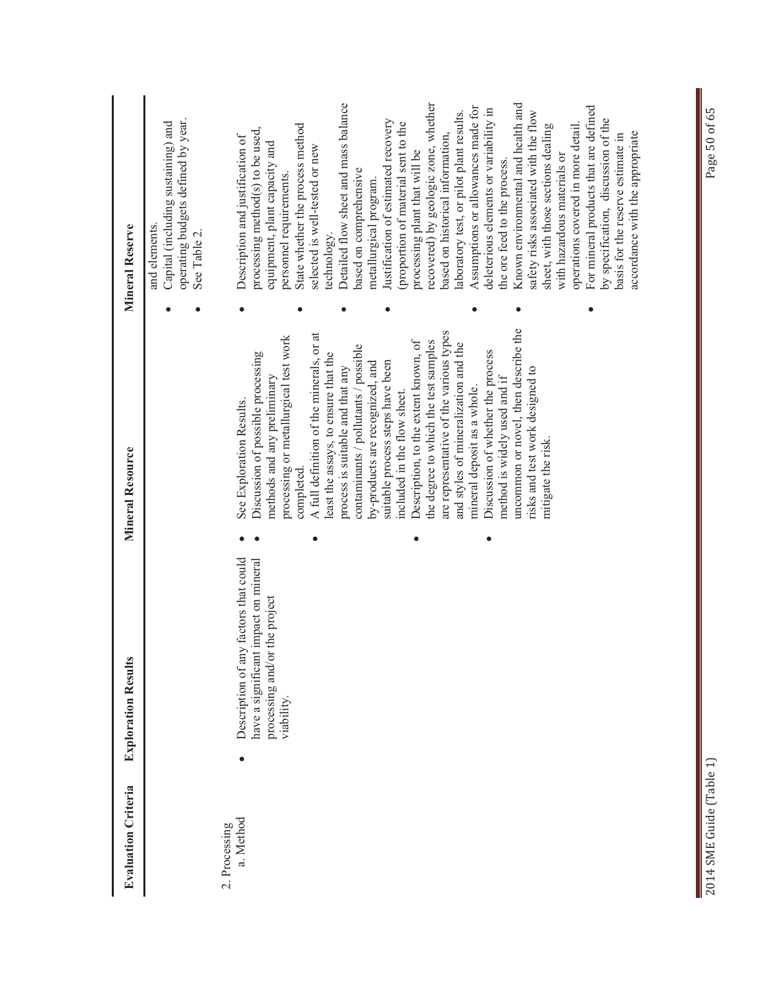| <b>Evaluation Criteria</b> | <b>Exploration Results</b>                                                                                                        | Mineral Resource                                                                                                                                                | Mineral Reserve                                                                                                                                                                                                                                                                                          |
|----------------------------|-----------------------------------------------------------------------------------------------------------------------------------|-----------------------------------------------------------------------------------------------------------------------------------------------------------------|----------------------------------------------------------------------------------------------------------------------------------------------------------------------------------------------------------------------------------------------------------------------------------------------------------|
|                            |                                                                                                                                   |                                                                                                                                                                 | operating budgets defined by year.<br>Capital (including sustaining) and<br>and elements.<br>See Table 2.                                                                                                                                                                                                |
| a. Method<br>2. Processing | Description of any factors that could<br>t impact on mineral<br>processing and/or the project<br>have a significant<br>viability. | processing or metallurgical test work<br>Discussion of possible processing<br>methods and any preliminary<br>See Exploration Results.                           | processing method(s) to be used,<br>Description and justification of<br>equipment, plant capacity and<br>personnel requirements.                                                                                                                                                                         |
|                            |                                                                                                                                   | A full definition of the minerals, or at<br>least the assays, to ensure that the<br>process is suitable and that any<br>completed.                              | Detailed flow sheet and mass balance<br>State whether the process method<br>selected is well-tested or new<br>technology.                                                                                                                                                                                |
|                            |                                                                                                                                   | contaminants / pollutants / possible<br>suitable process steps have been<br>by-products are recognized, and<br>included in the flow sheet                       | Justification of estimated recovery<br>proportion of material sent to the<br>based on comprehensive<br>metallurgical program.                                                                                                                                                                            |
|                            |                                                                                                                                   | are representative of the various types<br>the degree to which the test samples<br>Description, to the extent known, of<br>and styles of mineralization and the | recovered) by geologic zone, whether<br>laboratory test, or pilot plant results.<br>based on historical information,<br>processing plant that will be                                                                                                                                                    |
|                            |                                                                                                                                   | uncommon or novel, then describe the<br>Discussion of whether the process<br>method is widely used and if<br>mineral deposit as a whole.                        | Known environmental and health and<br>Assumptions or allowances made for<br>deleterious elements or variability in<br>the ore feed to the process.                                                                                                                                                       |
|                            |                                                                                                                                   | risks and test work designed to<br>mitigate the risk                                                                                                            | For mineral products that are defined<br>safety risks associated with the flow<br>by specification, discussion of the<br>operations covered in more detail.<br>sheet, with those sections dealing<br>accordance with the appropriate<br>basis for the reserve estimate in<br>with hazardous materials or |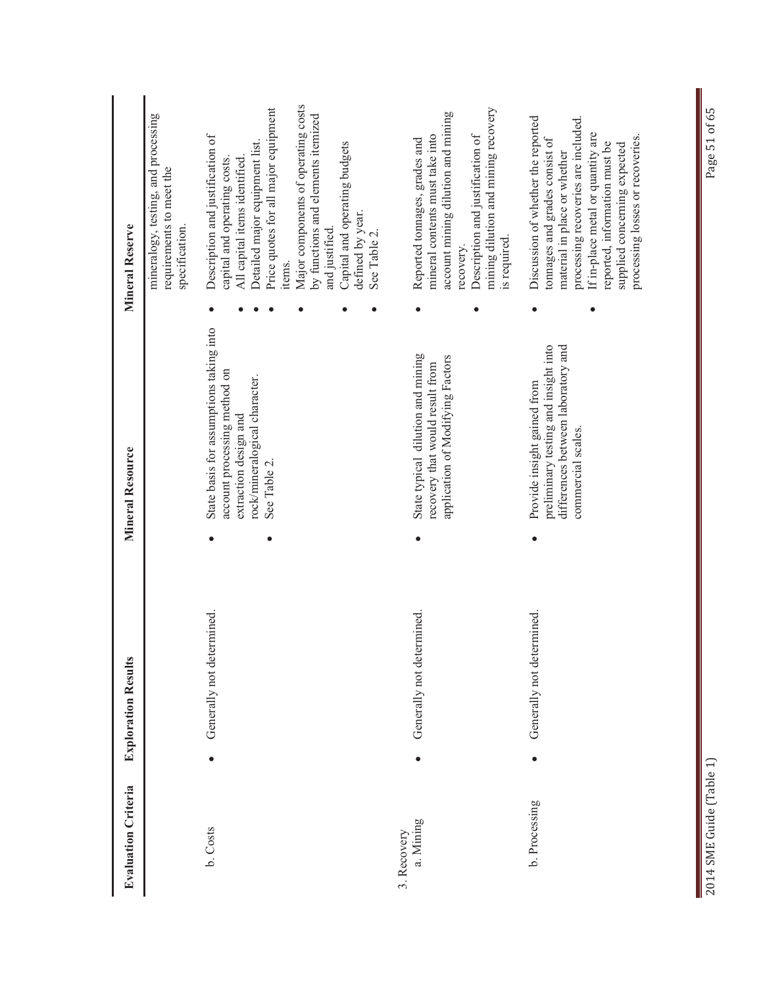| <b>Evaluation Criteria</b> | <b>Exploration Results</b> | <b>Mineral Resource</b>                                                                                                                           | <b>Mineral Reserve</b>                                                                                                                                                                                                                            |
|----------------------------|----------------------------|---------------------------------------------------------------------------------------------------------------------------------------------------|---------------------------------------------------------------------------------------------------------------------------------------------------------------------------------------------------------------------------------------------------|
|                            |                            |                                                                                                                                                   | mineralogy, testing, and processing<br>requirements to meet the<br>specification.                                                                                                                                                                 |
| b. Costs                   | Generally not determined.  | State basis for assumptions taking into<br>account processing method on<br>rock/mineralogical character.<br>extraction design and<br>See Table 2. | Price quotes for all major equipment<br>Description and justification of<br>Detailed major equipment list.<br>capital and operating costs.<br>All capital items identified<br>items.                                                              |
|                            |                            |                                                                                                                                                   | Major components of operating costs<br>by functions and elements itemized<br>Capital and operating budgets<br>defined by year.<br>and justified.<br>See Table 2.                                                                                  |
| a. Mining<br>3. Recovery   | Generally not determined   | State typical dilution and mining<br>recovery that would result from                                                                              | mineral contents must take into<br>Reported tonnages, grades and                                                                                                                                                                                  |
|                            |                            | application of Modifying Factors                                                                                                                  | mining dilution and mining recovery<br>account mining dilution and mining<br>Description and justification of<br>is required.<br>recovery.                                                                                                        |
| b. Processing              | Generally not determined   | differences between laboratory and<br>preliminary testing and insight into<br>Provide insight gained from<br>commercial scales.                   | processing recoveries are included.<br>Discussion of whether the reported<br>If in-place metal or quantity are<br>tonnages and grades consist of<br>reported, information must be<br>supplied concerning expected<br>material in place or whether |
|                            |                            |                                                                                                                                                   | processing losses or recoveries.                                                                                                                                                                                                                  |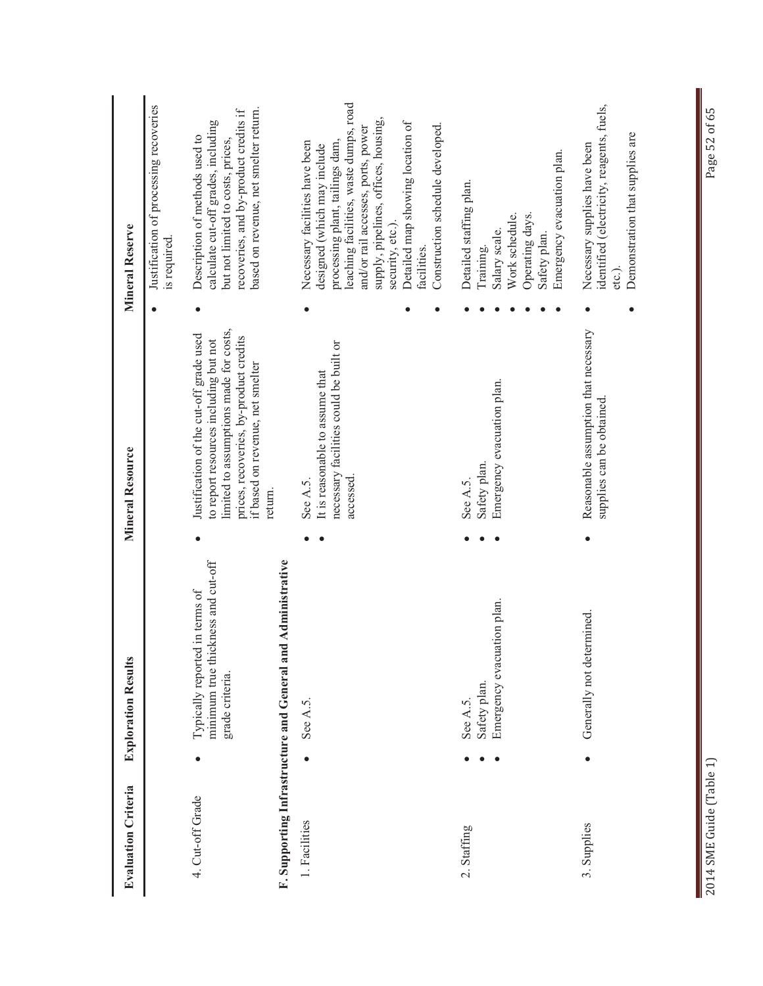| <b>Evaluation Criteria</b>                  | <b>Exploration Results</b>                                                              | <b>Mineral Resource</b>                                                                                                                                                                                             | Mineral Reserve                                                                                                                                                                                                                                                                                                                     |
|---------------------------------------------|-----------------------------------------------------------------------------------------|---------------------------------------------------------------------------------------------------------------------------------------------------------------------------------------------------------------------|-------------------------------------------------------------------------------------------------------------------------------------------------------------------------------------------------------------------------------------------------------------------------------------------------------------------------------------|
|                                             |                                                                                         |                                                                                                                                                                                                                     | Justification of processing recoveries<br>is required.                                                                                                                                                                                                                                                                              |
| 4. Cut-off Grade                            | minimum true thickness and cut-off<br>Typically reported in terms of<br>grade criteria. | limited to assumptions made for costs,<br>Justification of the cut-off grade used<br>prices, recoveries, by-product credits<br>to report resources including but not<br>if based on revenue, net smelter<br>return. | based on revenue, net smelter return.<br>recoveries, and by-product credits if<br>calculate cut-off grades, including<br>Description of methods used to<br>but not limited to costs, prices,                                                                                                                                        |
| F. Supporting Infrastructure and General an | d Administrative                                                                        |                                                                                                                                                                                                                     |                                                                                                                                                                                                                                                                                                                                     |
| 1. Facilities                               | See A.5.                                                                                | necessary facilities could be built or<br>It is reasonable to assume that<br>accessed.<br>See A.5.                                                                                                                  | leaching facilities, waste dumps, road<br>supply, pipelines, offices, housing,<br>Detailed map showing location of<br>Construction schedule developed.<br>and/or rail accesses, ports, power<br>processing plant, tailings dam,<br>Necessary facilities have been<br>designed (which may include<br>security, etc.).<br>facilities. |
| 2. Staffing                                 | Emergency evacuation plan.<br>Safety plan.<br>See A.5.                                  | Emergency evacuation plan.<br>Safety plan.<br>See A.5.                                                                                                                                                              | Emergency evacuation plan.<br>Detailed staffing plan.<br>Work schedule.<br>Operating days.<br>Salary scale.<br>Safety plan.<br>Training.                                                                                                                                                                                            |
| 3. Supplies                                 | Generally not determined.                                                               | Reasonable assumption that necessary<br>supplies can be obtained.                                                                                                                                                   | identified (electricity, reagents, fuels,<br>Demonstration that supplies are<br>Necessary supplies have been<br>etc.).                                                                                                                                                                                                              |

Page 52 of 65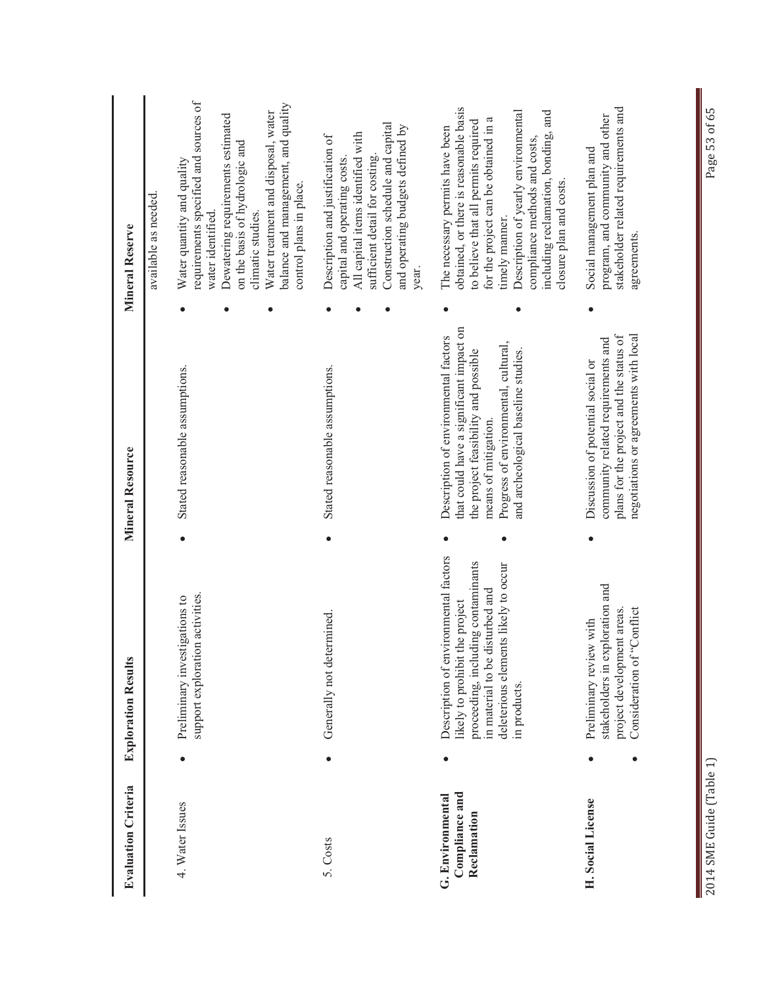| <b>Evaluation Criteria</b>                        | <b>Exploration Results</b>                                                                                             | <b>Mineral Resource</b>                                                                                                                                     | <b>Mineral Reserve</b>                                                                                                                                                |
|---------------------------------------------------|------------------------------------------------------------------------------------------------------------------------|-------------------------------------------------------------------------------------------------------------------------------------------------------------|-----------------------------------------------------------------------------------------------------------------------------------------------------------------------|
|                                                   |                                                                                                                        |                                                                                                                                                             | available as needed.                                                                                                                                                  |
| 4. Water Issues                                   | support exploration activities.<br>igations to<br>Preliminary invest                                                   | Stated reasonable assumptions.                                                                                                                              | requirements specified and sources of<br>Water quantity and quality<br>water identified                                                                               |
|                                                   |                                                                                                                        |                                                                                                                                                             | Dewatering requirements estimated<br>on the basis of hydrologic and<br>climatic studies.                                                                              |
|                                                   |                                                                                                                        |                                                                                                                                                             | balance and management, and quality<br>Water treatment and disposal, water<br>control plans in place.                                                                 |
| 5. Costs                                          | Generally not determined                                                                                               | Stated reasonable assumptions.                                                                                                                              | Description and justification of<br>capital and operating costs.                                                                                                      |
|                                                   |                                                                                                                        |                                                                                                                                                             | All capital items identified with<br>sufficient detail for costing.                                                                                                   |
|                                                   |                                                                                                                        |                                                                                                                                                             | Construction schedule and capital<br>and operating budgets defined by<br>year.                                                                                        |
| Compliance and<br>G. Environmental<br>Reclamation | Description of environmental factors<br>proceeding, including contaminants<br>likely to prohibit the project           | that could have a significant impact on<br>Description of environmental factors<br>the project feasibility and possible                                     | obtained, or there is reasonable basis<br>to believe that all permits required<br>The necessary permits have been                                                     |
|                                                   | deleterious elements likely to occur<br>in material to be disturbed and<br>in products.                                | Progress of environmental, cultural,<br>and archeological baseline studies.<br>means of mitigation.                                                         | Description of yearly environmental<br>including reclamation, bonding, and<br>for the project can be obtained in a<br>compliance methods and costs,<br>timely manner. |
|                                                   |                                                                                                                        |                                                                                                                                                             | closure plan and costs.                                                                                                                                               |
| H. Social License                                 | stakeholders in exploration and<br>Consideration of "Conflict<br>project development areas.<br>Preliminary review with | plans for the project and the status of<br>negotiations or agreements with local<br>community related requirements and<br>Discussion of potential social or | stakeholder related requirements and<br>program, and community and other<br>Social management plan and<br>agreements.                                                 |
|                                                   |                                                                                                                        |                                                                                                                                                             |                                                                                                                                                                       |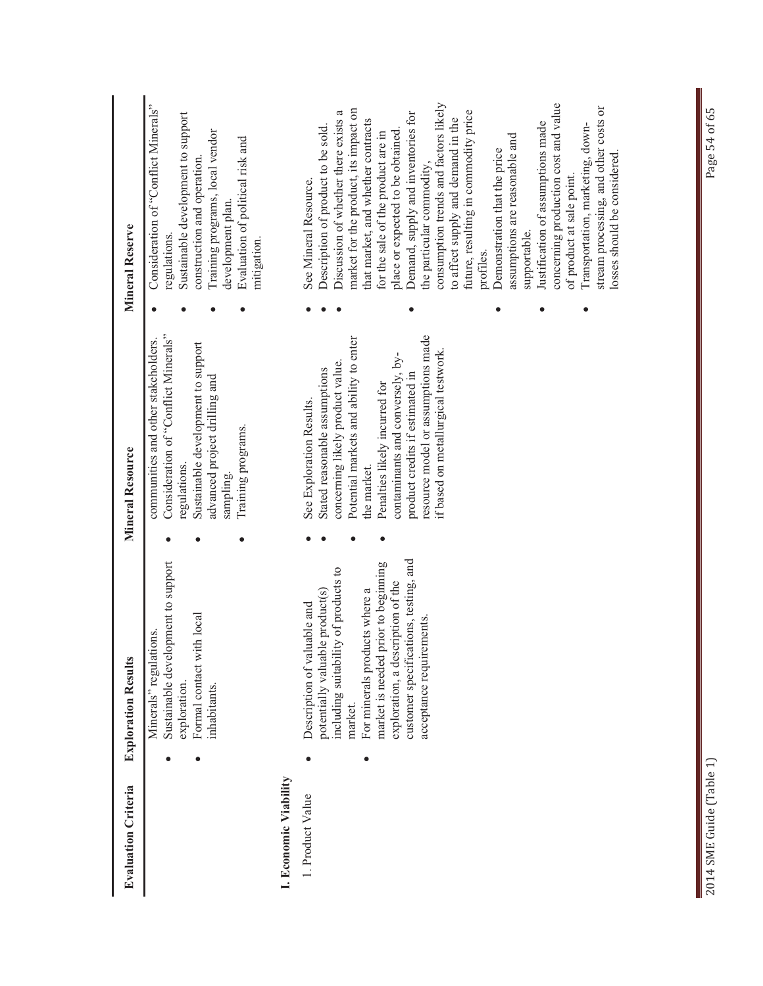| <b>Evaluation Criteria</b> | <b>Exploration Results</b>                                                                                     | Mineral Resource                                                                                                                  | <b>Mineral Reserve</b>                                                                                                   |
|----------------------------|----------------------------------------------------------------------------------------------------------------|-----------------------------------------------------------------------------------------------------------------------------------|--------------------------------------------------------------------------------------------------------------------------|
|                            | Sustainable development to support<br>Formal contact with local<br>ions.<br>Minerals" regulati<br>exploration. | Consideration of "Conflict Minerals"<br>communities and other stakeholders.<br>Sustainable development to support<br>regulations. | Consideration of "Conflict Minerals"<br>Sustainable development to support<br>construction and operation<br>regulations. |
|                            | inhabitants                                                                                                    | advanced project drilling and<br>sampling.                                                                                        | Training programs, local vendor<br>development plan.                                                                     |
|                            |                                                                                                                | Training programs.                                                                                                                | Evaluation of political risk and<br>mitigation.                                                                          |
| I. Economic Viability      |                                                                                                                |                                                                                                                                   |                                                                                                                          |
| 1. Product Value           | potentially valuable product(s)<br>Description of valuable and                                                 | Stated reasonable assumptions<br>See Exploration Results.                                                                         | Description of product to be sold.<br>See Mineral Resource.                                                              |
|                            | including suitability of products to<br>market.                                                                | Potential markets and ability to enter<br>concerning likely product value.                                                        | market for the product, its impact on<br>Discussion of whether there exists a                                            |
|                            | For minerals products where a                                                                                  | the market.                                                                                                                       | that market, and whether contracts                                                                                       |
|                            | prior to beginning<br>exploration, a description of the<br>market is needed                                    | contaminants and conversely, by-<br>Penalties likely incurred for                                                                 | place or expected to be obtained.<br>for the sale of the product are in                                                  |
|                            | customer specifications, testing, and                                                                          | product credits if estimated in                                                                                                   | Demand, supply and inventories for                                                                                       |
|                            | acceptance requirements.                                                                                       | resource model or assumptions made                                                                                                | the particular commodity,                                                                                                |
|                            |                                                                                                                | if based on metallurgical testwork.                                                                                               | consumption trends and factors likely<br>to affect supply and demand in the                                              |
|                            |                                                                                                                |                                                                                                                                   | future, resulting in commodity price<br>profiles.                                                                        |
|                            |                                                                                                                |                                                                                                                                   | Demonstration that the price                                                                                             |
|                            |                                                                                                                |                                                                                                                                   | assumptions are reasonable and<br>supportable.                                                                           |
|                            |                                                                                                                |                                                                                                                                   | Justification of assumptions made                                                                                        |
|                            |                                                                                                                |                                                                                                                                   | concerning production cost and value<br>of product at sale point.                                                        |
|                            |                                                                                                                |                                                                                                                                   | Transportation, marketing, down-                                                                                         |
|                            |                                                                                                                |                                                                                                                                   | stream processing, and other costs or<br>losses should be considered.                                                    |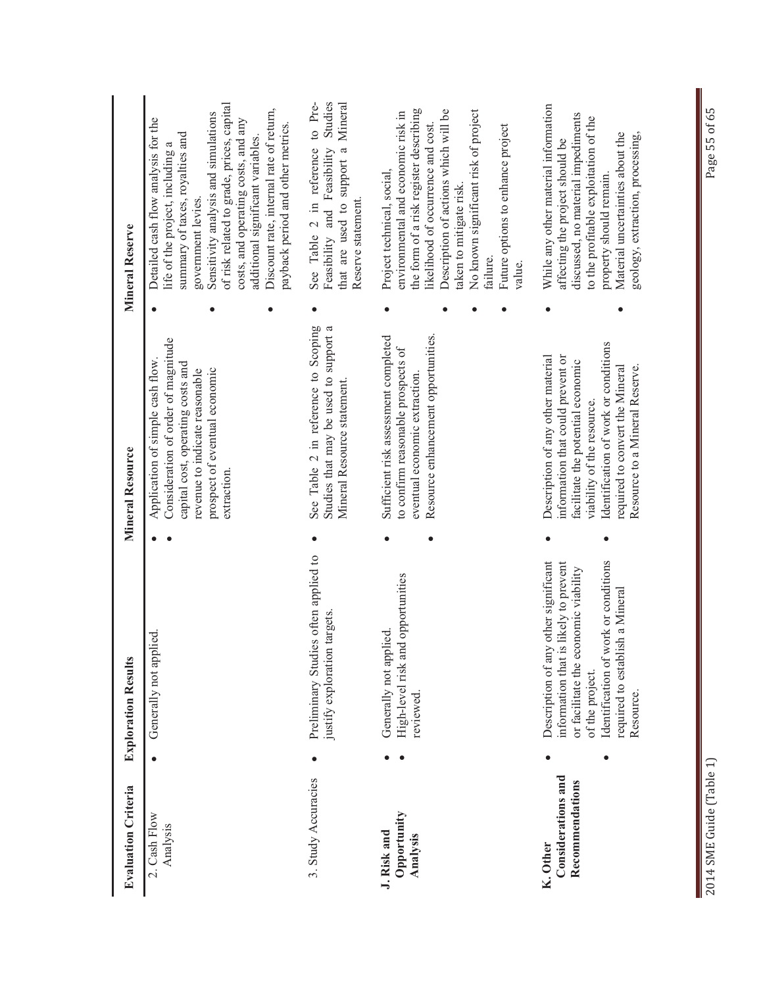| <b>Evaluation Criteria</b>                        | <b>Exploration Results</b>                                                                                                                                                                                                           | Mineral Resource                                                                                                                                                                                                                                       | Mineral Reserve                                                                                                                                                                                                                                                                                                                                                                   |                    |
|---------------------------------------------------|--------------------------------------------------------------------------------------------------------------------------------------------------------------------------------------------------------------------------------------|--------------------------------------------------------------------------------------------------------------------------------------------------------------------------------------------------------------------------------------------------------|-----------------------------------------------------------------------------------------------------------------------------------------------------------------------------------------------------------------------------------------------------------------------------------------------------------------------------------------------------------------------------------|--------------------|
| 2. Cash Flow<br>Analysis                          | <u>ied</u><br>Generally not app!                                                                                                                                                                                                     | Consideration of order of magnitude<br>Application of simple cash flow.<br>capital cost, operating costs and<br>prospect of eventual economic<br>revenue to indicate reasonable<br>extraction.                                                         | of risk related to grade, prices, capital<br>Discount rate, internal rate of return,<br>Sensitivity analysis and simulations<br>Detailed cash flow analysis for the<br>costs, and operating costs, and any<br>payback period and other metrics.<br>summary of taxes, royalties and<br>additional significant variables.<br>life of the project, including a<br>government levies. |                    |
| 3. Study Accuracies                               | Preliminary Studies often applied to<br>targets.<br>justify exploration                                                                                                                                                              | See Table 2 in reference to Scoping<br>Studies that may be used to support a<br>Mineral Resource statement.                                                                                                                                            | that are used to support a Mineral<br>See Table 2 in reference<br>Feasibility and Feasibility<br>Reserve statement.                                                                                                                                                                                                                                                               | to Pre-<br>Studies |
| Opportunity<br>J. Risk and<br>Analysis            | High-level risk and opportunities<br>Generally not applied.<br>reviewed.                                                                                                                                                             | Resource enhancement opportunities.<br>Sufficient risk assessment completed<br>to confirm reasonable prospects of<br>eventual economic extraction.                                                                                                     | the form of a risk register describing<br>Description of actions which will be<br>No known significant risk of project<br>environmental and economic risk in<br>likelihood of occurrence and cost.<br>Future options to enhance project<br>Project technical, social,<br>taken to mitigate risk.<br>failure.<br>value.                                                            |                    |
| Considerations and<br>Recommendations<br>K. Other | Identification of work or conditions<br>Description of any other significant<br>information that is likely to prevent<br>or facilitate the economic viability<br>sh a Mineral<br>required to establi<br>of the project.<br>Resource. | Identification of work or conditions<br>Description of any other material<br>information that could prevent or<br>facilitate the potential economic<br>required to convert the Mineral<br>Resource to a Mineral Reserve.<br>viability of the resource. | While any other material information<br>discussed, no material impediments<br>to the profitable exploitation of the<br>Material uncertainties about the<br>geology, extraction, processing,<br>affecting the project should be<br>property should remain.                                                                                                                         |                    |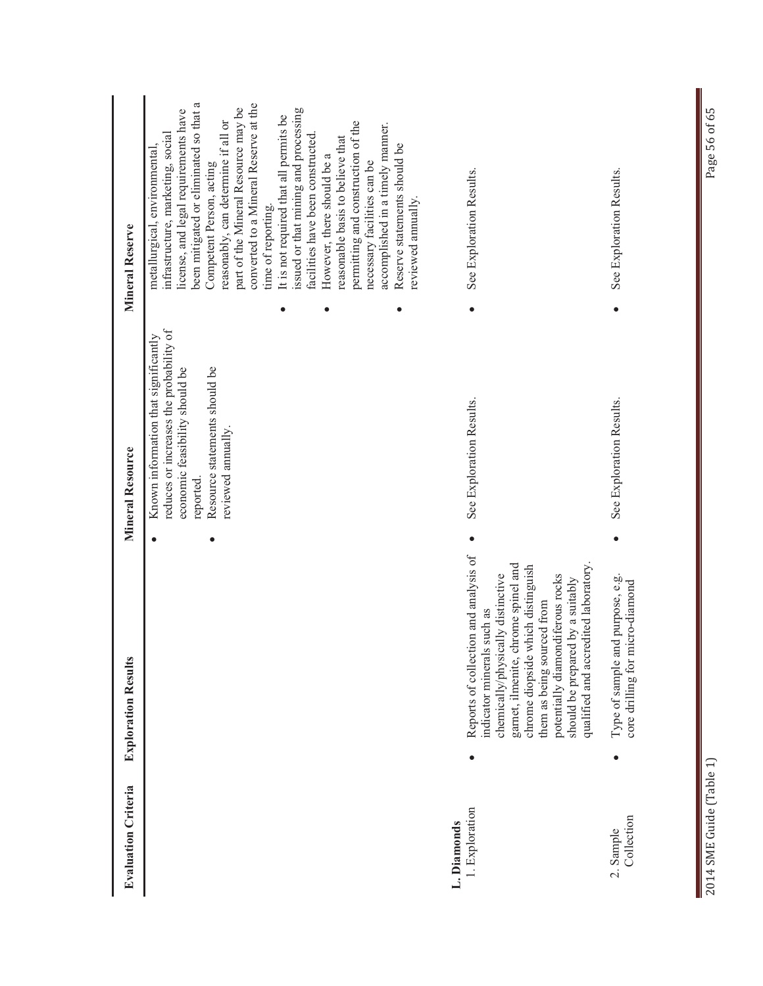| Mineral Reserve            | been mitigated or eliminated so that a<br>converted to a Mineral Reserve at the<br>part of the Mineral Resource may be<br>issued or that mining and processing<br>license, and legal requirements have<br>It is not required that all permits be<br>permitting and construction of the<br>reasonably, can determine if all or<br>accomplished in a timely manner.<br>infrastructure, marketing, social<br>facilities have been constructed.<br>reasonable basis to believe that<br>Reserve statements should be<br>metallurgical, environmental,<br>However, there should be a<br>necessary facilities can be<br>Competent Person, acting<br>reviewed annually.<br>time of reporting. | See Exploration Results.                                                                                                                                                                                                                                                                                                                  | See Exploration Results.<br>$\bullet$                                               |
|----------------------------|---------------------------------------------------------------------------------------------------------------------------------------------------------------------------------------------------------------------------------------------------------------------------------------------------------------------------------------------------------------------------------------------------------------------------------------------------------------------------------------------------------------------------------------------------------------------------------------------------------------------------------------------------------------------------------------|-------------------------------------------------------------------------------------------------------------------------------------------------------------------------------------------------------------------------------------------------------------------------------------------------------------------------------------------|-------------------------------------------------------------------------------------|
| <b>Mineral Resource</b>    | reduces or increases the probability of<br>Known information that significantly<br>Resource statements should be<br>economic feasibility should be<br>reviewed annually.<br>reported.                                                                                                                                                                                                                                                                                                                                                                                                                                                                                                 | See Exploration Results.                                                                                                                                                                                                                                                                                                                  | See Exploration Results.                                                            |
| <b>Exploration Results</b> |                                                                                                                                                                                                                                                                                                                                                                                                                                                                                                                                                                                                                                                                                       | Reports of collection and analysis of<br>qualified and accredited laboratory.<br>chrome spinel and<br>chrome diopside which distinguish<br>potentially diamondiferous rocks<br>chemically/physically distinctive<br>should be prepared by a suitably<br>them as being sourced from<br>Is such as<br>indicator mineral<br>gamet, ilmenite, | Type of sample and purpose, e.g.<br>micro-diamond<br>core drilling for<br>$\bullet$ |
| <b>Evaluation Criteria</b> |                                                                                                                                                                                                                                                                                                                                                                                                                                                                                                                                                                                                                                                                                       | 1. Exploration<br>L. Diamonds                                                                                                                                                                                                                                                                                                             | Collection<br>2. Sample                                                             |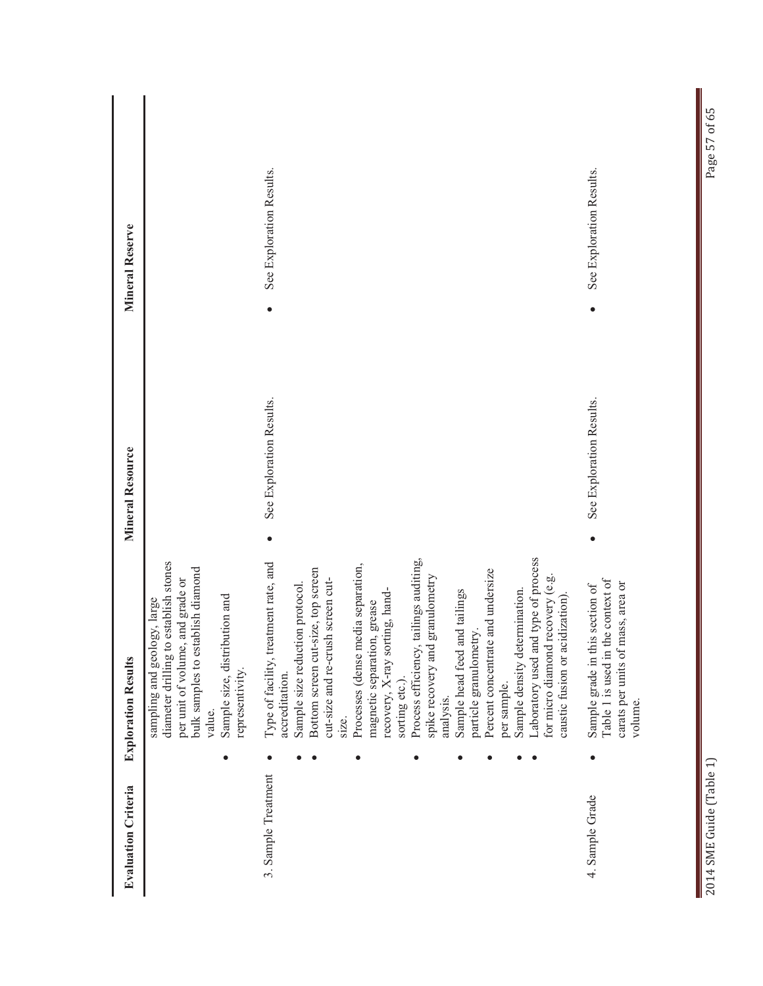| <b>Evaluation Criteria</b> |           | <b>Exploration Results</b>                                                                                                                                                                                                                                                                                                                                                                                                                                                                                                                                                                                                                                               | <b>Mineral Resource</b>  | <b>Mineral Reserve</b>   |
|----------------------------|-----------|--------------------------------------------------------------------------------------------------------------------------------------------------------------------------------------------------------------------------------------------------------------------------------------------------------------------------------------------------------------------------------------------------------------------------------------------------------------------------------------------------------------------------------------------------------------------------------------------------------------------------------------------------------------------------|--------------------------|--------------------------|
|                            |           | diameter drilling to establish stones<br>bulk samples to establish diamond<br>per unit of volume, and grade or<br>Sample size, distribution and<br>sampling and geology, large<br>representivity.<br>value.                                                                                                                                                                                                                                                                                                                                                                                                                                                              |                          |                          |
| 3. Sample Treatment        | ٠         | Laboratory used and type of process<br>Process efficiency, tailings auditing,<br>Type of facility, treatment rate, and<br>Processes (dense media separation,<br>Bottom screen cut-size, top screen<br>Percent concentrate and undersize<br>recovery (e.g.<br>granulometry<br>cut-size and re-crush screen cut-<br>Sample size reduction protocol.<br>Sample density determination.<br>recovery, X-ray sorting, hand-<br>and tailings<br>caustic fusion or acidization).<br>magnetic separation, grease<br>particle granulometry.<br>spike recovery and<br>for micro diamond<br>Sample head feed<br>accreditation.<br>sorting etc.).<br>per sample.<br>analysis.<br>size. | See Exploration Results. | See Exploration Results. |
| 4. Sample Grade            | $\bullet$ | the context of<br>mass, area or<br>Sample grade in this section of<br>carats per units of<br>Table 1 is used in<br>volume.                                                                                                                                                                                                                                                                                                                                                                                                                                                                                                                                               | See Exploration Results. | See Exploration Results. |

Π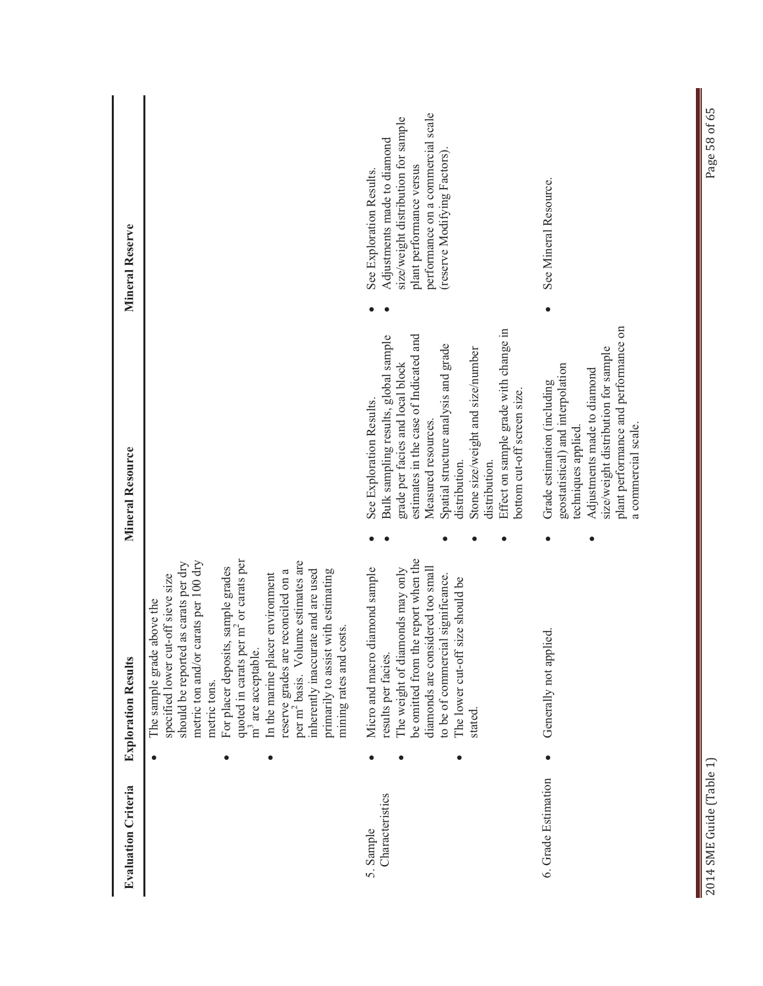| <b>Evaluation Criteria</b>   | <b>Exploration Results</b>                                                                                                                                                                                                                                                                                                                                                                                                                                                                                                              | Mineral Resource                                                                                                                                                                                                                                                                                                                                           | Mineral Reserve                                                                                                                                                                                |
|------------------------------|-----------------------------------------------------------------------------------------------------------------------------------------------------------------------------------------------------------------------------------------------------------------------------------------------------------------------------------------------------------------------------------------------------------------------------------------------------------------------------------------------------------------------------------------|------------------------------------------------------------------------------------------------------------------------------------------------------------------------------------------------------------------------------------------------------------------------------------------------------------------------------------------------------------|------------------------------------------------------------------------------------------------------------------------------------------------------------------------------------------------|
|                              | quoted in carats per m <sup>2</sup> or carats per<br>carats per 100 dry<br>per m <sup>2</sup> basis. Volume estimates are<br>should be reported as carats per dry<br>For placer deposits, sample grades<br>primarily to assist with estimating<br>reserve grades are reconciled on a<br>inherently inaccurate and are used<br>In the marine placer environment<br>specified lower cut-off sieve size<br>above the<br>mining rates and costs.<br>The sample grade<br>m <sup>3</sup> are acceptable.<br>metric ton and/or<br>metric tons. |                                                                                                                                                                                                                                                                                                                                                            |                                                                                                                                                                                                |
| Characteristics<br>5. Sample | be omitted from the report when the<br>diamond sample<br>The weight of diamonds may only<br>diamonds are considered too small<br>to be of commercial significance.<br>size should be<br>The lower cut-off<br>Micro and macro<br>results per facies.<br>stated.                                                                                                                                                                                                                                                                          | Effect on sample grade with change in<br>estimates in the case of Indicated and<br>Bulk sampling results, global sample<br>Spatial structure analysis and grade<br>Stone size/weight and size/number<br>grade per facies and local block<br>bottom cut-off screen size.<br>See Exploration Results<br>Measured resources<br>distribution.<br>distribution. | performance on a commercial scale<br>size/weight distribution for sample<br>Adjustments made to diamond<br>(reserve Modifying Factors)<br>plant performance versus<br>See Exploration Results. |
| 6. Grade Estimation          | Generally not applied.                                                                                                                                                                                                                                                                                                                                                                                                                                                                                                                  | plant performance and performance on<br>size/weight distribution for sample<br>geostatistical) and interpolation<br>Adjustments made to diamond<br>Grade estimation (including<br>a commercial scale.<br>techniques applied.                                                                                                                               | See Mineral Resource.                                                                                                                                                                          |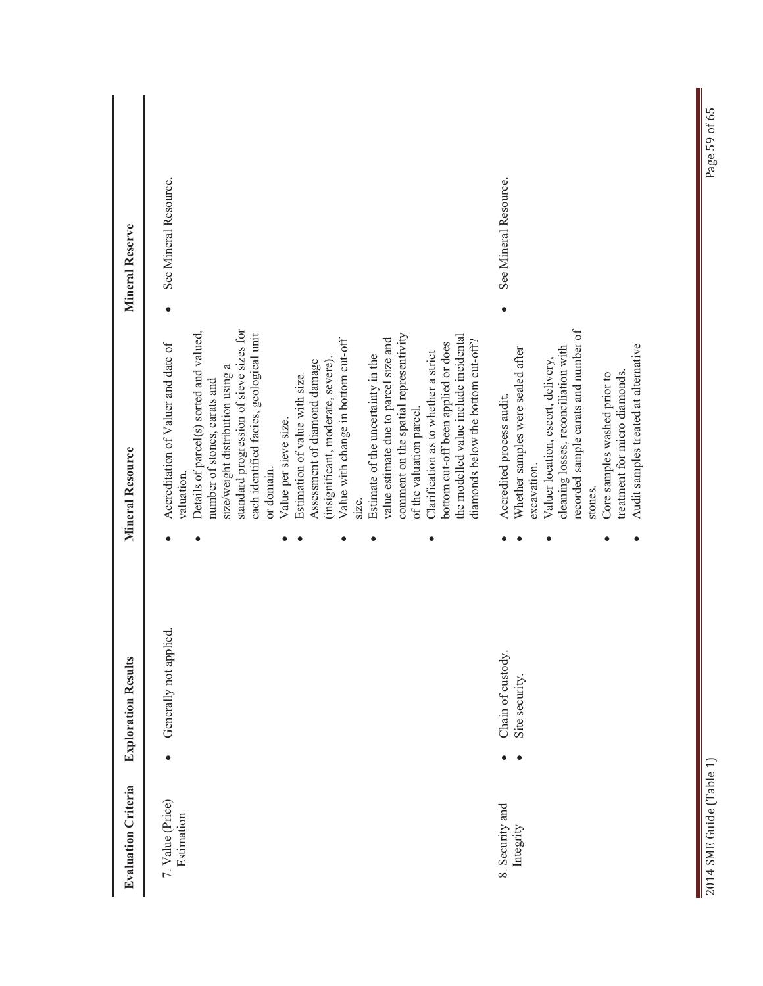| <b>Mineral Reserve</b>     | See Mineral Resource.                                                                                                                                                                                                                                                                                                                                                                                                                                                                                                                                                                                                                                                                                                                                                                | See Mineral Resource.                                                                                                                                                                                                                                                                                                   |
|----------------------------|--------------------------------------------------------------------------------------------------------------------------------------------------------------------------------------------------------------------------------------------------------------------------------------------------------------------------------------------------------------------------------------------------------------------------------------------------------------------------------------------------------------------------------------------------------------------------------------------------------------------------------------------------------------------------------------------------------------------------------------------------------------------------------------|-------------------------------------------------------------------------------------------------------------------------------------------------------------------------------------------------------------------------------------------------------------------------------------------------------------------------|
| <b>Mineral Resource</b>    | standard progression of sieve sizes for<br>Details of parcel(s) sorted and valued,<br>each identified facies, geological unit<br>comment on the spatial representivity<br>the modelled value include incidental<br>Value with change in bottom cut-off<br>value estimate due to parcel size and<br>diamonds below the bottom cut-off?<br>bottom cut-off been applied or does<br>Accreditation of Valuer and date of<br>Clarification as to whether a strict<br>Estimate of the uncertainty in the<br>(insignificant, moderate, severe).<br>Assessment of diamond damage<br>size/weight distribution using a<br>Estimation of value with size.<br>number of stones, carats and<br>of the valuation parcel.<br>Value per sieve size.<br>or domain.<br>valuation.<br>SIZ <sub>e</sub> . | recorded sample carats and number of<br>Audit samples treated at alternative<br>cleaning losses, reconciliation with<br>Whether samples were sealed after<br>Valuer location, escort, delivery,<br>treatment for micro diamonds.<br>Core samples washed prior to<br>Accredited process audit.<br>excavation.<br>stones. |
| <b>Exploration Results</b> | Generally not applied.                                                                                                                                                                                                                                                                                                                                                                                                                                                                                                                                                                                                                                                                                                                                                               | Chain of custody<br>Site security.                                                                                                                                                                                                                                                                                      |
| <b>Evaluation Criteria</b> | 7. Value (Price)<br>Estimation                                                                                                                                                                                                                                                                                                                                                                                                                                                                                                                                                                                                                                                                                                                                                       | 8. Security and<br>Integrity                                                                                                                                                                                                                                                                                            |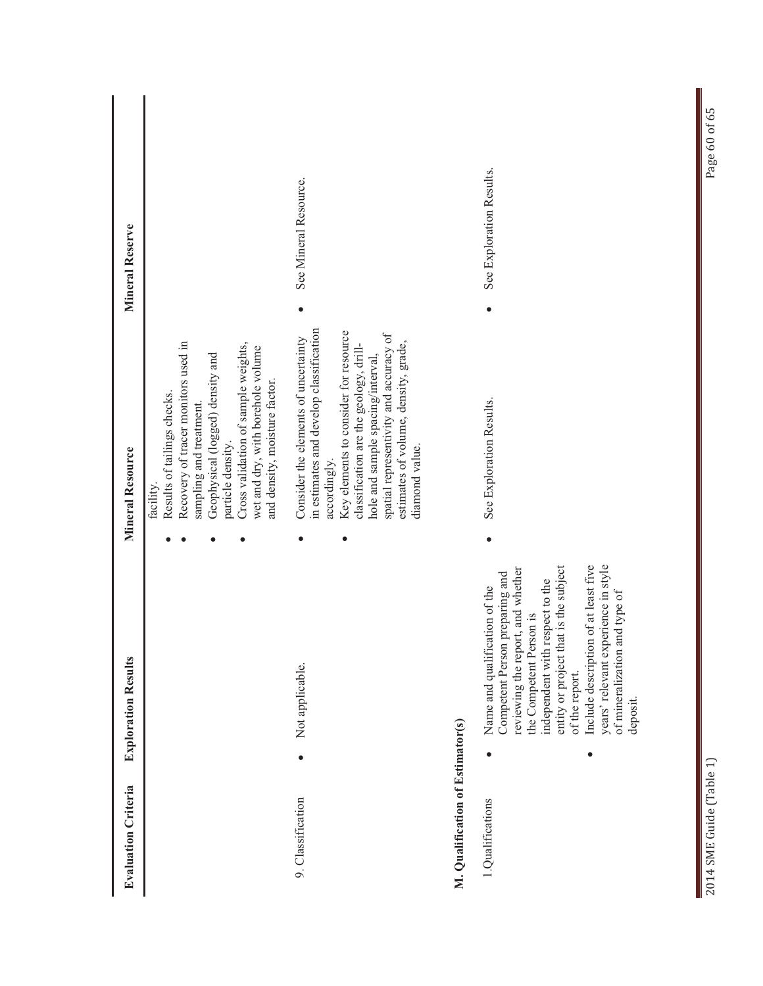| <b>Evaluation Criteria</b>       | <b>Exploration Results</b>                                                                                                                                                                                                                                                                                                                                   | Mineral Resource                                                                                                                                                                                                                                                                                                            | <b>Mineral Reserve</b>   |
|----------------------------------|--------------------------------------------------------------------------------------------------------------------------------------------------------------------------------------------------------------------------------------------------------------------------------------------------------------------------------------------------------------|-----------------------------------------------------------------------------------------------------------------------------------------------------------------------------------------------------------------------------------------------------------------------------------------------------------------------------|--------------------------|
|                                  |                                                                                                                                                                                                                                                                                                                                                              | Recovery of tracer monitors used in<br>Cross validation of sample weights,<br>wet and dry, with borehole volume<br>Geophysical (logged) density and<br>and density, moisture factor.<br>Results of tailings checks.<br>sampling and treatment<br>particle density.<br>facility.                                             |                          |
| 9. Classification                | Not applicable.                                                                                                                                                                                                                                                                                                                                              | in estimates and develop classification<br>Key elements to consider for resource<br>spatial representivity and accuracy of<br>Consider the elements of uncertainty<br>estimates of volume, density, grade,<br>classification are the geology, drill-<br>hole and sample spacing/interval,<br>diamond value.<br>accordingly. | See Mineral Resource.    |
| M. Qualification of Estimator(s) |                                                                                                                                                                                                                                                                                                                                                              |                                                                                                                                                                                                                                                                                                                             |                          |
| 1.Qualifications                 | years' relevant experience in style<br>that is the subject<br>Include description of at least five<br>reviewing the report, and whether<br>Competent Person preparing and<br>independent with respect to the<br>Name and qualification of the<br>of mineralization and type of<br>the Competent Person is<br>entity or project<br>of the report.<br>deposit. | See Exploration Results.                                                                                                                                                                                                                                                                                                    | See Exploration Results. |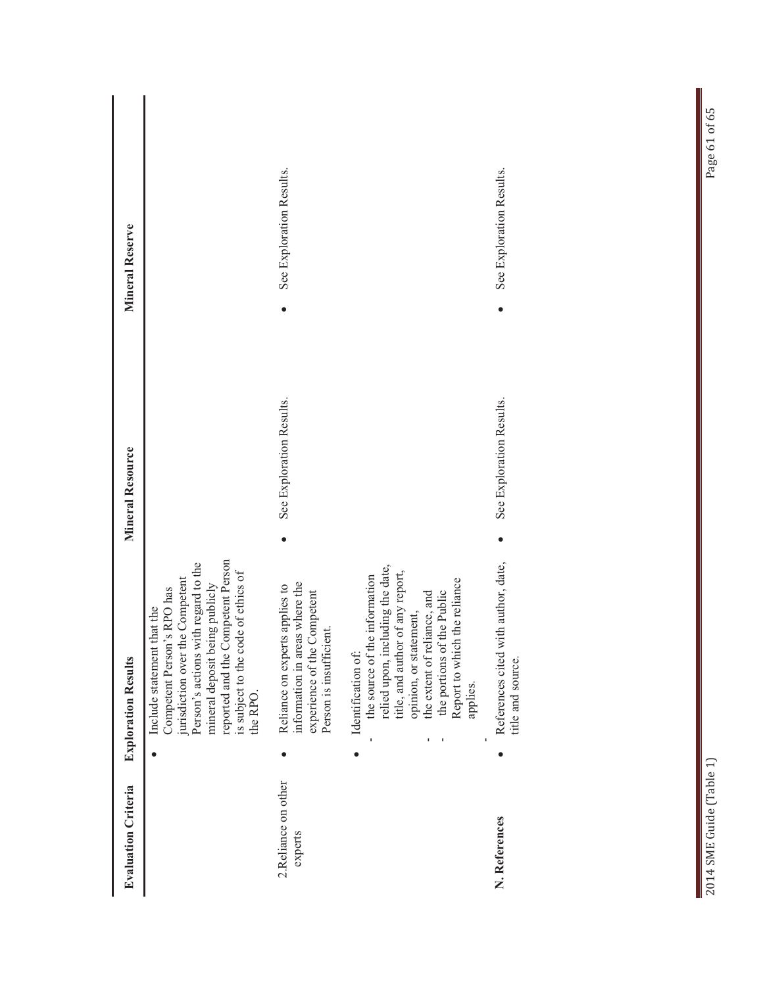| <b>Evaluation Criteria</b>     | <b>Exploration Results</b>                                                                                                                                                                                                                                     | <b>Mineral Resource</b>  | <b>Mineral Reserve</b>   |
|--------------------------------|----------------------------------------------------------------------------------------------------------------------------------------------------------------------------------------------------------------------------------------------------------------|--------------------------|--------------------------|
|                                | reported and the Competent Person<br>Person's actions with regard to the<br>is subject to the code of ethics of<br>jurisdiction over the Competent<br>mineral deposit being publicly<br>Competent Person's RPO has<br>that the<br>Include statement<br>the RPO |                          |                          |
| 2.Reliance on other<br>experts | information in areas where the<br>Reliance on experts applies to<br>experience of the Competent<br>Person is insufficient.                                                                                                                                     | See Exploration Results. | See Exploration Results. |
|                                | relied upon, including the date,<br>title, and author of any report,<br>the source of the information<br>Report to which the reliance<br>the portions of the Public<br>the extent of reliance, and<br>opinion, or statement,<br>Identification of:<br>applies. |                          |                          |
| N. References                  | with author, date,<br>References cited<br>title and source.                                                                                                                                                                                                    | See Exploration Results. | See Exploration Results. |
|                                |                                                                                                                                                                                                                                                                |                          |                          |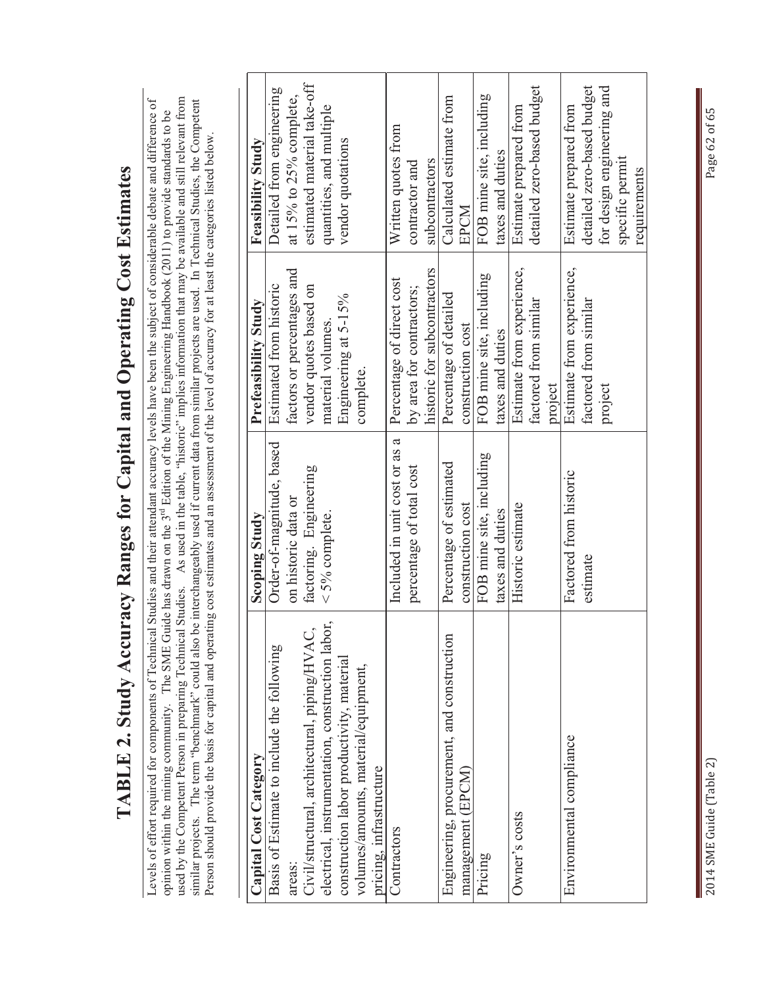| ccuracy Ranges for Capital and Operating Cost Estimates | hmical Studies and their attendant accuracy levels have been the subject of considerable debate and difference of | AE Guide has drawn on the 3 <sup>rd</sup> Edition of the Mining Engineering Handbook (2011) to provide standards to be | 一个人,一个人的话,一个人的话,一个人的话,一个人的话,一个人的话,一个人的话,一个人的话,一个人的话,一个人的话,一个人的话,一个人的话,一个人的话,一个人的话 |
|---------------------------------------------------------|-------------------------------------------------------------------------------------------------------------------|------------------------------------------------------------------------------------------------------------------------|-----------------------------------------------------------------------------------|
|                                                         |                                                                                                                   |                                                                                                                        |                                                                                   |
| TABLE 2. Study A.                                       |                                                                                                                   |                                                                                                                        |                                                                                   |
|                                                         | evels of effort required for components of Tecl                                                                   | opinion within the mining community. The SIV                                                                           | .<br>.<br>.<br>.                                                                  |

rence of used by the Competent Person in preparing Technical Studies. As used in the table, "historic" implies information that may be available and still relevant from<br>similar projects. The term "benchmark" could also be interchan used by the Competent Person in preparing Technical Studies. As used in the table, "historic" implies information that may be available and still relevant from similar projects. The term "benchmark" could also be interchangeably used if current data from similar projects are used. In Technical Studies, the Competent to be opinion within the mining community. The SME Guide has drawn on the 3<sup>rd</sup> Edition of the Mining Engineering Handbook (2011) to provide standards to be Person should provide the basis for capital and operating cost estimates and an assessment of the level of accuracy for at least the categories listed below. Levels of opinion

| Capital Cost Category                            | <b>Scoping Study</b>          | Prefeasibility Study        | <b>Feasibility Study</b>    |
|--------------------------------------------------|-------------------------------|-----------------------------|-----------------------------|
| Basis of Estimate to include the following       | Order-of-magnitude, based     | Estimated from historic     | Detailed from engineering   |
| areas:                                           | on historic data or           | factors or percentages and  | at 15% to 25% complete,     |
| Civil/structural, architectural, piping/HVAC     | factoring. Engineering        | vendor quotes based on      | estimated material take-off |
| electrical, instrumentation, construction labor, | $<$ 5% complete.              | material volumes.           | quantities, and multiple    |
| construction labor productivity, material        |                               | Engineering at 5-15%        | vendor quotations           |
| volumes/amounts, material/equipment,             |                               | complete.                   |                             |
| pricing, infrastructure                          |                               |                             |                             |
| Contractors                                      | Included in unit cost or as a | Percentage of direct cost   | Written quotes from         |
|                                                  | percentage of total cost      | by area for contractors;    | contractor and              |
|                                                  |                               | historic for subcontractors | subcontractors              |
| Engineering, procurement, and construction       | Percentage of estimated       | Percentage of detailed      | Calculated estimate from    |
| management (EPCM)                                | construction cost             | construction cost           | EPCM                        |
| Pricing                                          | FOB mine site, including      | FOB mine site, including    | FOB mine site, including    |
|                                                  | taxes and duties              | taxes and duties            | taxes and duties            |
| Owner's costs                                    | Historic estimate             | Estimate from experience,   | Estimate prepared from      |
|                                                  |                               | factored from similar       | detailed zero-based budget  |
|                                                  |                               | project                     |                             |
| Environmental compliance                         | Factored from historic        | Estimate from experience,   | Estimate prepared from      |
|                                                  | estimate                      | factored from similar       | detailed zero-based budget  |
|                                                  |                               | project                     | for design engineering and  |
|                                                  |                               |                             | specific permit             |
|                                                  |                               |                             | requirements                |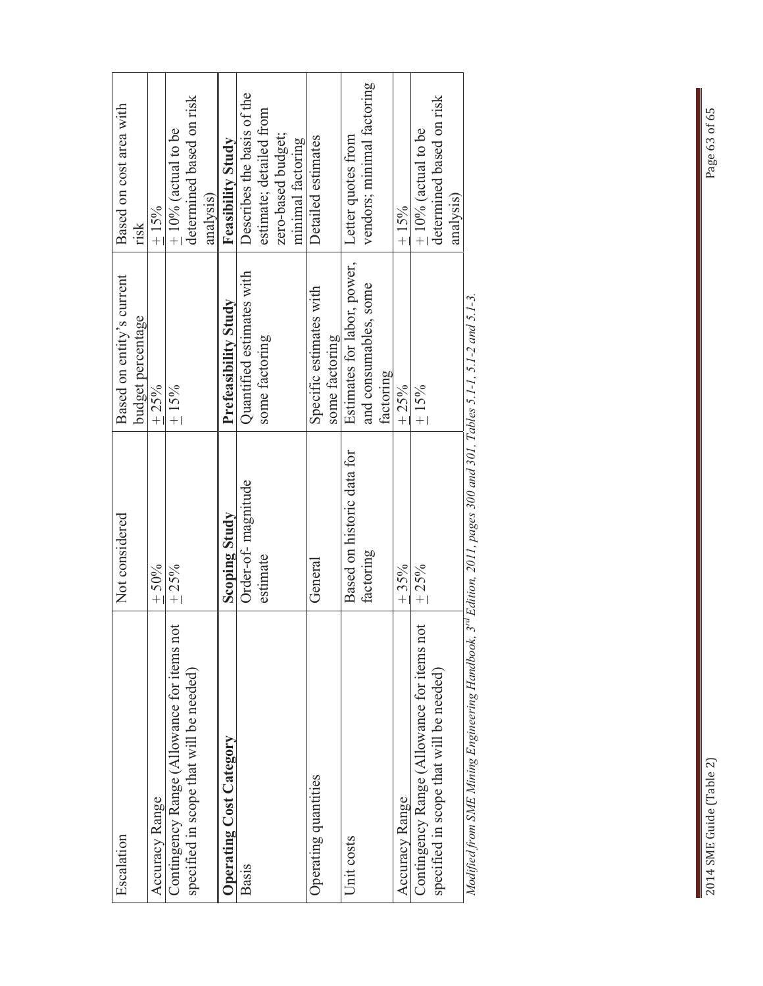| Escalation                                                                                                                      | Not considered             | Based on entity's current   | Based on cost area with    |
|---------------------------------------------------------------------------------------------------------------------------------|----------------------------|-----------------------------|----------------------------|
|                                                                                                                                 |                            | budget percentage           | risk                       |
| Accuracy Range                                                                                                                  | $+50%$                     | $+25%$                      | $+15%$                     |
| Contingency Range (Allowance for items not                                                                                      | $+25%$                     | $\pm 15\%$                  | $\pm$ 10% (actual to be    |
| specified in scope that will be needed)                                                                                         |                            |                             | determined based on risk   |
|                                                                                                                                 |                            |                             | analysis)                  |
| Operating Cost Category                                                                                                         | Scoping Study              | Prefeasibility Study        | <b>Feasibility Study</b>   |
| Basis                                                                                                                           | Order-of-magnitude         | Quantified estimates with   | Describes the basis of the |
|                                                                                                                                 | estimate                   | some factoring              | estimate; detailed from    |
|                                                                                                                                 |                            |                             | zero-based budget;         |
|                                                                                                                                 |                            |                             | minimal factoring          |
| Operating quantities                                                                                                            | General                    | Specific estimates with     | Detailed estimates         |
|                                                                                                                                 |                            | some factoring              |                            |
| Unit costs                                                                                                                      | Based on historic data for | Estimates for labor, power, | Letter quotes from         |
|                                                                                                                                 | factoring                  | and consumables, some       | vendors; minimal factoring |
|                                                                                                                                 |                            | factoring                   |                            |
| Accuracy Range                                                                                                                  | $+35%$                     | $+25%$                      | $+15%$                     |
| Contingency Range (Allowance for items not                                                                                      | $+25%$                     | $+15%$                      | $\pm$ 10% (actual to be    |
| specified in scope that will be needed)                                                                                         |                            |                             | determined based on risk   |
|                                                                                                                                 |                            |                             | analysis)                  |
| Modified from SME Mining Engineering Handbook, 3 <sup>rd</sup> Edition, 2011, pages 300 and 301, Tables 5.1-1, 5.1-2 and 5.1-3. |                            |                             |                            |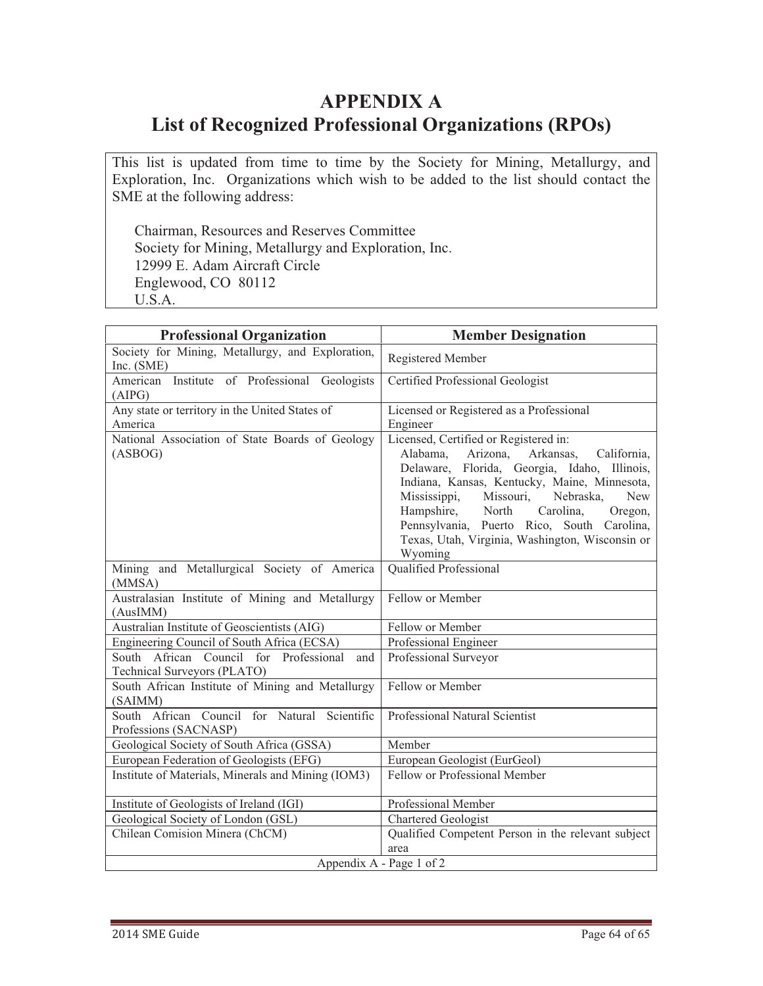# **APPENDIX A List of Recognized Professional Organizations (RPOs)**

This list is updated from time to time by the Society for Mining, Metallurgy, and Exploration, Inc. Organizations which wish to be added to the list should contact the SME at the following address:

Chairman, Resources and Reserves Committee Society for Mining, Metallurgy and Exploration, Inc. 12999 E. Adam Aircraft Circle Englewood, CO 80112 U.S.A.

| <b>Professional Organization</b>                                             | <b>Member Designation</b>                                                                                                                                                                                                                                                                                                                                                                                    |
|------------------------------------------------------------------------------|--------------------------------------------------------------------------------------------------------------------------------------------------------------------------------------------------------------------------------------------------------------------------------------------------------------------------------------------------------------------------------------------------------------|
| Society for Mining, Metallurgy, and Exploration,<br>Inc. (SME)               | Registered Member                                                                                                                                                                                                                                                                                                                                                                                            |
| American Institute of Professional Geologists<br>(AIPG)                      | Certified Professional Geologist                                                                                                                                                                                                                                                                                                                                                                             |
| Any state or territory in the United States of<br>America                    | Licensed or Registered as a Professional<br>Engineer                                                                                                                                                                                                                                                                                                                                                         |
| National Association of State Boards of Geology<br>(ASBOG)                   | Licensed, Certified or Registered in:<br>Arizona,<br>Arkansas,<br>Alabama,<br>California,<br>Delaware, Florida, Georgia, Idaho, Illinois,<br>Indiana, Kansas, Kentucky, Maine, Minnesota,<br>Missouri,<br>Mississippi,<br>Nebraska,<br><b>New</b><br>Hampshire,<br>North<br>Carolina,<br>Oregon,<br>Pennsylvania, Puerto Rico, South Carolina,<br>Texas, Utah, Virginia, Washington, Wisconsin or<br>Wyoming |
| Mining and Metallurgical Society of America<br>(MMSA)                        | Qualified Professional                                                                                                                                                                                                                                                                                                                                                                                       |
| Australasian Institute of Mining and Metallurgy<br>(AusIMM)                  | Fellow or Member                                                                                                                                                                                                                                                                                                                                                                                             |
| Australian Institute of Geoscientists (AIG)                                  | Fellow or Member                                                                                                                                                                                                                                                                                                                                                                                             |
| Engineering Council of South Africa (ECSA)                                   | Professional Engineer                                                                                                                                                                                                                                                                                                                                                                                        |
| South African Council for Professional<br>and<br>Technical Surveyors (PLATO) | Professional Surveyor                                                                                                                                                                                                                                                                                                                                                                                        |
| South African Institute of Mining and Metallurgy<br>(SAIMM)                  | Fellow or Member                                                                                                                                                                                                                                                                                                                                                                                             |
| South African Council for Natural Scientific<br>Professions (SACNASP)        | Professional Natural Scientist                                                                                                                                                                                                                                                                                                                                                                               |
| Geological Society of South Africa (GSSA)                                    | Member                                                                                                                                                                                                                                                                                                                                                                                                       |
| European Federation of Geologists (EFG)                                      | European Geologist (EurGeol)                                                                                                                                                                                                                                                                                                                                                                                 |
| Institute of Materials, Minerals and Mining (IOM3)                           | Fellow or Professional Member                                                                                                                                                                                                                                                                                                                                                                                |
| Institute of Geologists of Ireland (IGI)                                     | Professional Member                                                                                                                                                                                                                                                                                                                                                                                          |
| Geological Society of London (GSL)                                           | Chartered Geologist                                                                                                                                                                                                                                                                                                                                                                                          |
| Chilean Comision Minera (ChCM)                                               | Qualified Competent Person in the relevant subject                                                                                                                                                                                                                                                                                                                                                           |
|                                                                              | area                                                                                                                                                                                                                                                                                                                                                                                                         |
|                                                                              | Appendix A - Page 1 of 2                                                                                                                                                                                                                                                                                                                                                                                     |